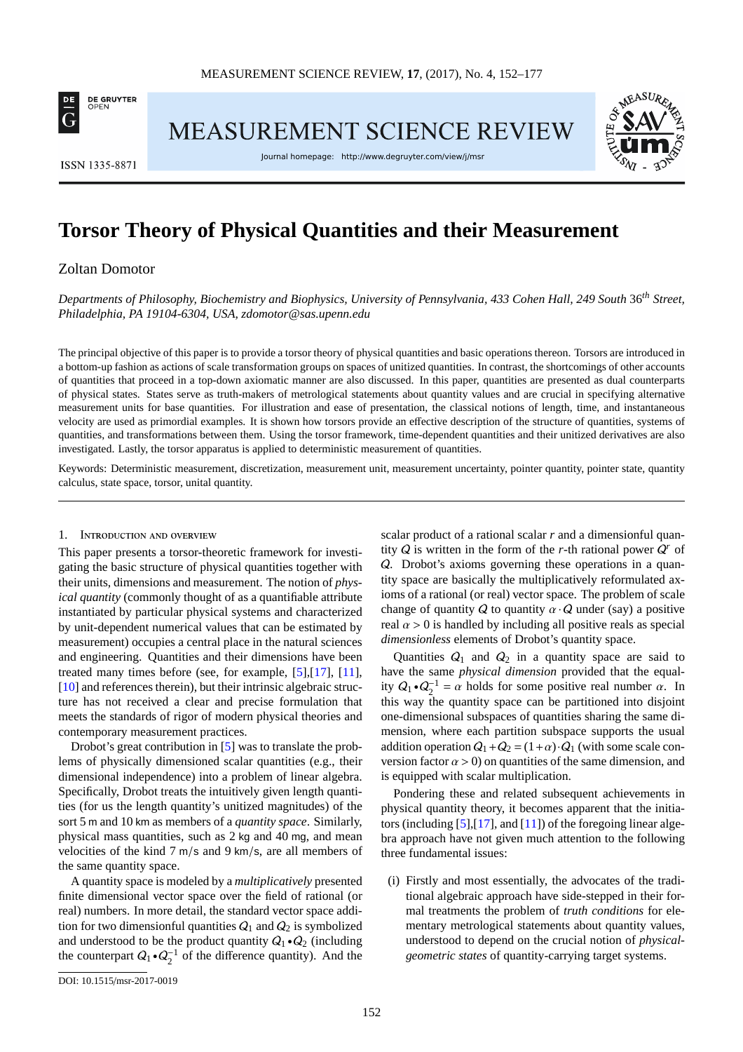

**MEASUREMENT SCIENCE REVIEW** 



**ISSN 1335-8871** 

Journal homepage: http://www.degruyter.com/view/j/msr

# **Torsor Theory of Physical Quantities and their Measurement**

# Zoltan Domotor

*Departments of Philosophy, Biochemistry and Biophysics, University of Pennsylvania, 433 Cohen Hall, 249 South* 36*th Street, Philadelphia, PA 19104-6304, USA, [zdomotor@sas.upenn.edu](mailto:zdomotor@sas.upenn.edu)*

The principal objective of this paper is to provide a torsor theory of physical quantities and basic operations thereon. Torsors are introduced in a bottom-up fashion as actions of scale transformation groups on spaces of unitized quantities. In contrast, the shortcomings of other accounts of quantities that proceed in a top-down axiomatic manner are also discussed. In this paper, quantities are presented as dual counterparts of physical states. States serve as truth-makers of metrological statements about quantity values and are crucial in specifying alternative measurement units for base quantities. For illustration and ease of presentation, the classical notions of length, time, and instantaneous velocity are used as primordial examples. It is shown how torsors provide an effective description of the structure of quantities, systems of quantities, and transformations between them. Using the torsor framework, time-dependent quantities and their unitized derivatives are also investigated. Lastly, the torsor apparatus is applied to deterministic measurement of quantities.

Keywords: Deterministic measurement, discretization, measurement unit, measurement uncertainty, pointer quantity, pointer state, quantity calculus, state space, torsor, unital quantity.

#### 1. Introduction and overview

This paper presents a torsor-theoretic framework for investigating the basic structure of physical quantities together with their units, dimensions and measurement. The notion of *physical quantity* (commonly thought of as a quantifiable attribute instantiated by particular physical systems and characterized by unit-dependent numerical values that can be estimated by measurement) occupies a central place in the natural sciences and engineering. Quantities and their dimensions have been treated many times before (see, for example, [\[5\]](#page-24-0),[\[17\]](#page-25-0), [\[11\]](#page-25-1), [\[10\]](#page-25-2) and references therein), but their intrinsic algebraic structure has not received a clear and precise formulation that meets the standards of rigor of modern physical theories and contemporary measurement practices.

Drobot's great contribution in [\[5\]](#page-24-0) was to translate the problems of physically dimensioned scalar quantities (e.g., their dimensional independence) into a problem of linear algebra. Specifically, Drobot treats the intuitively given length quantities (for us the length quantity's unitized magnitudes) of the sort 5 m and 10 km as members of a *quantity space*. Similarly, physical mass quantities, such as 2 kg and 40 mg, and mean velocities of the kind 7 m/s and 9 km/s, are all members of the same quantity space.

A quantity space is modeled by a *multiplicatively* presented finite dimensional vector space over the field of rational (or real) numbers. In more detail, the standard vector space addition for two dimensionful quantities  $Q_1$  and  $Q_2$  is symbolized and understood to be the product quantity  $Q_1 \cdot Q_2$  (including the counterpart  $Q_1 \cdot Q_2^{-1}$  of the difference quantity). And the

scalar product of a rational scalar *r* and a dimensionful quantity  $Q$  is written in the form of the *r*-th rational power  $Q<sup>r</sup>$  of Q. Drobot's axioms governing these operations in a quantity space are basically the multiplicatively reformulated axioms of a rational (or real) vector space. The problem of scale change of quantity Q to quantity  $\alpha \cdot Q$  under (say) a positive real  $\alpha > 0$  is handled by including all positive reals as special *dimensionless* elements of Drobot's quantity space.

Quantities  $Q_1$  and  $Q_2$  in a quantity space are said to have the same *physical dimension* provided that the equality  $Q_1 \cdot Q_2^{-1} = \alpha$  holds for some positive real number  $\alpha$ . In this way the quantity space can be partitioned into disjoint one-dimensional subspaces of quantities sharing the same dimension, where each partition subspace supports the usual addition operation  $Q_1+Q_2 = (1+\alpha) \cdot Q_1$  (with some scale conversion factor  $\alpha > 0$ ) on quantities of the same dimension, and is equipped with scalar multiplication.

Pondering these and related subsequent achievements in physical quantity theory, it becomes apparent that the initiators (including  $[5]$ , $[17]$ , and  $[11]$ ) of the foregoing linear algebra approach have not given much attention to the following three fundamental issues:

(i) Firstly and most essentially, the advocates of the traditional algebraic approach have side-stepped in their formal treatments the problem of *truth conditions* for elementary metrological statements about quantity values, understood to depend on the crucial notion of *physicalgeometric states* of quantity-carrying target systems.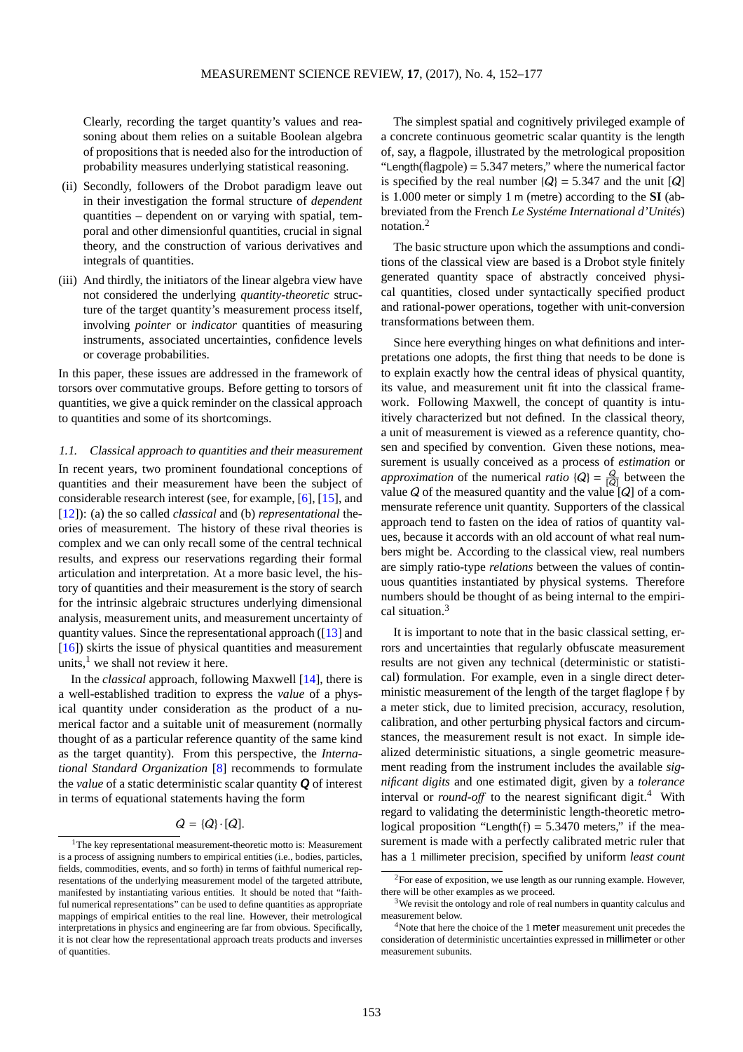Clearly, recording the target quantity's values and reasoning about them relies on a suitable Boolean algebra of propositions that is needed also for the introduction of probability measures underlying statistical reasoning.

- (ii) Secondly, followers of the Drobot paradigm leave out in their investigation the formal structure of *dependent* quantities – dependent on or varying with spatial, temporal and other dimensionful quantities, crucial in signal theory, and the construction of various derivatives and integrals of quantities.
- (iii) And thirdly, the initiators of the linear algebra view have not considered the underlying *quantity-theoretic* structure of the target quantity's measurement process itself, involving *pointer* or *indicator* quantities of measuring instruments, associated uncertainties, confidence levels or coverage probabilities.

In this paper, these issues are addressed in the framework of torsors over commutative groups. Before getting to torsors of quantities, we give a quick reminder on the classical approach to quantities and some of its shortcomings.

1.1. Classical approach to quantities and their measurement In recent years, two prominent foundational conceptions of quantities and their measurement have been the subject of considerable research interest (see, for example, [\[6\]](#page-24-1), [\[15\]](#page-25-3), and [\[12\]](#page-25-4)): (a) the so called *classical* and (b) *representational* theories of measurement. The history of these rival theories is complex and we can only recall some of the central technical results, and express our reservations regarding their formal articulation and interpretation. At a more basic level, the history of quantities and their measurement is the story of search for the intrinsic algebraic structures underlying dimensional analysis, measurement units, and measurement uncertainty of quantity values. Since the representational approach ([\[13\]](#page-25-5) and [\[16\]](#page-25-6)) skirts the issue of physical quantities and measurement units, $<sup>1</sup>$  $<sup>1</sup>$  $<sup>1</sup>$  we shall not review it here.</sup>

In the *classical* approach, following Maxwell [\[14\]](#page-25-7), there is a well-established tradition to express the *value* of a physical quantity under consideration as the product of a numerical factor and a suitable unit of measurement (normally thought of as a particular reference quantity of the same kind as the target quantity). From this perspective, the *International Standard Organization* [\[8\]](#page-25-8) recommends to formulate the *value* of a static deterministic scalar quantity *Q* of interest in terms of equational statements having the form

# $Q = {Q} \cdot [Q]$ .

The simplest spatial and cognitively privileged example of a concrete continuous geometric scalar quantity is the length of, say, a flagpole, illustrated by the metrological proposition "Length(flagpole)  $=$  5.347 meters," where the numerical factor is specified by the real number  $\{Q\} = 5.347$  and the unit  $[Q]$ is 1.000 meter or simply 1 m (metre) according to the **SI** (abbreviated from the French *Le Systéme International d'Unités*) notation.[2](#page-1-1)

The basic structure upon which the assumptions and conditions of the classical view are based is a Drobot style finitely generated quantity space of abstractly conceived physical quantities, closed under syntactically specified product and rational-power operations, together with unit-conversion transformations between them.

Since here everything hinges on what definitions and interpretations one adopts, the first thing that needs to be done is to explain exactly how the central ideas of physical quantity, its value, and measurement unit fit into the classical framework. Following Maxwell, the concept of quantity is intuitively characterized but not defined. In the classical theory, a unit of measurement is viewed as a reference quantity, chosen and specified by convention. Given these notions, measurement is usually conceived as a process of *estimation* or *approximation* of the numerical *ratio*  $\{Q\} = \frac{Q}{|Q|}$  between the value  $Q$  of the measured quantity and the value  $[Q]$  of a commensurate reference unit quantity. Supporters of the classical approach tend to fasten on the idea of ratios of quantity values, because it accords with an old account of what real numbers might be. According to the classical view, real numbers are simply ratio-type *relations* between the values of continuous quantities instantiated by physical systems. Therefore numbers should be thought of as being internal to the empirical situation.[3](#page-1-2)

It is important to note that in the basic classical setting, errors and uncertainties that regularly obfuscate measurement results are not given any technical (deterministic or statistical) formulation. For example, even in a single direct deterministic measurement of the length of the target flaglope f by a meter stick, due to limited precision, accuracy, resolution, calibration, and other perturbing physical factors and circumstances, the measurement result is not exact. In simple idealized deterministic situations, a single geometric measurement reading from the instrument includes the available *significant digits* and one estimated digit, given by a *tolerance* interval or *round-off* to the nearest significant digit.<sup>[4](#page-1-3)</sup> With regard to validating the deterministic length-theoretic metrological proposition "Length(f) =  $5.3470$  meters," if the measurement is made with a perfectly calibrated metric ruler that has a 1 millimeter precision, specified by uniform *least count*

<span id="page-1-0"></span><sup>&</sup>lt;sup>1</sup>The key representational measurement-theoretic motto is: Measurement is a process of assigning numbers to empirical entities (i.e., bodies, particles, fields, commodities, events, and so forth) in terms of faithful numerical representations of the underlying measurement model of the targeted attribute, manifested by instantiating various entities. It should be noted that "faithful numerical representations" can be used to define quantities as appropriate mappings of empirical entities to the real line. However, their metrological interpretations in physics and engineering are far from obvious. Specifically, it is not clear how the representational approach treats products and inverses of quantities.

<span id="page-1-1"></span> $2F$ or ease of exposition, we use length as our running example. However, there will be other examples as we proceed.

<span id="page-1-2"></span><sup>&</sup>lt;sup>3</sup>We revisit the ontology and role of real numbers in quantity calculus and measurement below.

<span id="page-1-3"></span><sup>4</sup>Note that here the choice of the 1 meter measurement unit precedes the consideration of deterministic uncertainties expressed in millimeter or other measurement subunits.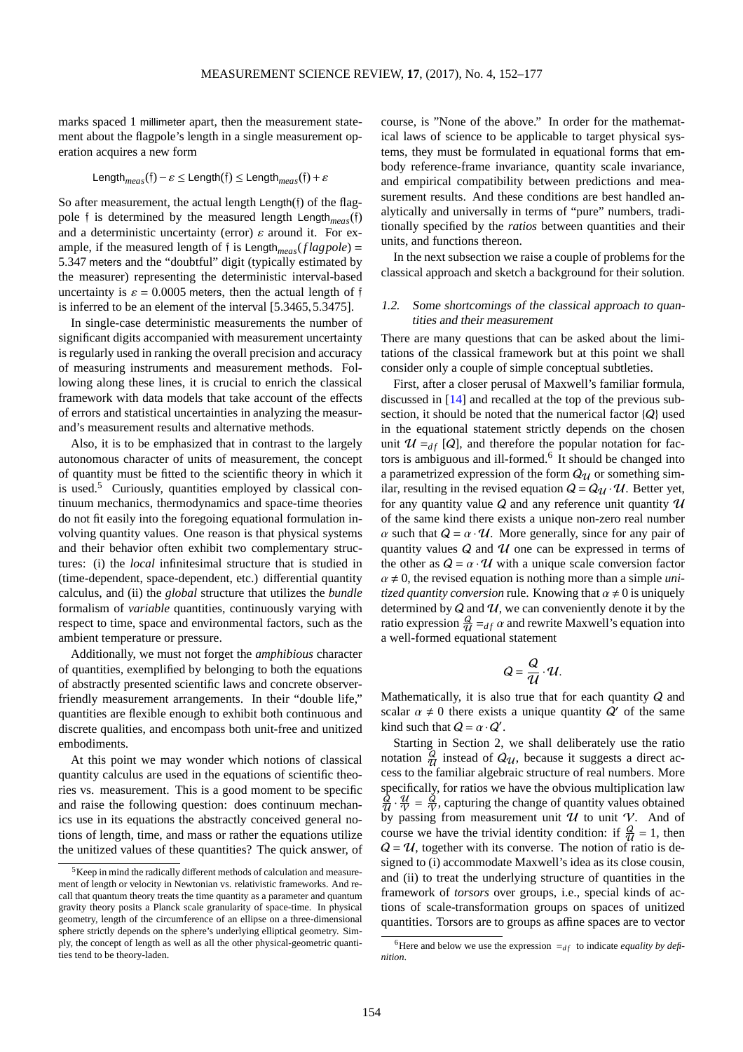marks spaced 1 millimeter apart, then the measurement statement about the flagpole's length in a single measurement operation acquires a new form

$$
\mathsf{Length}_{meas}(\mathfrak{f}) - \varepsilon \le \mathsf{Length}(\mathfrak{f}) \le \mathsf{Length}_{meas}(\mathfrak{f}) + \varepsilon
$$

So after measurement, the actual length Length(f) of the flagpole f is determined by the measured length Length*meas*(f) and a deterministic uncertainty (error)  $\varepsilon$  around it. For example, if the measured length of f is Length*meas*(*f lagpole*) = 5.347 meters and the "doubtful" digit (typically estimated by the measurer) representing the deterministic interval-based uncertainty is  $\varepsilon = 0.0005$  meters, then the actual length of f is inferred to be an element of the interval [5.3465,5.3475].

In single-case deterministic measurements the number of significant digits accompanied with measurement uncertainty is regularly used in ranking the overall precision and accuracy of measuring instruments and measurement methods. Following along these lines, it is crucial to enrich the classical framework with data models that take account of the effects of errors and statistical uncertainties in analyzing the measurand's measurement results and alternative methods.

Also, it is to be emphasized that in contrast to the largely autonomous character of units of measurement, the concept of quantity must be fitted to the scientific theory in which it is used. $5$  Curiously, quantities employed by classical continuum mechanics, thermodynamics and space-time theories do not fit easily into the foregoing equational formulation involving quantity values. One reason is that physical systems and their behavior often exhibit two complementary structures: (i) the *local* infinitesimal structure that is studied in (time-dependent, space-dependent, etc.) differential quantity calculus, and (ii) the *global* structure that utilizes the *bundle* formalism of *variable* quantities, continuously varying with respect to time, space and environmental factors, such as the ambient temperature or pressure.

Additionally, we must not forget the *amphibious* character of quantities, exemplified by belonging to both the equations of abstractly presented scientific laws and concrete observerfriendly measurement arrangements. In their "double life," quantities are flexible enough to exhibit both continuous and discrete qualities, and encompass both unit-free and unitized embodiments.

At this point we may wonder which notions of classical quantity calculus are used in the equations of scientific theories vs. measurement. This is a good moment to be specific and raise the following question: does continuum mechanics use in its equations the abstractly conceived general notions of length, time, and mass or rather the equations utilize the unitized values of these quantities? The quick answer, of course, is "None of the above." In order for the mathematical laws of science to be applicable to target physical systems, they must be formulated in equational forms that embody reference-frame invariance, quantity scale invariance, and empirical compatibility between predictions and measurement results. And these conditions are best handled analytically and universally in terms of "pure" numbers, traditionally specified by the *ratios* between quantities and their units, and functions thereon.

In the next subsection we raise a couple of problems for the classical approach and sketch a background for their solution.

# 1.2. Some shortcomings of the classical approach to quantities and their measurement

There are many questions that can be asked about the limitations of the classical framework but at this point we shall consider only a couple of simple conceptual subtleties.

First, after a closer perusal of Maxwell's familiar formula, discussed in [\[14\]](#page-25-7) and recalled at the top of the previous subsection, it should be noted that the numerical factor  $\{Q\}$  used in the equational statement strictly depends on the chosen unit  $\mathcal{U} =_{df} [Q]$ , and therefore the popular notation for fac-tors is ambiguous and ill-formed.<sup>[6](#page-2-1)</sup> It should be changed into a parametrized expression of the form  $Q_{\mathcal{U}}$  or something similar, resulting in the revised equation  $Q = Q_{\mathcal{U}} \cdot \mathcal{U}$ . Better yet, for any quantity value  $Q$  and any reference unit quantity  $U$ of the same kind there exists a unique non-zero real number  $\alpha$  such that  $Q = \alpha \cdot \mathcal{U}$ . More generally, since for any pair of quantity values  $Q$  and  $U$  one can be expressed in terms of the other as  $Q = \alpha \cdot U$  with a unique scale conversion factor  $\alpha \neq 0$ , the revised equation is nothing more than a simple *unitized quantity conversion* rule. Knowing that  $\alpha \neq 0$  is uniquely determined by  $Q$  and  $U$ , we can conveniently denote it by the ratio expression  $\frac{Q}{U} =_{df} \alpha$  and rewrite Maxwell's equation into a well-formed equational statement

$$
Q=\frac{Q}{U}\cdot U.
$$

Mathematically, it is also true that for each quantity  $Q$  and scalar  $\alpha \neq 0$  there exists a unique quantity  $Q'$  of the same kind such that  $Q = \alpha \cdot Q'$ .

Starting in Section 2, we shall deliberately use the ratio notation  $\frac{Q}{U}$  instead of  $Q_U$ , because it suggests a direct ac-U cess to the familiar algebraic structure of real numbers. More specifically, for ratios we have the obvious multiplication law  $\frac{Q}{U} \cdot \frac{U}{V} = \frac{Q}{V}$ , capturing the change of quantity values obtained by passing from measurement unit  $U$  to unit  $V$ . And of course we have the trivial identity condition: if  $\frac{Q}{U} = 1$ , then  $Q = U$ , together with its converse. The notion of ratio is designed to (i) accommodate Maxwell's idea as its close cousin, and (ii) to treat the underlying structure of quantities in the framework of *torsors* over groups, i.e., special kinds of actions of scale-transformation groups on spaces of unitized quantities. Torsors are to groups as affine spaces are to vector

<span id="page-2-0"></span><sup>5</sup>Keep in mind the radically different methods of calculation and measurement of length or velocity in Newtonian vs. relativistic frameworks. And recall that quantum theory treats the time quantity as a parameter and quantum gravity theory posits a Planck scale granularity of space-time. In physical geometry, length of the circumference of an ellipse on a three-dimensional sphere strictly depends on the sphere's underlying elliptical geometry. Simply, the concept of length as well as all the other physical-geometric quantities tend to be theory-laden.

<span id="page-2-1"></span><sup>&</sup>lt;sup>6</sup>Here and below we use the expression  $=_{df}$  to indicate *equality by definition*.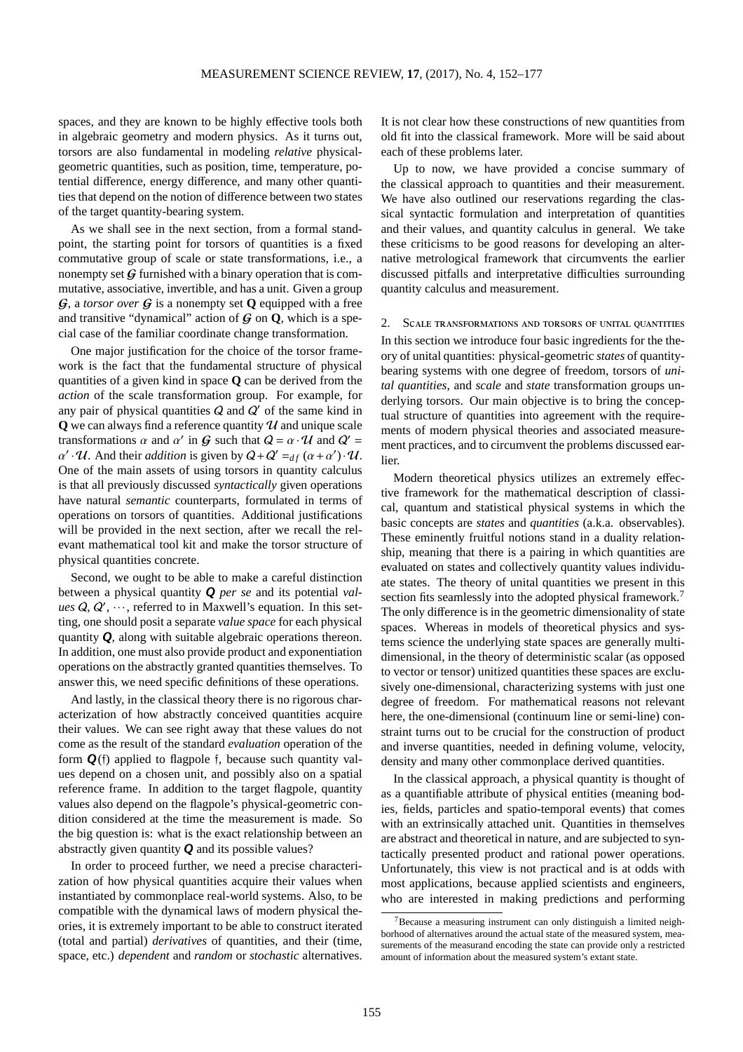spaces, and they are known to be highly effective tools both in algebraic geometry and modern physics. As it turns out, torsors are also fundamental in modeling *relative* physicalgeometric quantities, such as position, time, temperature, potential difference, energy difference, and many other quantities that depend on the notion of difference between two states of the target quantity-bearing system.

As we shall see in the next section, from a formal standpoint, the starting point for torsors of quantities is a fixed commutative group of scale or state transformations, i.e., a nonempty set  $G$  furnished with a binary operation that is commutative, associative, invertible, and has a unit. Given a group  $G$ , a *torsor over*  $G$  is a nonempty set **Q** equipped with a free and transitive "dynamical" action of  $\mathcal G$  on  $\mathbf Q$ , which is a special case of the familiar coordinate change transformation.

One major justification for the choice of the torsor framework is the fact that the fundamental structure of physical quantities of a given kind in space **Q** can be derived from the *action* of the scale transformation group. For example, for any pair of physical quantities  $Q$  and  $Q'$  of the same kind in **Q** we can always find a reference quantity  $U$  and unique scale transformations  $\alpha$  and  $\alpha'$  in  $\mathcal G$  such that  $\mathcal Q = \alpha \cdot \mathcal U$  and  $\mathcal Q' =$  $\alpha' \cdot \mathcal{U}$ . And their *addition* is given by  $Q + Q' =_{df} (\alpha + \alpha') \cdot \mathcal{U}$ . One of the main assets of using torsors in quantity calculus is that all previously discussed *syntactically* given operations have natural *semantic* counterparts, formulated in terms of operations on torsors of quantities. Additional justifications will be provided in the next section, after we recall the relevant mathematical tool kit and make the torsor structure of physical quantities concrete.

Second, we ought to be able to make a careful distinction between a physical quantity *Q per se* and its potential *values*  $Q, Q', \dots$ , referred to in Maxwell's equation. In this setting, one should posit a separate *value space* for each physical quantity *Q*, along with suitable algebraic operations thereon. In addition, one must also provide product and exponentiation operations on the abstractly granted quantities themselves. To answer this, we need specific definitions of these operations.

And lastly, in the classical theory there is no rigorous characterization of how abstractly conceived quantities acquire their values. We can see right away that these values do not come as the result of the standard *evaluation* operation of the form  $Q(f)$  applied to flagpole f, because such quantity values depend on a chosen unit, and possibly also on a spatial reference frame. In addition to the target flagpole, quantity values also depend on the flagpole's physical-geometric condition considered at the time the measurement is made. So the big question is: what is the exact relationship between an abstractly given quantity *Q* and its possible values?

In order to proceed further, we need a precise characterization of how physical quantities acquire their values when instantiated by commonplace real-world systems. Also, to be compatible with the dynamical laws of modern physical theories, it is extremely important to be able to construct iterated (total and partial) *derivatives* of quantities, and their (time, space, etc.) *dependent* and *random* or *stochastic* alternatives.

It is not clear how these constructions of new quantities from old fit into the classical framework. More will be said about each of these problems later.

Up to now, we have provided a concise summary of the classical approach to quantities and their measurement. We have also outlined our reservations regarding the classical syntactic formulation and interpretation of quantities and their values, and quantity calculus in general. We take these criticisms to be good reasons for developing an alternative metrological framework that circumvents the earlier discussed pitfalls and interpretative difficulties surrounding quantity calculus and measurement.

2. Scale transformations and torsors of unital quantities In this section we introduce four basic ingredients for the theory of unital quantities: physical-geometric *states* of quantitybearing systems with one degree of freedom, torsors of *unital quantities*, and *scale* and *state* transformation groups underlying torsors. Our main objective is to bring the conceptual structure of quantities into agreement with the requirements of modern physical theories and associated measurement practices, and to circumvent the problems discussed earlier.

Modern theoretical physics utilizes an extremely effective framework for the mathematical description of classical, quantum and statistical physical systems in which the basic concepts are *states* and *quantities* (a.k.a. observables). These eminently fruitful notions stand in a duality relationship, meaning that there is a pairing in which quantities are evaluated on states and collectively quantity values individuate states. The theory of unital quantities we present in this section fits seamlessly into the adopted physical framework.<sup>[7](#page-3-0)</sup> The only difference is in the geometric dimensionality of state spaces. Whereas in models of theoretical physics and systems science the underlying state spaces are generally multidimensional, in the theory of deterministic scalar (as opposed to vector or tensor) unitized quantities these spaces are exclusively one-dimensional, characterizing systems with just one degree of freedom. For mathematical reasons not relevant here, the one-dimensional (continuum line or semi-line) constraint turns out to be crucial for the construction of product and inverse quantities, needed in defining volume, velocity, density and many other commonplace derived quantities.

In the classical approach, a physical quantity is thought of as a quantifiable attribute of physical entities (meaning bodies, fields, particles and spatio-temporal events) that comes with an extrinsically attached unit. Quantities in themselves are abstract and theoretical in nature, and are subjected to syntactically presented product and rational power operations. Unfortunately, this view is not practical and is at odds with most applications, because applied scientists and engineers, who are interested in making predictions and performing

<span id="page-3-0"></span> $7$ Because a measuring instrument can only distinguish a limited neighborhood of alternatives around the actual state of the measured system, measurements of the measurand encoding the state can provide only a restricted amount of information about the measured system's extant state.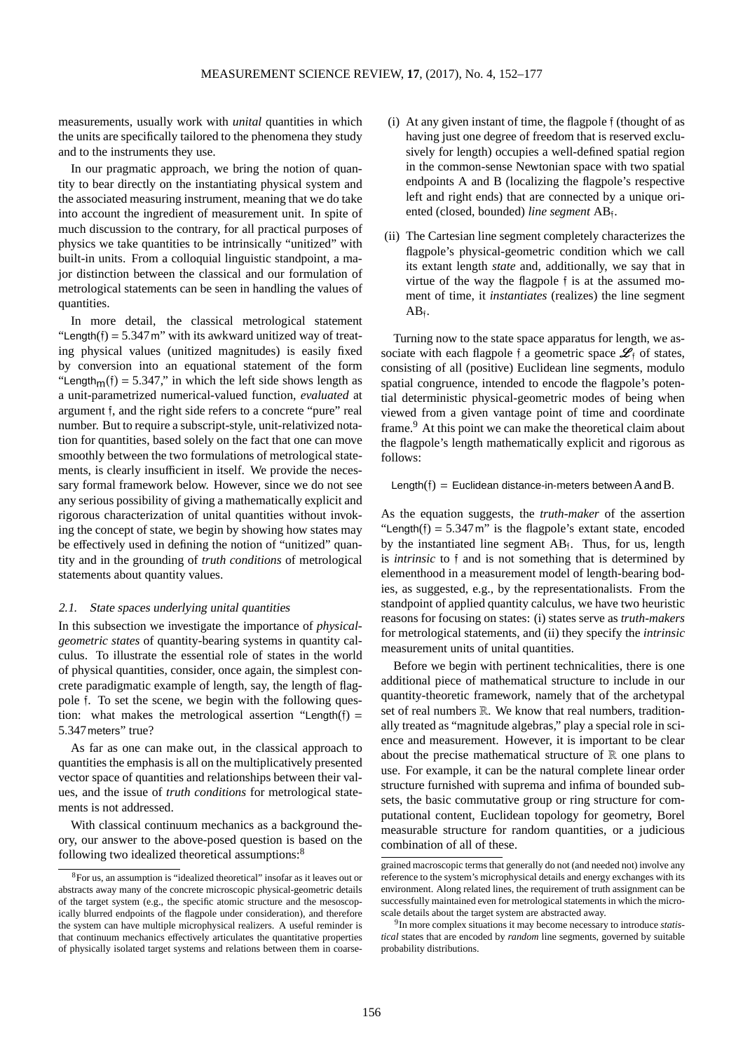measurements, usually work with *unital* quantities in which the units are specifically tailored to the phenomena they study and to the instruments they use.

In our pragmatic approach, we bring the notion of quantity to bear directly on the instantiating physical system and the associated measuring instrument, meaning that we do take into account the ingredient of measurement unit. In spite of much discussion to the contrary, for all practical purposes of physics we take quantities to be intrinsically "unitized" with built-in units. From a colloquial linguistic standpoint, a major distinction between the classical and our formulation of metrological statements can be seen in handling the values of quantities.

In more detail, the classical metrological statement "Length $(f) = 5.347$  m" with its awkward unitized way of treating physical values (unitized magnitudes) is easily fixed by conversion into an equational statement of the form "Length<sub>m</sub> $(f) = 5.347$ ," in which the left side shows length as a unit-parametrized numerical-valued function, *evaluated* at argument f, and the right side refers to a concrete "pure" real number. But to require a subscript-style, unit-relativized notation for quantities, based solely on the fact that one can move smoothly between the two formulations of metrological statements, is clearly insufficient in itself. We provide the necessary formal framework below. However, since we do not see any serious possibility of giving a mathematically explicit and rigorous characterization of unital quantities without invoking the concept of state, we begin by showing how states may be effectively used in defining the notion of "unitized" quantity and in the grounding of *truth conditions* of metrological statements about quantity values.

## 2.1. State spaces underlying unital quantities

In this subsection we investigate the importance of *physicalgeometric states* of quantity-bearing systems in quantity calculus. To illustrate the essential role of states in the world of physical quantities, consider, once again, the simplest concrete paradigmatic example of length, say, the length of flagpole f. To set the scene, we begin with the following question: what makes the metrological assertion "Length $(f)$  = 5.347meters" true?

As far as one can make out, in the classical approach to quantities the emphasis is all on the multiplicatively presented vector space of quantities and relationships between their values, and the issue of *truth conditions* for metrological statements is not addressed.

With classical continuum mechanics as a background theory, our answer to the above-posed question is based on the following two idealized theoretical assumptions:<sup>[8](#page-4-0)</sup>

- (i) At any given instant of time, the flagpole f (thought of as having just one degree of freedom that is reserved exclusively for length) occupies a well-defined spatial region in the common-sense Newtonian space with two spatial endpoints A and B (localizing the flagpole's respective left and right ends) that are connected by a unique oriented (closed, bounded) line segment AB<sub>f</sub>.
- (ii) The Cartesian line segment completely characterizes the flagpole's physical-geometric condition which we call its extant length *state* and, additionally, we say that in virtue of the way the flagpole f is at the assumed moment of time, it *instantiates* (realizes) the line segment  $AB_{\tilde{1}}$ .

Turning now to the state space apparatus for length, we associate with each flagpole f a geometric space  $\mathcal{L}_f$  of states, consisting of all (positive) Euclidean line segments, modulo spatial congruence, intended to encode the flagpole's potential deterministic physical-geometric modes of being when viewed from a given vantage point of time and coordinate frame.<sup>[9](#page-4-1)</sup> At this point we can make the theoretical claim about the flagpole's length mathematically explicit and rigorous as follows:

Length(f) = Euclidean distance-in-meters between  $A$  and  $B$ .

As the equation suggests, the *truth-maker* of the assertion "Length(f) =  $5.347$  m" is the flagpole's extant state, encoded by the instantiated line segment  $AB_j$ . Thus, for us, length is *intrinsic* to f and is not something that is determined by elementhood in a measurement model of length-bearing bodies, as suggested, e.g., by the representationalists. From the standpoint of applied quantity calculus, we have two heuristic reasons for focusing on states: (i) states serve as *truth-makers* for metrological statements, and (ii) they specify the *intrinsic* measurement units of unital quantities.

Before we begin with pertinent technicalities, there is one additional piece of mathematical structure to include in our quantity-theoretic framework, namely that of the archetypal set of real numbers  $\mathbb R$ . We know that real numbers, traditionally treated as "magnitude algebras," play a special role in science and measurement. However, it is important to be clear about the precise mathematical structure of  $\mathbb R$  one plans to use. For example, it can be the natural complete linear order structure furnished with suprema and infima of bounded subsets, the basic commutative group or ring structure for computational content, Euclidean topology for geometry, Borel measurable structure for random quantities, or a judicious combination of all of these.

<span id="page-4-0"></span><sup>8</sup>For us, an assumption is "idealized theoretical" insofar as it leaves out or abstracts away many of the concrete microscopic physical-geometric details of the target system (e.g., the specific atomic structure and the mesoscopically blurred endpoints of the flagpole under consideration), and therefore the system can have multiple microphysical realizers. A useful reminder is that continuum mechanics effectively articulates the quantitative properties of physically isolated target systems and relations between them in coarse-

grained macroscopic terms that generally do not (and needed not) involve any reference to the system's microphysical details and energy exchanges with its environment. Along related lines, the requirement of truth assignment can be successfully maintained even for metrological statements in which the microscale details about the target system are abstracted away.

<span id="page-4-1"></span><sup>9</sup> In more complex situations it may become necessary to introduce *statistical* states that are encoded by *random* line segments, governed by suitable probability distributions.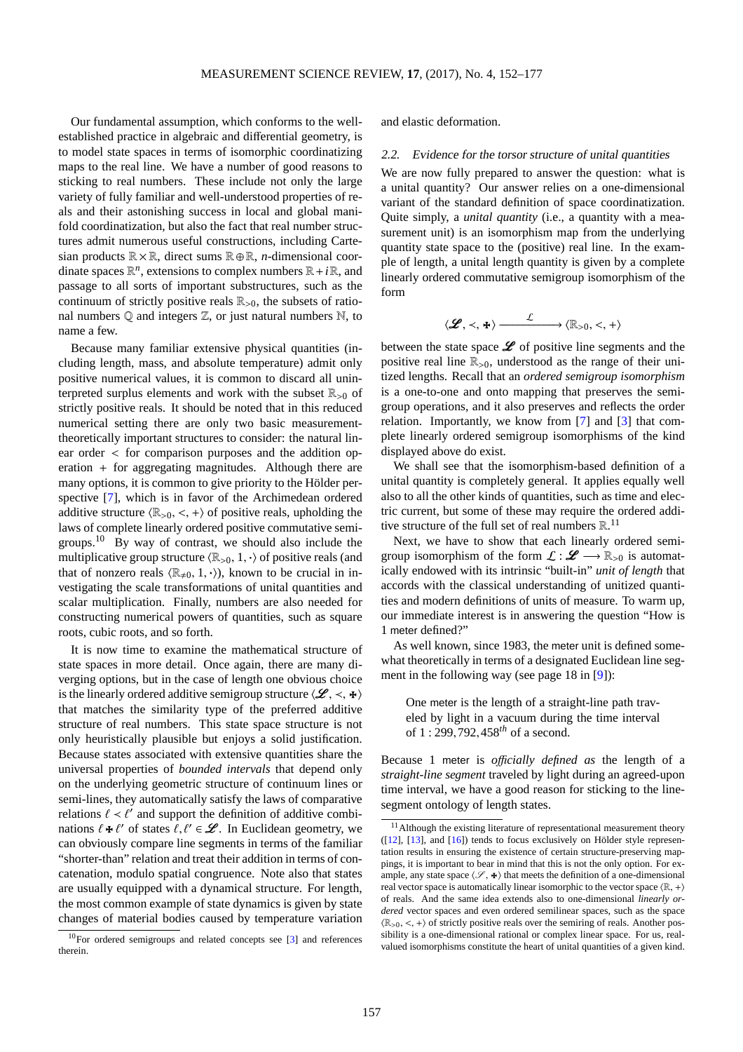Our fundamental assumption, which conforms to the wellestablished practice in algebraic and differential geometry, is to model state spaces in terms of isomorphic coordinatizing maps to the real line. We have a number of good reasons to sticking to real numbers. These include not only the large variety of fully familiar and well-understood properties of reals and their astonishing success in local and global manifold coordinatization, but also the fact that real number structures admit numerous useful constructions, including Cartesian products R×R, direct sums R⊕R, *n*-dimensional coordinate spaces  $\mathbb{R}^n$ , extensions to complex numbers  $\mathbb{R} + i\mathbb{R}$ , and passage to all sorts of important substructures, such as the continuum of strictly positive reals  $\mathbb{R}_{>0}$ , the subsets of rational numbers  $Q$  and integers  $Z$ , or just natural numbers  $N$ , to name a few.

Because many familiar extensive physical quantities (including length, mass, and absolute temperature) admit only positive numerical values, it is common to discard all uninterpreted surplus elements and work with the subset  $\mathbb{R}_{>0}$  of strictly positive reals. It should be noted that in this reduced numerical setting there are only two basic measurementtheoretically important structures to consider: the natural linear order < for comparison purposes and the addition operation + for aggregating magnitudes. Although there are many options, it is common to give priority to the Hölder perspective [\[7\]](#page-24-2), which is in favor of the Archimedean ordered additive structure  $\langle \mathbb{R}_{>0}, \langle + \rangle$  of positive reals, upholding the laws of complete linearly ordered positive commutative semigroups.[10](#page-5-0) By way of contrast, we should also include the multiplicative group structure  $\langle \mathbb{R}_{>0}, 1, \cdot \rangle$  of positive reals (and that of nonzero reals  $\langle \mathbb{R}_{\neq 0}, 1, \cdot \rangle$ , known to be crucial in investigating the scale transformations of unital quantities and scalar multiplication. Finally, numbers are also needed for constructing numerical powers of quantities, such as square roots, cubic roots, and so forth.

It is now time to examine the mathematical structure of state spaces in more detail. Once again, there are many diverging options, but in the case of length one obvious choice is the linearly ordered additive semigroup structure  $\langle \mathcal{L}, \prec, \star \rangle$ that matches the similarity type of the preferred additive structure of real numbers. This state space structure is not only heuristically plausible but enjoys a solid justification. Because states associated with extensive quantities share the universal properties of *bounded intervals* that depend only on the underlying geometric structure of continuum lines or semi-lines, they automatically satisfy the laws of comparative relations  $\ell < \ell'$  and support the definition of additive combinations  $\ell * \ell'$  of states  $\ell, \ell' \in \mathcal{L}$ . In Euclidean geometry, we can obviously compare line segments in terms of the familiar "shorter-than" relation and treat their addition in terms of concatenation, modulo spatial congruence. Note also that states are usually equipped with a dynamical structure. For length, the most common example of state dynamics is given by state changes of material bodies caused by temperature variation and elastic deformation.

2.2. Evidence for the torsor structure of unital quantities

We are now fully prepared to answer the question: what is a unital quantity? Our answer relies on a one-dimensional variant of the standard definition of space coordinatization. Quite simply, a *unital quantity* (i.e., a quantity with a measurement unit) is an isomorphism map from the underlying quantity state space to the (positive) real line. In the example of length, a unital length quantity is given by a complete linearly ordered commutative semigroup isomorphism of the form

$$
\langle \mathscr{L}, \prec, \star \rangle \xrightarrow{\mathcal{L}} \langle \mathbb{R}_{>0}, \prec, + \rangle
$$

between the state space  $\mathscr L$  of positive line segments and the positive real line  $\mathbb{R}_{>0}$ , understood as the range of their unitized lengths. Recall that an *ordered semigroup isomorphism* is a one-to-one and onto mapping that preserves the semigroup operations, and it also preserves and reflects the order relation. Importantly, we know from [\[7\]](#page-24-2) and [\[3\]](#page-24-3) that complete linearly ordered semigroup isomorphisms of the kind displayed above do exist.

We shall see that the isomorphism-based definition of a unital quantity is completely general. It applies equally well also to all the other kinds of quantities, such as time and electric current, but some of these may require the ordered additive structure of the full set of real numbers  $\mathbb{R}^{11}$  $\mathbb{R}^{11}$  $\mathbb{R}^{11}$ .

Next, we have to show that each linearly ordered semigroup isomorphism of the form  $\mathcal{L} : \mathcal{L} \longrightarrow \mathbb{R}_{>0}$  is automatically endowed with its intrinsic "built-in" *unit of length* that accords with the classical understanding of unitized quantities and modern definitions of units of measure. To warm up, our immediate interest is in answering the question "How is 1 meter defined?"

As well known, since 1983, the meter unit is defined somewhat theoretically in terms of a designated Euclidean line segment in the following way (see page 18 in [\[9\]](#page-25-9)):

One meter is the length of a straight-line path traveled by light in a vacuum during the time interval of 1 : 299,792,458*th* of a second.

Because 1 meter is *o*ffi*cially defined as* the length of a *straight-line segment* traveled by light during an agreed-upon time interval, we have a good reason for sticking to the linesegment ontology of length states.

<span id="page-5-0"></span><sup>10</sup>For ordered semigroups and related concepts see [\[3\]](#page-24-3) and references therein.

<span id="page-5-1"></span> $11$ Although the existing literature of representational measurement theory ([\[12\]](#page-25-4), [\[13\]](#page-25-5), and [\[16\]](#page-25-6)) tends to focus exclusively on Hölder style representation results in ensuring the existence of certain structure-preserving mappings, it is important to bear in mind that this is not the only option. For example, any state space  $\langle \mathcal{S}, \cdot \rangle$  that meets the definition of a one-dimensional real vector space is automatically linear isomorphic to the vector space  $\langle \mathbb{R}, + \rangle$ of reals. And the same idea extends also to one-dimensional *linearly ordered* vector spaces and even ordered semilinear spaces, such as the space  $\langle \mathbb{R}_{>0}, \lt, , + \rangle$  of strictly positive reals over the semiring of reals. Another possibility is a one-dimensional rational or complex linear space. For us, realvalued isomorphisms constitute the heart of unital quantities of a given kind.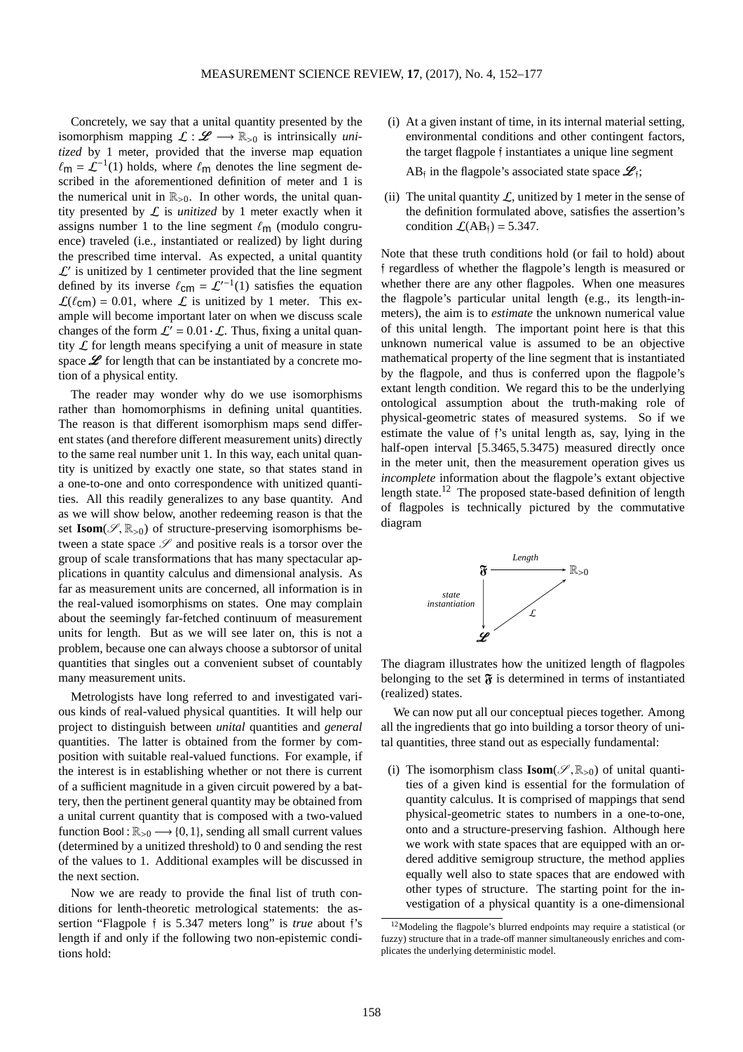Concretely, we say that a unital quantity presented by the isomorphism mapping  $\mathcal{L} : \mathscr{L} \longrightarrow \mathbb{R}_{>0}$  is intrinsically *unitized* by 1 meter, provided that the inverse map equation  $\ell$ m =  $\mathcal{L}^{-1}(1)$  holds, where  $\ell$ m denotes the line segment described in the aforementioned definition of meter and 1 is the numerical unit in  $\mathbb{R}_{>0}$ . In other words, the unital quantity presented by L is *unitized* by 1 meter exactly when it assigns number 1 to the line segment  $\ell_{\rm m}$  (modulo congruence) traveled (i.e., instantiated or realized) by light during the prescribed time interval. As expected, a unital quantity  $\mathcal{L}'$  is unitized by 1 centimeter provided that the line segment defined by its inverse  $\ell_{\text{cm}} = \mathcal{L}'^{-1}(1)$  satisfies the equation  $\mathcal{L}(\ell_{\text{cm}}) = 0.01$ , where  $\mathcal{L}$  is unitized by 1 meter. This example will become important later on when we discuss scale changes of the form  $\mathcal{L}' = 0.01 \cdot \mathcal{L}$ . Thus, fixing a unital quantity  $\mathcal L$  for length means specifying a unit of measure in state space  $\mathscr L$  for length that can be instantiated by a concrete motion of a physical entity.

The reader may wonder why do we use isomorphisms rather than homomorphisms in defining unital quantities. The reason is that different isomorphism maps send different states (and therefore different measurement units) directly to the same real number unit 1. In this way, each unital quantity is unitized by exactly one state, so that states stand in a one-to-one and onto correspondence with unitized quantities. All this readily generalizes to any base quantity. And as we will show below, another redeeming reason is that the set  $\text{Isom}(\mathscr{S}, \mathbb{R}_{>0})$  of structure-preserving isomorphisms between a state space  $\mathscr S$  and positive reals is a torsor over the group of scale transformations that has many spectacular applications in quantity calculus and dimensional analysis. As far as measurement units are concerned, all information is in the real-valued isomorphisms on states. One may complain about the seemingly far-fetched continuum of measurement units for length. But as we will see later on, this is not a problem, because one can always choose a subtorsor of unital quantities that singles out a convenient subset of countably many measurement units.

Metrologists have long referred to and investigated various kinds of real-valued physical quantities. It will help our project to distinguish between *unital* quantities and *general* quantities. The latter is obtained from the former by composition with suitable real-valued functions. For example, if the interest is in establishing whether or not there is current of a sufficient magnitude in a given circuit powered by a battery, then the pertinent general quantity may be obtained from a unital current quantity that is composed with a two-valued function Bool :  $\mathbb{R}_{>0} \longrightarrow \{0,1\}$ , sending all small current values (determined by a unitized threshold) to 0 and sending the rest of the values to 1. Additional examples will be discussed in the next section.

Now we are ready to provide the final list of truth conditions for lenth-theoretic metrological statements: the assertion "Flagpole f is 5.347 meters long" is *true* about f's length if and only if the following two non-epistemic conditions hold:

(i) At a given instant of time, in its internal material setting, environmental conditions and other contingent factors, the target flagpole f instantiates a unique line segment

AB<sub>i</sub> in the flagpole's associated state space  $\mathcal{L}_i$ ;

(ii) The unital quantity  $\mathcal{L}$ , unitized by 1 meter in the sense of the definition formulated above, satisfies the assertion's condition  $\mathcal{L}(AB_{\dagger}) = 5.347$ .

Note that these truth conditions hold (or fail to hold) about f regardless of whether the flagpole's length is measured or whether there are any other flagpoles. When one measures the flagpole's particular unital length (e.g., its length-inmeters), the aim is to *estimate* the unknown numerical value of this unital length. The important point here is that this unknown numerical value is assumed to be an objective mathematical property of the line segment that is instantiated by the flagpole, and thus is conferred upon the flagpole's extant length condition. We regard this to be the underlying ontological assumption about the truth-making role of physical-geometric states of measured systems. So if we estimate the value of f's unital length as, say, lying in the half-open interval [5.3465,5.3475) measured directly once in the meter unit, then the measurement operation gives us *incomplete* information about the flagpole's extant objective length state.<sup>[12](#page-6-0)</sup> The proposed state-based definition of length of flagpoles is technically pictured by the commutative diagram



The diagram illustrates how the unitized length of flagpoles belonging to the set  $\mathfrak F$  is determined in terms of instantiated (realized) states.

We can now put all our conceptual pieces together. Among all the ingredients that go into building a torsor theory of unital quantities, three stand out as especially fundamental:

(i) The isomorphism class  $\textbf{Isom}(\mathscr{S}, \mathbb{R}_{>0})$  of unital quantities of a given kind is essential for the formulation of quantity calculus. It is comprised of mappings that send physical-geometric states to numbers in a one-to-one, onto and a structure-preserving fashion. Although here we work with state spaces that are equipped with an ordered additive semigroup structure, the method applies equally well also to state spaces that are endowed with other types of structure. The starting point for the investigation of a physical quantity is a one-dimensional

<span id="page-6-0"></span><sup>12</sup>Modeling the flagpole's blurred endpoints may require a statistical (or fuzzy) structure that in a trade-off manner simultaneously enriches and complicates the underlying deterministic model.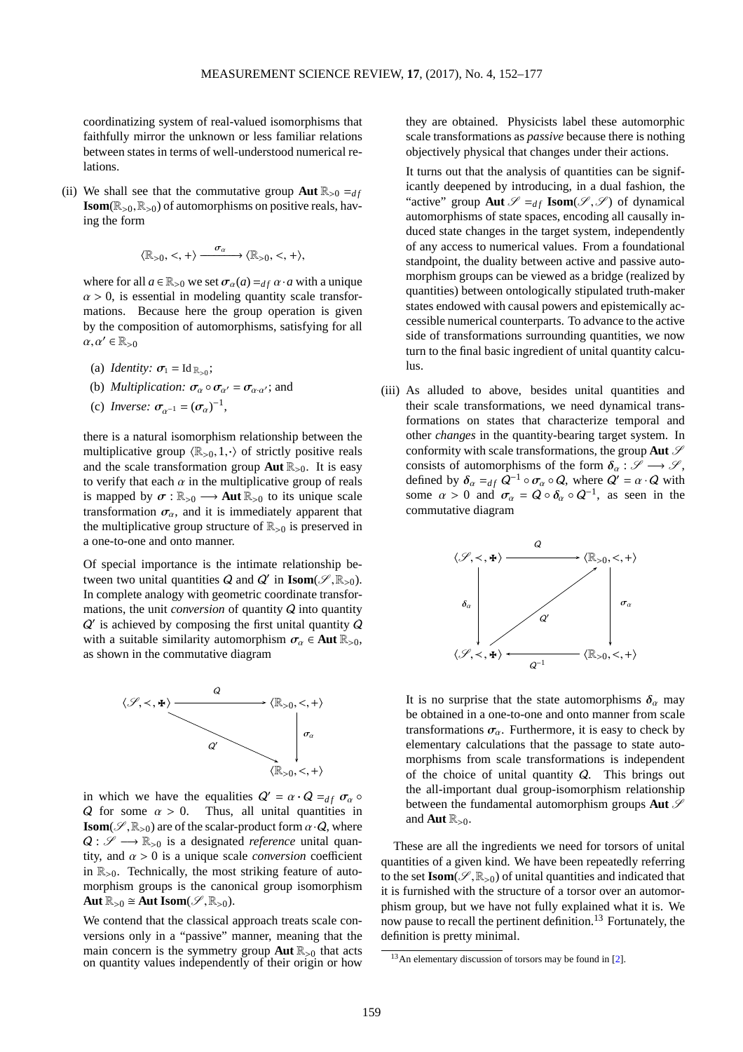coordinatizing system of real-valued isomorphisms that faithfully mirror the unknown or less familiar relations between states in terms of well-understood numerical relations.

(ii) We shall see that the commutative group **Aut**  $\mathbb{R}_{>0} =_{df}$ **Isom**( $\mathbb{R}_{>0}, \mathbb{R}_{>0}$ ) of automorphisms on positive reals, having the form

$$
\langle \mathbb{R}_{>0}, <, + \rangle \xrightarrow{\sigma_{\alpha}} \langle \mathbb{R}_{>0}, <, + \rangle,
$$

where for all  $a \in \mathbb{R}_{>0}$  we set  $\sigma_{\alpha}(a) =_{df} \alpha \cdot a$  with a unique  $\alpha > 0$ , is essential in modeling quantity scale transformations. Because here the group operation is given by the composition of automorphisms, satisfying for all  $\alpha, \alpha' \in \mathbb{R}_{>0}$ 

- (a) *Identity:*  $\sigma_1 = \text{Id}_{\mathbb{R}_{>0}}$ ;
- (b) *Multiplication:*  $\sigma_{\alpha} \circ \sigma_{\alpha'} = \sigma_{\alpha \cdot \alpha'}$ ; and
- (c) *Inverse:*  $\sigma_{\alpha^{-1}} = (\sigma_{\alpha})^{-1}$ ,

there is a natural isomorphism relationship between the multiplicative group  $\langle \mathbb{R}_{>0}, 1, \cdot \rangle$  of strictly positive reals and the scale transformation group **Aut**  $\mathbb{R}_{>0}$ . It is easy to verify that each  $\alpha$  in the multiplicative group of reals is mapped by  $\sigma : \mathbb{R}_{>0} \longrightarrow$  **Aut**  $\mathbb{R}_{>0}$  to its unique scale transformation  $\sigma_{\alpha}$ , and it is immediately apparent that the multiplicative group structure of  $\mathbb{R}_{>0}$  is preserved in a one-to-one and onto manner.

Of special importance is the intimate relationship between two unital quantities  $Q$  and  $Q'$  in **Isom**( $\mathcal{S}, \mathbb{R}_{>0}$ ). In complete analogy with geometric coordinate transformations, the unit *conversion* of quantity Q into quantity Q ′ is achieved by composing the first unital quantity Q with a suitable similarity automorphism  $\sigma_{\alpha} \in \text{Aut } \mathbb{R}_{>0}$ , as shown in the commutative diagram



in which we have the equalities  $Q' = \alpha \cdot Q = df \sigma_{\alpha}$ Q for some  $\alpha > 0$ . Thus, all unital quantities in **Isom**( $\mathscr{S}, \mathbb{R}_{>0}$ ) are of the scalar-product form  $\alpha \cdot Q$ , where  $Q: \mathscr{S} \longrightarrow \mathbb{R}_{>0}$  is a designated *reference* unital quantity, and  $\alpha > 0$  is a unique scale *conversion* coefficient in  $\mathbb{R}_{>0}$ . Technically, the most striking feature of automorphism groups is the canonical group isomorphism Aut  $\mathbb{R}_{>0} \cong$  Aut Isom( $\mathscr{S}, \mathbb{R}_{>0}$ ).

We contend that the classical approach treats scale conversions only in a "passive" manner, meaning that the main concern is the symmetry group **Aut** R><sup>0</sup> that acts on quantity values independently of their origin or how they are obtained. Physicists label these automorphic scale transformations as *passive* because there is nothing objectively physical that changes under their actions.

It turns out that the analysis of quantities can be significantly deepened by introducing, in a dual fashion, the "active" group **Aut**  $\mathcal{S} =_{df}$  **Isom**( $\mathcal{S}, \mathcal{S}$ ) of dynamical automorphisms of state spaces, encoding all causally induced state changes in the target system, independently of any access to numerical values. From a foundational standpoint, the duality between active and passive automorphism groups can be viewed as a bridge (realized by quantities) between ontologically stipulated truth-maker states endowed with causal powers and epistemically accessible numerical counterparts. To advance to the active side of transformations surrounding quantities, we now turn to the final basic ingredient of unital quantity calculus.

(iii) As alluded to above, besides unital quantities and their scale transformations, we need dynamical transformations on states that characterize temporal and other *changes* in the quantity-bearing target system. In conformity with scale transformations, the group **Aut**  $\mathcal{S}$ consists of automorphisms of the form  $\delta_{\alpha}: \mathscr{S} \longrightarrow \mathscr{S}$ , defined by  $\delta_{\alpha} =_{df} Q^{-1} \circ \sigma_{\alpha} \circ Q$ , where  $Q' = \alpha \cdot Q$  with some  $\alpha > 0$  and  $\sigma_{\alpha} = Q \circ \delta_{\alpha} \circ Q^{-1}$ , as seen in the commutative diagram



It is no surprise that the state automorphisms  $\delta_{\alpha}$  may be obtained in a one-to-one and onto manner from scale transformations  $\sigma_{\alpha}$ . Furthermore, it is easy to check by elementary calculations that the passage to state automorphisms from scale transformations is independent of the choice of unital quantity  $Q$ . This brings out the all-important dual group-isomorphism relationship between the fundamental automorphism groups  $\text{Aut } \mathcal{S}$ and **Aut**  $\mathbb{R}_{>0}$ .

These are all the ingredients we need for torsors of unital quantities of a given kind. We have been repeatedly referring to the set  $\text{Isom}(\mathscr{S}, \mathbb{R}_{>0})$  of unital quantities and indicated that it is furnished with the structure of a torsor over an automorphism group, but we have not fully explained what it is. We now pause to recall the pertinent definition.[13](#page-7-0) Fortunately, the definition is pretty minimal.

<span id="page-7-0"></span><sup>13</sup>An elementary discussion of torsors may be found in [\[2\]](#page-24-4).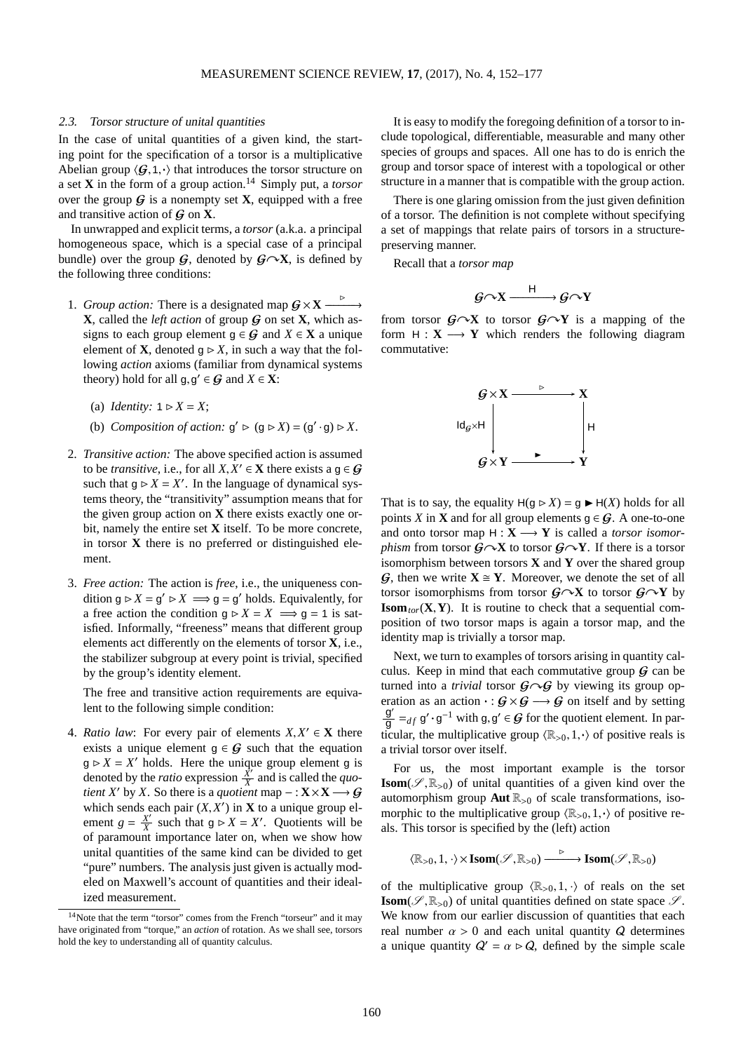#### 2.3. Torsor structure of unital quantities

In the case of unital quantities of a given kind, the starting point for the specification of a torsor is a multiplicative Abelian group  $\langle G,1,\cdot\rangle$  that introduces the torsor structure on a set **X** in the form of a group action.[14](#page-8-0) Simply put, a *torsor* over the group  $G$  is a nonempty set **X**, equipped with a free and transitive action of G on **X**.

In unwrapped and explicit terms, a *torsor* (a.k.a. a principal homogeneous space, which is a special case of a principal bundle) over the group  $G$ , denoted by  $G \sim X$ , is defined by the following three conditions:

- 1. *Group action:* There is a designated map  $G \times X \longrightarrow$ ━━━→ **X**, called the *left action* of group  $G$  on set **X**, which assigns to each group element  $g \in G$  and  $X \in X$  a unique element of **X**, denoted  $g \triangleright X$ , in such a way that the following *action* axioms (familiar from dynamical systems theory) hold for all  $g, g' \in G$  and  $X \in \mathbf{X}$ :
	- (a) *Identity:*  $1 \triangleright X = X$ ;
	- (b) *Composition of action:*  $g' \triangleright (g \triangleright X) = (g' \cdot g) \triangleright X$ .
- 2. *Transitive action:* The above specified action is assumed to be *transitive*, i.e., for all  $X, X' \in \mathbf{X}$  there exists a  $g \in \mathcal{G}$ such that  $g \triangleright X = X'$ . In the language of dynamical systems theory, the "transitivity" assumption means that for the given group action on **X** there exists exactly one orbit, namely the entire set **X** itself. To be more concrete, in torsor **X** there is no preferred or distinguished element.
- 3. *Free action:* The action is *free*, i.e., the uniqueness condition  $g \triangleright X = g' \triangleright X \implies g = g'$  holds. Equivalently, for a free action the condition  $q \triangleright X = X \implies q = 1$  is satisfied. Informally, "freeness" means that different group elements act differently on the elements of torsor **X**, i.e., the stabilizer subgroup at every point is trivial, specified by the group's identity element.

The free and transitive action requirements are equivalent to the following simple condition:

4. *Ratio law*: For every pair of elements  $X, X' \in \mathbf{X}$  there exists a unique element  $g \in G$  such that the equation  $g \triangleright X = X'$  holds. Here the unique group element g is denoted by the *ratio* expression  $\frac{X'}{X}$  and is called the *quotient X'* by *X*. So there is a *quotient* map  $- : \mathbf{X} \times \mathbf{X} \longrightarrow \mathbf{G}$ which sends each pair  $(X, X')$  in **X** to a unique group element  $g = \frac{X'}{X}$  such that  $g \triangleright X = X'$ . Quotients will be of paramount importance later on, when we show how unital quantities of the same kind can be divided to get "pure" numbers. The analysis just given is actually modeled on Maxwell's account of quantities and their idealized measurement.

It is easy to modify the foregoing definition of a torsor to include topological, differentiable, measurable and many other species of groups and spaces. All one has to do is enrich the group and torsor space of interest with a topological or other structure in a manner that is compatible with the group action.

There is one glaring omission from the just given definition of a torsor. The definition is not complete without specifying a set of mappings that relate pairs of torsors in a structurepreserving manner.

Recall that a *torsor map*

$$
\mathcal{G} \cap X \xrightarrow{\qquad \mathsf{H}} \mathcal{G} \cap Y
$$

from torsor  $G \sim X$  to torsor  $G \sim Y$  is a mapping of the form  $H: X \longrightarrow Y$  which renders the following diagram commutative:



That is to say, the equality  $H(g \triangleright X) = g \blacktriangleright H(X)$  holds for all points *X* in **X** and for all group elements  $g \in G$ . A one-to-one and onto torsor map  $H: X \longrightarrow Y$  is called a *torsor isomorphism* from torsor  $G \sim X$  to torsor  $G \sim Y$ . If there is a torsor isomorphism between torsors **X** and **Y** over the shared group G, then we write  $X \cong Y$ . Moreover, we denote the set of all torsor isomorphisms from torsor  $G \sim X$  to torsor  $G \sim Y$  by **Isom**<sub>tor</sub>( $X$ , $Y$ ). It is routine to check that a sequential composition of two torsor maps is again a torsor map, and the identity map is trivially a torsor map.

Next, we turn to examples of torsors arising in quantity calculus. Keep in mind that each commutative group  $\mathcal G$  can be turned into a *trivial* torsor  $G \setminus G$  by viewing its group operation as an action  $\cdot : G \times G \longrightarrow G$  on itself and by setting  $\frac{g'}{g} =_{df} g' \cdot g^{-1}$  with  $g, g' \in G$  for the quotient element. In particular, the multiplicative group  $\langle \mathbb{R}_{>0},1,\cdot \rangle$  of positive reals is a trivial torsor over itself.

For us, the most important example is the torsor **Isom**( $\mathscr{S}, \mathbb{R}_{>0}$ ) of unital quantities of a given kind over the automorphism group  $\text{Aut } \mathbb{R}_{>0}$  of scale transformations, isomorphic to the multiplicative group  $\langle \mathbb{R}_{>0},1,\cdot\rangle$  of positive reals. This torsor is specified by the (left) action

 $\langle \mathbb{R}_{>0}, 1, \cdot \rangle \times \text{Isom}(\mathscr{S}, \mathbb{R}_{>0}) \xrightarrow{\triangleright} \text{Isom}(\mathscr{S}, \mathbb{R}_{>0})$ 

of the multiplicative group  $\langle \mathbb{R}_{>0}, 1, \cdot \rangle$  of reals on the set **Isom**( $\mathscr{S}, \mathbb{R}_{>0}$ ) of unital quantities defined on state space  $\mathscr{S}$ . We know from our earlier discussion of quantities that each real number  $\alpha > 0$  and each unital quantity Q determines a unique quantity  $Q' = \alpha \triangleright Q$ , defined by the simple scale

<span id="page-8-0"></span><sup>&</sup>lt;sup>14</sup>Note that the term "torsor" comes from the French "torseur" and it may have originated from "torque," an *action* of rotation. As we shall see, torsors hold the key to understanding all of quantity calculus.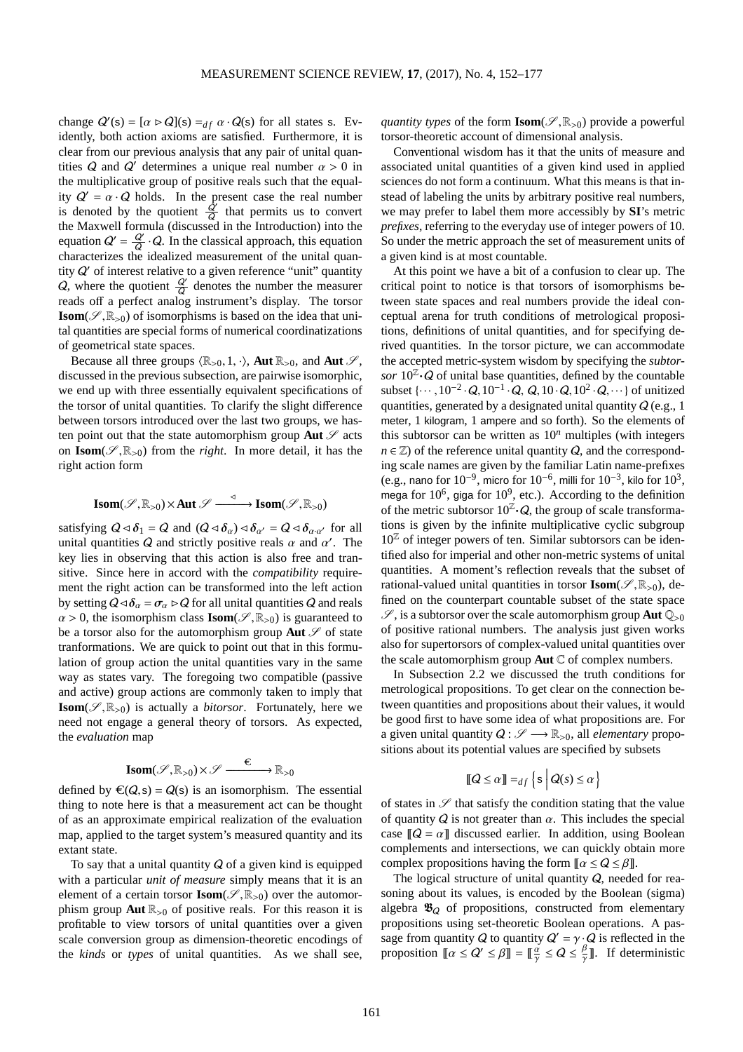change  $Q'(s) = [\alpha \triangleright Q](s) =_{df} \alpha \cdot Q(s)$  for all states s. Evidently, both action axioms are satisfied. Furthermore, it is clear from our previous analysis that any pair of unital quantities Q and Q' determines a unique real number  $\alpha > 0$  in the multiplicative group of positive reals such that the equality  $Q' = \alpha \cdot Q$  holds. In the present case the real number is denoted by the quotient  $\frac{Q'}{Q}$  that permits us to convert Q the Maxwell formula (discussed in the Introduction) into the equation  $Q' = \frac{Q'}{Q} \cdot Q$ . In the classical approach, this equation Q characterizes the idealized measurement of the unital quantity  $Q'$  of interest relative to a given reference "unit" quantity Q, where the quotient  $\frac{Q'}{Q}$  denotes the number the measurer reads off a perfect analog instrument's display. The torsor **Isom**( $\mathscr{S}, \mathbb{R}_{>0}$ ) of isomorphisms is based on the idea that unital quantities are special forms of numerical coordinatizations of geometrical state spaces.

Because all three groups  $\langle \mathbb{R}_{>0}, 1, \cdot \rangle$ , **Aut**  $\mathbb{R}_{>0}$ , and **Aut**  $\mathscr{S}$ , discussed in the previous subsection, are pairwise isomorphic, we end up with three essentially equivalent specifications of the torsor of unital quantities. To clarify the slight difference between torsors introduced over the last two groups, we hasten point out that the state automorphism group **Aut**  $\mathscr S$  acts on  $\text{Isom}(\mathscr{S}, \mathbb{R}_{>0})$  from the *right*. In more detail, it has the right action form

$$
\text{Isom}(\mathscr{S},\mathbb{R}_{>0})\!\times\!\text{Aut}\;\mathscr{S}\xrightarrow{\quad \ \ \, \triangleleft\quad \ \ \, \text{Isom}(\mathscr{S},\mathbb{R}_{>0})
$$

satisfying  $Q \triangleleft \delta_1 = Q$  and  $(Q \triangleleft \delta_\alpha) \triangleleft \delta_{\alpha'} = Q \triangleleft \delta_{\alpha' \alpha'}$  for all unital quantities Q and strictly positive reals  $\alpha$  and  $\alpha'$ . The key lies in observing that this action is also free and transitive. Since here in accord with the *compatibility* requirement the right action can be transformed into the left action by setting  $Q \triangleleft \delta_\alpha = \sigma_\alpha \triangleright Q$  for all unital quantities Q and reals  $\alpha > 0$ , the isomorphism class **Isom**( $\mathscr{S}, \mathbb{R}_{>0}$ ) is guaranteed to be a torsor also for the automorphism group **Aut**  $\mathscr S$  of state tranformations. We are quick to point out that in this formulation of group action the unital quantities vary in the same way as states vary. The foregoing two compatible (passive and active) group actions are commonly taken to imply that **Isom**( $\mathscr{S}, \mathbb{R}_{>0}$ ) is actually a *bitorsor*. Fortunately, here we need not engage a general theory of torsors. As expected, the *evaluation* map

$$
\text{Isom}(\mathscr{S},\mathbb{R}_{>0})\times\mathscr{S}\xrightarrow{\quad \ \ \infty \quad \ \ }\mathbb{R}_{>0}
$$

defined by  $\mathcal{C}(Q, s) = Q(s)$  is an isomorphism. The essential thing to note here is that a measurement act can be thought of as an approximate empirical realization of the evaluation map, applied to the target system's measured quantity and its extant state.

To say that a unital quantity  $Q$  of a given kind is equipped with a particular *unit of measure* simply means that it is an element of a certain torsor **Isom**( $\mathscr{S}, \mathbb{R}_{>0}$ ) over the automorphism group **Aut**  $\mathbb{R}_{>0}$  of positive reals. For this reason it is profitable to view torsors of unital quantities over a given scale conversion group as dimension-theoretic encodings of the *kinds* or *types* of unital quantities. As we shall see,

*quantity types* of the form **Isom**( $\mathscr{S}, \mathbb{R}_{>0}$ ) provide a powerful torsor-theoretic account of dimensional analysis.

Conventional wisdom has it that the units of measure and associated unital quantities of a given kind used in applied sciences do not form a continuum. What this means is that instead of labeling the units by arbitrary positive real numbers, we may prefer to label them more accessibly by **SI**'s metric *prefixes*, referring to the everyday use of integer powers of 10. So under the metric approach the set of measurement units of a given kind is at most countable.

At this point we have a bit of a confusion to clear up. The critical point to notice is that torsors of isomorphisms between state spaces and real numbers provide the ideal conceptual arena for truth conditions of metrological propositions, definitions of unital quantities, and for specifying derived quantities. In the torsor picture, we can accommodate the accepted metric-system wisdom by specifying the *subtorsor*  $10^{\mathbb{Z}} \cdot Q$  of unital base quantities, defined by the countable subset  $\{\cdots, 10^{-2} \cdot Q, 10^{-1} \cdot Q, Q, 10 \cdot Q, 10^{2} \cdot Q, \cdots\}$  of unitized quantities, generated by a designated unital quantity  $Q$  (e.g., 1) meter, 1 kilogram, 1 ampere and so forth). So the elements of this subtorsor can be written as  $10<sup>n</sup>$  multiples (with integers  $n \in \mathbb{Z}$ ) of the reference unital quantity  $Q$ , and the corresponding scale names are given by the familiar Latin name-prefixes (e.g., nano for  $10^{-9}$ , micro for  $10^{-6}$ , milli for  $10^{-3}$ , kilo for  $10^3$ , mega for  $10^6$ , giga for  $10^9$ , etc.). According to the definition of the metric subtorsor  $10^{\mathbb{Z}} \cdot Q$ , the group of scale transformations is given by the infinite multiplicative cyclic subgroup  $10<sup>Z</sup>$  of integer powers of ten. Similar subtorsors can be identified also for imperial and other non-metric systems of unital quantities. A moment's reflection reveals that the subset of rational-valued unital quantities in torsor **Isom**( $\mathscr{S}, \mathbb{R}_{>0}$ ), defined on the counterpart countable subset of the state space  $\mathscr{S}$ , is a subtorsor over the scale automorphism group **Aut**  $\mathbb{Q}_{>0}$ of positive rational numbers. The analysis just given works also for supertorsors of complex-valued unital quantities over the scale automorphism group **Aut** C of complex numbers.

In Subsection 2.2 we discussed the truth conditions for metrological propositions. To get clear on the connection between quantities and propositions about their values, it would be good first to have some idea of what propositions are. For a given unital quantity  $Q : \mathscr{S} \longrightarrow \mathbb{R}_{>0}$ , all *elementary* propositions about its potential values are specified by subsets

$$
\llbracket Q \le \alpha \rrbracket =_{df} \{ \mathbf{s} \mid Q(s) \le \alpha \}
$$

of states in  $\mathscr S$  that satisfy the condition stating that the value of quantity  $Q$  is not greater than  $\alpha$ . This includes the special case  $\llbracket Q = \alpha \rrbracket$  discussed earlier. In addition, using Boolean complements and intersections, we can quickly obtain more complex propositions having the form  $\llbracket \alpha \leq Q \leq \beta \rrbracket$ .

The logical structure of unital quantity  $Q$ , needed for reasoning about its values, is encoded by the Boolean (sigma) algebra  $\mathfrak{B}_Q$  of propositions, constructed from elementary propositions using set-theoretic Boolean operations. A passage from quantity Q to quantity  $Q' = \gamma \cdot Q$  is reflected in the proposition  $\llbracket \alpha \leq \alpha' \leq \beta \rrbracket = \llbracket \frac{\alpha}{\gamma} \leq \alpha \leq \frac{\beta}{\gamma} \rrbracket$ . If deterministic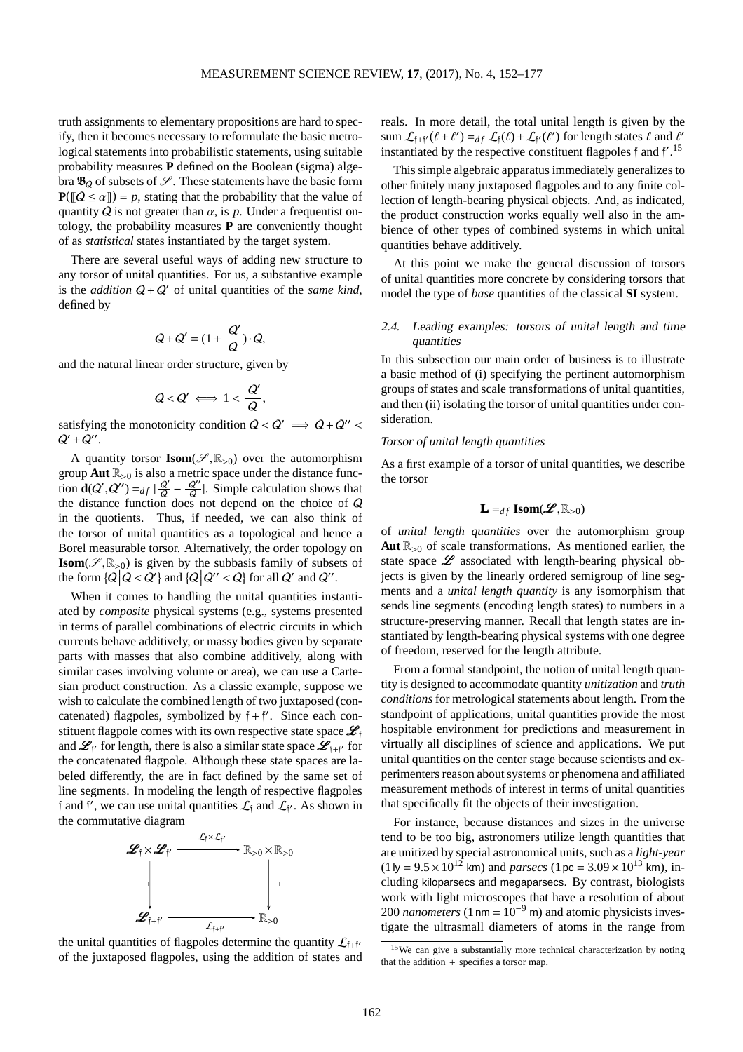truth assignments to elementary propositions are hard to specify, then it becomes necessary to reformulate the basic metrological statements into probabilistic statements, using suitable probability measures **P** defined on the Boolean (sigma) algebra  $\mathfrak{B}_Q$  of subsets of  $\mathscr{S}$ . These statements have the basic form  $P(\llbracket Q \le \alpha \rrbracket) = p$ , stating that the probability that the value of quantity  $Q$  is not greater than  $\alpha$ , is  $p$ . Under a frequentist ontology, the probability measures **P** are conveniently thought of as *statistical* states instantiated by the target system.

There are several useful ways of adding new structure to any torsor of unital quantities. For us, a substantive example is the *addition*  $Q + Q'$  of unital quantities of the *same kind*, defined by

$$
Q + Q' = (1 + \frac{Q'}{Q}) \cdot Q,
$$

and the natural linear order structure, given by

$$
Q < Q' \iff 1 < \frac{Q'}{Q},
$$

satisfying the monotonicity condition  $Q < Q' \implies Q + Q'' <$  $Q'+Q''$ .

A quantity torsor  $\text{Isom}(\mathscr{S}, \mathbb{R}_{>0})$  over the automorphism group **Aut**  $\mathbb{R}_{>0}$  is also a metric space under the distance function **d**( $Q'$ ,  $Q''$ ) =  $df \mid \frac{Q'}{Q} - \frac{Q''}{Q}$ . Simple calculation shows that the distance function does not depend on the choice of  $Q$ in the quotients. Thus, if needed, we can also think of the torsor of unital quantities as a topological and hence a Borel measurable torsor. Alternatively, the order topology on **Isom**( $\mathscr{S}, \mathbb{R}_{>0}$ ) is given by the subbasis family of subsets of the form  $\{Q \mid Q < Q'\}$  and  $\{Q \mid Q'' < Q\}$  for all  $Q'$  and  $Q''$ .

When it comes to handling the unital quantities instantiated by *composite* physical systems (e.g., systems presented in terms of parallel combinations of electric circuits in which currents behave additively, or massy bodies given by separate parts with masses that also combine additively, along with similar cases involving volume or area), we can use a Cartesian product construction. As a classic example, suppose we wish to calculate the combined length of two juxtaposed (concatenated) flagpoles, symbolized by  $\mathfrak{f} + \mathfrak{f}'$ . Since each constituent flagpole comes with its own respective state space  $\mathcal{L}_f$ and  $\mathcal{L}_{f'}$  for length, there is also a similar state space  $\mathcal{L}_{f+f'}$  for the concatenated flagpole. Although these state spaces are labeled differently, the are in fact defined by the same set of line segments. In modeling the length of respective flagpoles f and f', we can use unital quantities  $\mathcal{L}_{\text{f}}$  and  $\mathcal{L}_{\text{f}}$ . As shown in the commutative diagram



the unital quantities of flagpoles determine the quantity  $\mathcal{L}_{f+f'}$ of the juxtaposed flagpoles, using the addition of states and

reals. In more detail, the total unital length is given by the sum  $\mathcal{L}_{f+f'}(\ell+\ell') =_{df} \mathcal{L}_f(\ell) + \mathcal{L}_{f'}(\ell')$  for length states  $\ell$  and  $\ell'$ instantiated by the respective constituent flagpoles  $\mathfrak f$  and  $\mathfrak f'$ .<sup>[15](#page-10-0)</sup>

This simple algebraic apparatus immediately generalizes to other finitely many juxtaposed flagpoles and to any finite collection of length-bearing physical objects. And, as indicated, the product construction works equally well also in the ambience of other types of combined systems in which unital quantities behave additively.

At this point we make the general discussion of torsors of unital quantities more concrete by considering torsors that model the type of *base* quantities of the classical **SI** system.

# 2.4. Leading examples: torsors of unital length and time quantities

In this subsection our main order of business is to illustrate a basic method of (i) specifying the pertinent automorphism groups of states and scale transformations of unital quantities, and then (ii) isolating the torsor of unital quantities under consideration.

## *Torsor of unital length quantities*

As a first example of a torsor of unital quantities, we describe the torsor

# $\mathbf{L} =_{df} \text{Isom}(\mathcal{L}, \mathbb{R}_{>0})$

of *unital length quantities* over the automorphism group **Aut**  $\mathbb{R}_{>0}$  of scale transformations. As mentioned earlier, the state space  $\mathscr L$  associated with length-bearing physical objects is given by the linearly ordered semigroup of line segments and a *unital length quantity* is any isomorphism that sends line segments (encoding length states) to numbers in a structure-preserving manner. Recall that length states are instantiated by length-bearing physical systems with one degree of freedom, reserved for the length attribute.

From a formal standpoint, the notion of unital length quantity is designed to accommodate quantity *unitization* and *truth conditions* for metrological statements about length. From the standpoint of applications, unital quantities provide the most hospitable environment for predictions and measurement in virtually all disciplines of science and applications. We put unital quantities on the center stage because scientists and experimenters reason about systems or phenomena and affiliated measurement methods of interest in terms of unital quantities that specifically fit the objects of their investigation.

For instance, because distances and sizes in the universe tend to be too big, astronomers utilize length quantities that are unitized by special astronomical units, such as a *light-year*  $(1 \text{ ly} = 9.5 \times 10^{12} \text{ km})$  and *parsecs*  $(1 \text{ pc} = 3.09 \times 10^{13} \text{ km})$ , including kiloparsecs and megaparsecs. By contrast, biologists work with light microscopes that have a resolution of about 200 *nanometers* (1 nm =  $10^{-9}$  m) and atomic physicists investigate the ultrasmall diameters of atoms in the range from

<span id="page-10-0"></span><sup>15</sup>We can give a substantially more technical characterization by noting that the addition + specifies a torsor map.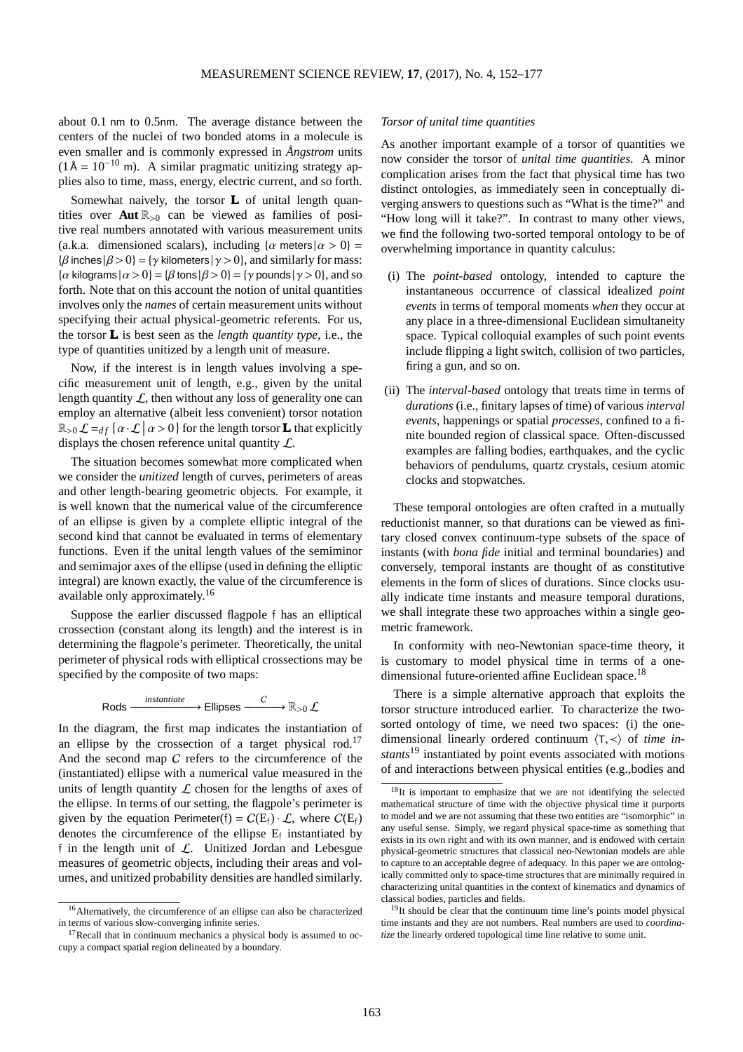about 0.1 nm to 0.5nm. The average distance between the centers of the nuclei of two bonded atoms in a molecule is even smaller and is commonly expressed in *Ångstrom* units  $(1 \text{Å} = 10^{-10} \text{ m})$ . A similar pragmatic unitizing strategy applies also to time, mass, energy, electric current, and so forth.

Somewhat naively, the torsor **L** of unital length quantities over **Aut**  $\mathbb{R}_{>0}$  can be viewed as families of positive real numbers annotated with various measurement units (a.k.a. dimensioned scalars), including  $\{\alpha \text{ meters} | \alpha > 0\}$  =  ${\beta \text{ inches} |\beta > 0} = {\gamma \text{ kilometers} |\gamma > 0}$ , and similarly for mass:  $\{\alpha\}$  kilograms  $\{\alpha > 0\} = \{\beta \text{ tons} | \beta > 0\} = \{\gamma \text{ pounds} | \gamma > 0\}$ , and so forth. Note that on this account the notion of unital quantities involves only the *names* of certain measurement units without specifying their actual physical-geometric referents. For us, the torsor **L** is best seen as the *length quantity type*, i.e., the type of quantities unitized by a length unit of measure.

Now, if the interest is in length values involving a specific measurement unit of length, e.g., given by the unital length quantity  $\mathcal{L}$ , then without any loss of generality one can employ an alternative (albeit less convenient) torsor notation  $\mathbb{R}_{>0} \mathcal{L} =_{df} {\alpha \cdot \mathcal{L} \mid \alpha > 0}$  for the length torsor **L** that explicitly displays the chosen reference unital quantity L.

The situation becomes somewhat more complicated when we consider the *unitized* length of curves, perimeters of areas and other length-bearing geometric objects. For example, it is well known that the numerical value of the circumference of an ellipse is given by a complete elliptic integral of the second kind that cannot be evaluated in terms of elementary functions. Even if the unital length values of the semiminor and semimajor axes of the ellipse (used in defining the elliptic integral) are known exactly, the value of the circumference is available only approximately.[16](#page-11-0)

Suppose the earlier discussed flagpole f has an elliptical crossection (constant along its length) and the interest is in determining the flagpole's perimeter. Theoretically, the unital perimeter of physical rods with elliptical crossections may be specified by the composite of two maps:

$$
\mathsf{Rods} \xrightarrow{\text{instantiate}} \mathsf{Ellipses} \xrightarrow{\mathsf{C}} \mathbb{R}_{>0} \mathcal{L}
$$

In the diagram, the first map indicates the instantiation of an ellipse by the crossection of a target physical rod.<sup>[17](#page-11-1)</sup> And the second map C refers to the circumference of the (instantiated) ellipse with a numerical value measured in the units of length quantity  $\mathcal L$  chosen for the lengths of axes of the ellipse. In terms of our setting, the flagpole's perimeter is given by the equation Perimeter(f) =  $C(E_f) \cdot \mathcal{L}$ , where  $C(E_f)$ denotes the circumference of the ellipse  $E_f$  instantiated by  $\frac{1}{2}$  in the length unit of  $\mathcal{L}$ . Unitized Jordan and Lebesgue measures of geometric objects, including their areas and volumes, and unitized probability densities are handled similarly.

#### *Torsor of unital time quantities*

As another important example of a torsor of quantities we now consider the torsor of *unital time quantities*. A minor complication arises from the fact that physical time has two distinct ontologies, as immediately seen in conceptually diverging answers to questions such as "What is the time?" and "How long will it take?". In contrast to many other views, we find the following two-sorted temporal ontology to be of overwhelming importance in quantity calculus:

- (i) The *point-based* ontology, intended to capture the instantaneous occurrence of classical idealized *point events* in terms of temporal moments *when* they occur at any place in a three-dimensional Euclidean simultaneity space. Typical colloquial examples of such point events include flipping a light switch, collision of two particles, firing a gun, and so on.
- (ii) The *interval-based* ontology that treats time in terms of *durations* (i.e., finitary lapses of time) of various *interval events*, happenings or spatial *processes*, confined to a finite bounded region of classical space. Often-discussed examples are falling bodies, earthquakes, and the cyclic behaviors of pendulums, quartz crystals, cesium atomic clocks and stopwatches.

These temporal ontologies are often crafted in a mutually reductionist manner, so that durations can be viewed as finitary closed convex continuum-type subsets of the space of instants (with *bona fide* initial and terminal boundaries) and conversely, temporal instants are thought of as constitutive elements in the form of slices of durations. Since clocks usually indicate time instants and measure temporal durations, we shall integrate these two approaches within a single geometric framework.

In conformity with neo-Newtonian space-time theory, it is customary to model physical time in terms of a one-dimensional future-oriented affine Euclidean space.<sup>[18](#page-11-2)</sup>

There is a simple alternative approach that exploits the torsor structure introduced earlier. To characterize the twosorted ontology of time, we need two spaces: (i) the onedimensional linearly ordered continuum  $\langle T, \prec \rangle$  of *time instants*[19](#page-11-3) instantiated by point events associated with motions of and interactions between physical entities (e.g.,bodies and

<span id="page-11-0"></span><sup>16</sup>Alternatively, the circumference of an ellipse can also be characterized in terms of various slow-converging infinite series.

<span id="page-11-1"></span> $17$ Recall that in continuum mechanics a physical body is assumed to occupy a compact spatial region delineated by a boundary.

<span id="page-11-2"></span><sup>&</sup>lt;sup>18</sup>It is important to emphasize that we are not identifying the selected mathematical structure of time with the objective physical time it purports to model and we are not assuming that these two entities are "isomorphic" in any useful sense. Simply, we regard physical space-time as something that exists in its own right and with its own manner, and is endowed with certain physical-geometric structures that classical neo-Newtonian models are able to capture to an acceptable degree of adequacy. In this paper we are ontologically committed only to space-time structures that are minimally required in characterizing unital quantities in the context of kinematics and dynamics of classical bodies, particles and fields.

<span id="page-11-3"></span><sup>&</sup>lt;sup>19</sup>It should be clear that the continuum time line's points model physical time instants and they are not numbers. Real numbers are used to *coordinatize* the linearly ordered topological time line relative to some unit.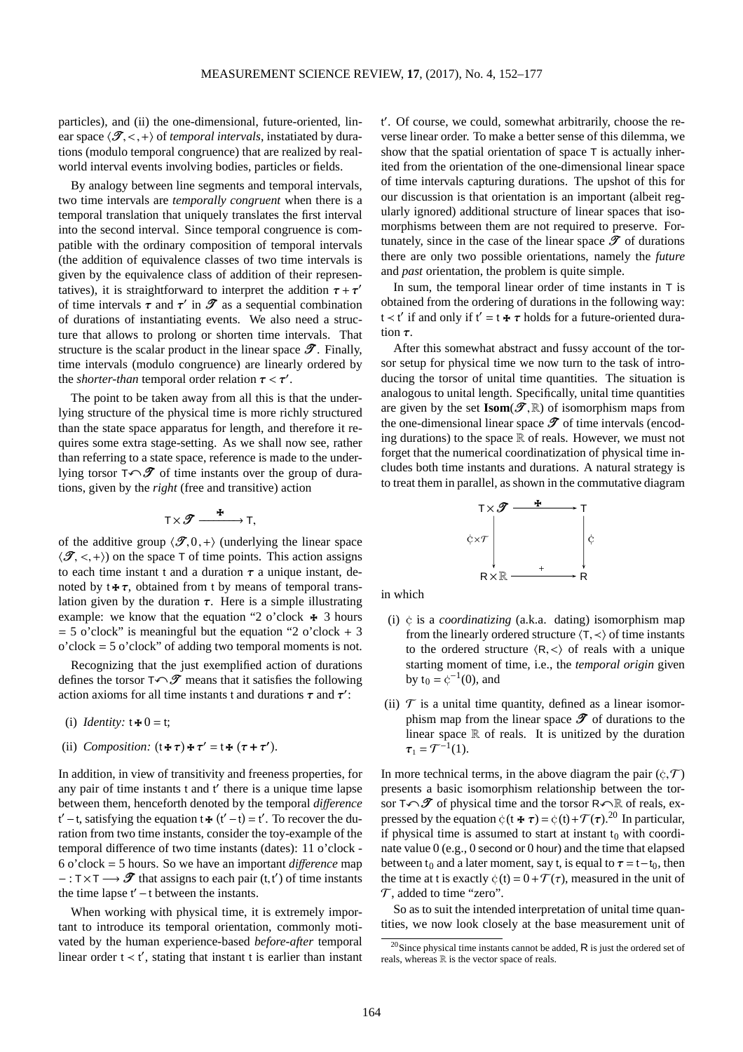particles), and (ii) the one-dimensional, future-oriented, linear space  $\langle \mathcal{T}, \langle ,+\rangle$  of *temporal intervals*, instatiated by durations (modulo temporal congruence) that are realized by realworld interval events involving bodies, particles or fields.

By analogy between line segments and temporal intervals, two time intervals are *temporally congruent* when there is a temporal translation that uniquely translates the first interval into the second interval. Since temporal congruence is compatible with the ordinary composition of temporal intervals (the addition of equivalence classes of two time intervals is given by the equivalence class of addition of their representatives), it is straightforward to interpret the addition  $\tau + \tau'$ of time intervals  $\tau$  and  $\tau'$  in  $\mathscr T$  as a sequential combination of durations of instantiating events. We also need a structure that allows to prolong or shorten time intervals. That structure is the scalar product in the linear space  $\mathscr{T}$ . Finally, time intervals (modulo congruence) are linearly ordered by the *shorter-than* temporal order relation  $\tau < \tau'$ .

The point to be taken away from all this is that the underlying structure of the physical time is more richly structured than the state space apparatus for length, and therefore it requires some extra stage-setting. As we shall now see, rather than referring to a state space, reference is made to the underlying torsor  $T\curvearrowleft \mathscr{T}$  of time instants over the group of durations, given by the *right* (free and transitive) action

$$
T \times \mathscr{T} \xrightarrow{\quad \ \ \, \textbf{F}} T,
$$

of the additive group  $\langle \mathcal{F}, 0,+\rangle$  (underlying the linear space  $\langle \mathcal{F}, \langle \cdot, + \rangle$  on the space T of time points. This action assigns to each time instant t and a duration  $\tau$  a unique instant, denoted by  $t \star \tau$ , obtained from t by means of temporal translation given by the duration  $\tau$ . Here is a simple illustrating example: we know that the equation "2 o'clock  $\ast$  3 hours  $= 5$  o'clock" is meaningful but the equation "2 o'clock  $+ 3$ o'clock = 5 o'clock" of adding two temporal moments is not.

Recognizing that the just exemplified action of durations defines the torsor  $T \cap \mathcal{T}$  means that it satisfies the following action axioms for all time instants t and durations  $\tau$  and  $\tau'$ :

- (i) *Identity*:  $t \neq 0 = t$ ;
- (ii) *Composition:*  $(t \cdot \tau) \cdot \tau' = t \cdot (\tau + \tau')$ .

In addition, in view of transitivity and freeness properties, for any pair of time instants t and t' there is a unique time lapse between them, henceforth denoted by the temporal *di*ff*erence*  $t'$  – t, satisfying the equation  $t + (t'-t) = t'$ . To recover the duration from two time instants, consider the toy-example of the temporal difference of two time instants (dates): 11 o'clock - 6 o'clock = 5 hours. So we have an important *di*ff*erence* map  $-:\mathsf{T} \times \mathsf{T} \longrightarrow \mathscr{T}$  that assigns to each pair  $(\mathsf{t}, \mathsf{t}')$  of time instants the time lapse  $t'$  – t between the instants.

When working with physical time, it is extremely important to introduce its temporal orientation, commonly motivated by the human experience-based *before-after* temporal linear order  $t < t'$ , stating that instant t is earlier than instant

t ′ . Of course, we could, somewhat arbitrarily, choose the reverse linear order. To make a better sense of this dilemma, we show that the spatial orientation of space T is actually inherited from the orientation of the one-dimensional linear space of time intervals capturing durations. The upshot of this for our discussion is that orientation is an important (albeit regularly ignored) additional structure of linear spaces that isomorphisms between them are not required to preserve. Fortunately, since in the case of the linear space  $\mathscr T$  of durations there are only two possible orientations, namely the *future* and *past* orientation, the problem is quite simple.

In sum, the temporal linear order of time instants in T is obtained from the ordering of durations in the following way: t < t' if and only if t' = t  $\star \tau$  holds for a future-oriented duration  $\tau$ .

After this somewhat abstract and fussy account of the torsor setup for physical time we now turn to the task of introducing the torsor of unital time quantities. The situation is analogous to unital length. Specifically, unital time quantities are given by the set  $\text{Isom}(\mathcal{T},\mathbb{R})$  of isomorphism maps from the one-dimensional linear space  $\mathscr T$  of time intervals (encoding durations) to the space  $\mathbb R$  of reals. However, we must not forget that the numerical coordinatization of physical time includes both time instants and durations. A natural strategy is to treat them in parallel, as shown in the commutative diagram



in which

- (i) ¢ is a *coordinatizing* (a.k.a. dating) isomorphism map from the linearly ordered structure  $\langle T, \prec \rangle$  of time instants to the ordered structure  $\langle R, \langle \rangle$  of reals with a unique starting moment of time, i.e., the *temporal origin* given by  $t_0 = \phi^{-1}(0)$ , and
- (ii)  $\mathcal T$  is a unital time quantity, defined as a linear isomorphism map from the linear space  $\mathscr T$  of durations to the linear space  $\mathbb R$  of reals. It is unitized by the duration  $\tau_1 = \mathcal{T}^{-1}(1).$

In more technical terms, in the above diagram the pair  $(c, \mathcal{T})$ presents a basic isomorphism relationship between the torsor  $T\curvearrowleft \mathscr{T}$  of physical time and the torsor  $R\curvearrowleft \mathbb{R}$  of reals, expressed by the equation  $\phi(t \star \tau) = \phi(t) + \mathcal{T}(\tau)$ .<sup>[20](#page-12-0)</sup> In particular, if physical time is assumed to start at instant  $t_0$  with coordinate value 0 (e.g., 0 second or 0 hour) and the time that elapsed between t<sub>0</sub> and a later moment, say t, is equal to  $\tau = t-t_0$ , then the time at t is exactly  $\dot{\varphi}$  (t) =  $0 + \mathcal{T}(\tau)$ , measured in the unit of  $\mathcal{T}$ , added to time "zero".

So as to suit the intended interpretation of unital time quantities, we now look closely at the base measurement unit of

<span id="page-12-0"></span><sup>&</sup>lt;sup>20</sup>Since physical time instants cannot be added,  $\overline{R}$  is just the ordered set of reals, whereas  $\mathbb R$  is the vector space of reals.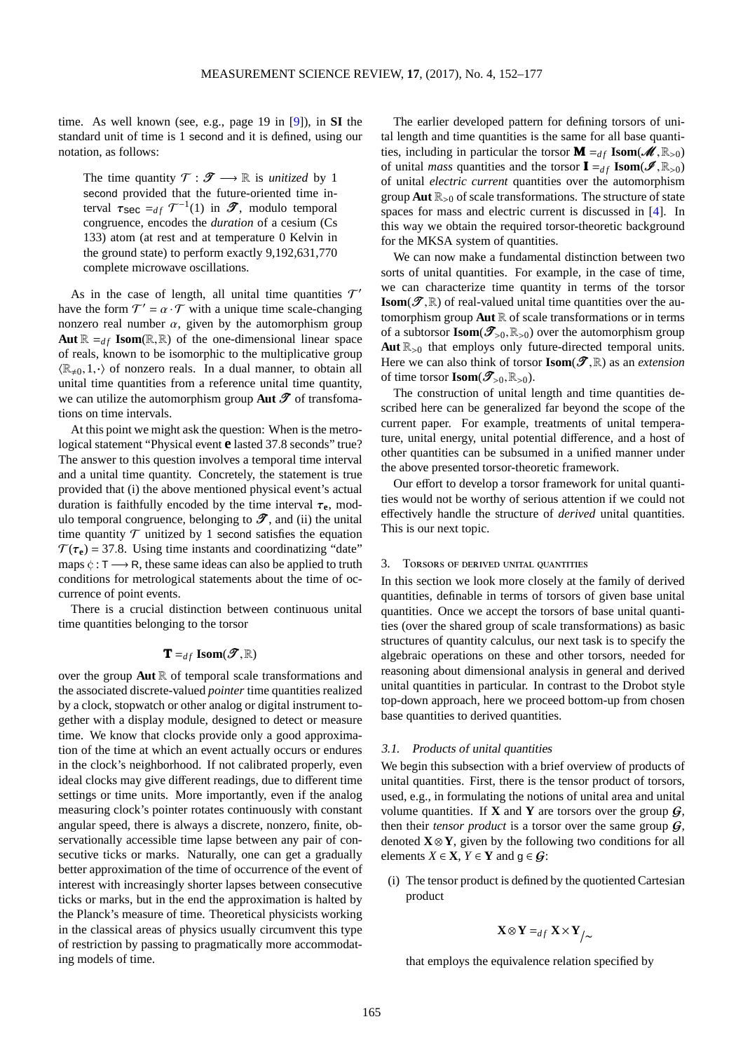time. As well known (see, e.g., page 19 in [\[9\]](#page-25-9)), in **SI** the standard unit of time is 1 second and it is defined, using our notation, as follows:

The time quantity  $\mathcal{T} : \mathcal{T} \longrightarrow \mathbb{R}$  is *unitized* by 1 second provided that the future-oriented time interval  $\tau_{\text{sec}} =_{df} \mathcal{T}^{-1}(1)$  in  $\mathcal{T}$ , modulo temporal congruence, encodes the *duration* of a cesium (Cs 133) atom (at rest and at temperature 0 Kelvin in the ground state) to perform exactly 9,192,631,770 complete microwave oscillations.

As in the case of length, all unital time quantities  $\mathcal{T}'$ have the form  $T' = \alpha \cdot T$  with a unique time scale-changing nonzero real number  $\alpha$ , given by the automorphism group **Aut**  $\mathbb{R} =_{df}$  **Isom**( $\mathbb{R}, \mathbb{R}$ ) of the one-dimensional linear space of reals, known to be isomorphic to the multiplicative group  $\langle \mathbb{R}_{\neq 0}, 1, \cdot \rangle$  of nonzero reals. In a dual manner, to obtain all unital time quantities from a reference unital time quantity, we can utilize the automorphism group **Aut**  $\mathscr{T}$  of transfomations on time intervals.

At this point we might ask the question: When is the metrological statement "Physical event **e** lasted 37.8 seconds" true? The answer to this question involves a temporal time interval and a unital time quantity. Concretely, the statement is true provided that (i) the above mentioned physical event's actual duration is faithfully encoded by the time interval  $\tau_e$ , modulo temporal congruence, belonging to  $\mathcal{T}$ , and (ii) the unital time quantity  $\mathcal T$  unitized by 1 second satisfies the equation  $\mathcal{T}(\tau_e) = 37.8$ . Using time instants and coordinatizing "date" maps  $\dot{\varphi}$  : T  $\longrightarrow$  R, these same ideas can also be applied to truth conditions for metrological statements about the time of occurrence of point events.

There is a crucial distinction between continuous unital time quantities belonging to the torsor

# $\mathbf{T} =_{df} \textbf{Isom}(\mathscr{T}, \mathbb{R})$

over the group **Aut**  $\mathbb R$  of temporal scale transformations and the associated discrete-valued *pointer* time quantities realized by a clock, stopwatch or other analog or digital instrument together with a display module, designed to detect or measure time. We know that clocks provide only a good approximation of the time at which an event actually occurs or endures in the clock's neighborhood. If not calibrated properly, even ideal clocks may give different readings, due to different time settings or time units. More importantly, even if the analog measuring clock's pointer rotates continuously with constant angular speed, there is always a discrete, nonzero, finite, observationally accessible time lapse between any pair of consecutive ticks or marks. Naturally, one can get a gradually better approximation of the time of occurrence of the event of interest with increasingly shorter lapses between consecutive ticks or marks, but in the end the approximation is halted by the Planck's measure of time. Theoretical physicists working in the classical areas of physics usually circumvent this type of restriction by passing to pragmatically more accommodating models of time.

The earlier developed pattern for defining torsors of unital length and time quantities is the same for all base quantities, including in particular the torsor  $\mathbf{M} =_{df} \text{Isom}(\mathcal{M}, \mathbb{R}_{>0})$ of unital *mass* quantities and the torsor  $I =_{df}$  **Isom**( $\mathcal{I}, \mathbb{R}_{>0}$ ) of unital *electric current* quantities over the automorphism group **Aut**  $\mathbb{R}_{>0}$  of scale transformations. The structure of state spaces for mass and electric current is discussed in [\[4\]](#page-24-5). In this way we obtain the required torsor-theoretic background for the MKSA system of quantities.

We can now make a fundamental distinction between two sorts of unital quantities. For example, in the case of time, we can characterize time quantity in terms of the torsor **Isom**( $\mathscr{T}, \mathbb{R}$ ) of real-valued unital time quantities over the automorphism group  $\text{Aut} \, \mathbb{R}$  of scale transformations or in terms of a subtorsor **Isom**( $\mathscr{T}_{>0}, \mathbb{R}_{>0}$ ) over the automorphism group Aut  $\mathbb{R}_{>0}$  that employs only future-directed temporal units. Here we can also think of torsor  $\textbf{Isom}(\mathcal{T},\mathbb{R})$  as an *extension* of time torsor **Isom** $(\mathscr{T}_{>0}, \mathbb{R}_{>0})$ .

The construction of unital length and time quantities described here can be generalized far beyond the scope of the current paper. For example, treatments of unital temperature, unital energy, unital potential difference, and a host of other quantities can be subsumed in a unified manner under the above presented torsor-theoretic framework.

Our effort to develop a torsor framework for unital quantities would not be worthy of serious attention if we could not effectively handle the structure of *derived* unital quantities. This is our next topic.

#### 3. Torsors of derived unital quantities

In this section we look more closely at the family of derived quantities, definable in terms of torsors of given base unital quantities. Once we accept the torsors of base unital quantities (over the shared group of scale transformations) as basic structures of quantity calculus, our next task is to specify the algebraic operations on these and other torsors, needed for reasoning about dimensional analysis in general and derived unital quantities in particular. In contrast to the Drobot style top-down approach, here we proceed bottom-up from chosen base quantities to derived quantities.

#### 3.1. Products of unital quantities

We begin this subsection with a brief overview of products of unital quantities. First, there is the tensor product of torsors, used, e.g., in formulating the notions of unital area and unital volume quantities. If **X** and **Y** are torsors over the group  $\mathcal{G}$ , then their *tensor product* is a torsor over the same group  $G$ , denoted  $X \otimes Y$ , given by the following two conditions for all elements  $X \in \mathbf{X}$ ,  $Y \in \mathbf{Y}$  and  $g \in G$ :

(i) The tensor product is defined by the quotiented Cartesian product

$$
\mathbf{X} \otimes \mathbf{Y} =_{df} \mathbf{X} \times \mathbf{Y}_{f} \sim
$$

that employs the equivalence relation specified by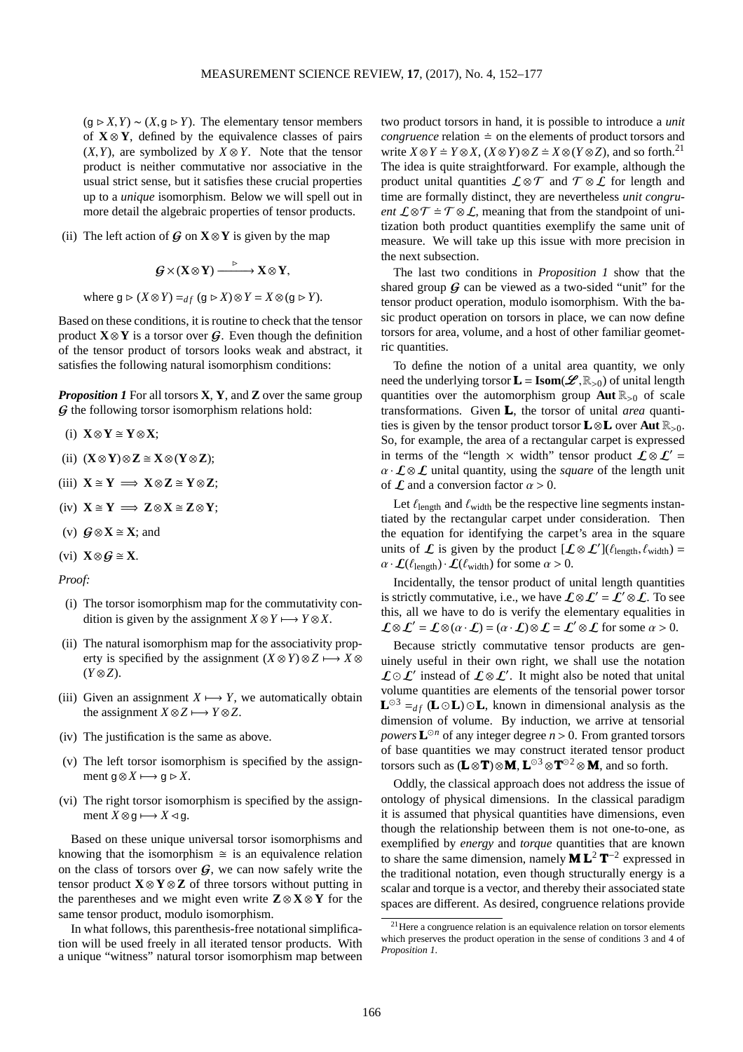$(g \triangleright X, Y) \sim (X, g \triangleright Y)$ . The elementary tensor members of **X** ⊗ **Y**, defined by the equivalence classes of pairs  $(X, Y)$ , are symbolized by  $X \otimes Y$ . Note that the tensor product is neither commutative nor associative in the usual strict sense, but it satisfies these crucial properties up to a *unique* isomorphism. Below we will spell out in more detail the algebraic properties of tensor products.

(ii) The left action of  $\mathbf{G}$  on **X**⊗**Y** is given by the map

$$
\mathcal{G}\times (X\otimes Y)\xrightarrow{\qquad\triangleright\qquad} X\otimes Y,
$$

where  $g \triangleright (X \otimes Y) =_{df} (g \triangleright X) \otimes Y = X \otimes (g \triangleright Y)$ .

Based on these conditions, it is routine to check that the tensor product  $X \otimes Y$  is a torsor over  $G$ . Even though the definition of the tensor product of torsors looks weak and abstract, it satisfies the following natural isomorphism conditions:

*Proposition 1* For all torsors **X**, **Y**, and **Z** over the same group G the following torsor isomorphism relations hold:

- (i) **X**⊗**Y Y**⊗**X**;
- (ii) (**X**⊗**Y**)⊗**Z X**⊗(**Y**⊗**Z**);
- $(iii)$   $X \cong Y \implies X \otimes Z \cong Y \otimes Z;$

(iv) 
$$
X \cong Y \implies Z \otimes X \cong Z \otimes Y;
$$

- (v)  $\mathbf{G} \otimes \mathbf{X} \cong \mathbf{X}$ ; and
- (vi)  $X \otimes G \cong X$ .

*Proof:*

- (i) The torsor isomorphism map for the commutativity condition is given by the assignment  $X \otimes Y \longmapsto Y \otimes X$ .
- (ii) The natural isomorphism map for the associativity property is specified by the assignment  $(X \otimes Y) \otimes Z \longmapsto X \otimes Z$ (*Y* ⊗*Z*).
- (iii) Given an assignment  $X \mapsto Y$ , we automatically obtain the assignment  $X \otimes Z \longrightarrow Y \otimes Z$ .
- (iv) The justification is the same as above.
- (v) The left torsor isomorphism is specified by the assignment  $g \otimes X \mapsto g \triangleright X$ .
- (vi) The right torsor isomorphism is specified by the assignment  $X \otimes g \longmapsto X \triangleleft g$ .

Based on these unique universal torsor isomorphisms and knowing that the isomorphism  $\approx$  is an equivalence relation on the class of torsors over  $G$ , we can now safely write the tensor product  $X \otimes Y \otimes Z$  of three torsors without putting in the parentheses and we might even write  $\mathbf{Z} \otimes \mathbf{X} \otimes \mathbf{Y}$  for the same tensor product, modulo isomorphism.

In what follows, this parenthesis-free notational simplification will be used freely in all iterated tensor products. With a unique "witness" natural torsor isomorphism map between

two product torsors in hand, it is possible to introduce a *unit congruence* relation  $\dot{=}$  on the elements of product torsors and write  $X \otimes Y = Y \otimes X$ ,  $(X \otimes Y) \otimes Z = X \otimes (Y \otimes Z)$ , and so forth.<sup>[21](#page-14-0)</sup> The idea is quite straightforward. For example, although the product unital quantities  $\mathcal{L} \otimes \mathcal{T}$  and  $\mathcal{T} \otimes \mathcal{L}$  for length and time are formally distinct, they are nevertheless *unit congruent*  $\mathcal{L} \otimes \mathcal{T} = \mathcal{T} \otimes \mathcal{L}$ , meaning that from the standpoint of unitization both product quantities exemplify the same unit of measure. We will take up this issue with more precision in the next subsection.

The last two conditions in *Proposition 1* show that the shared group  $\mathcal G$  can be viewed as a two-sided "unit" for the tensor product operation, modulo isomorphism. With the basic product operation on torsors in place, we can now define torsors for area, volume, and a host of other familiar geometric quantities.

To define the notion of a unital area quantity, we only need the underlying torsor  $\mathbf{L} = \text{Isom}(\mathcal{L}, \mathbb{R}_{>0})$  of unital length quantities over the automorphism group **Aut**  $\mathbb{R}_{>0}$  of scale transformations. Given **L**, the torsor of unital *area* quantities is given by the tensor product torsor  $\mathbf{L} \otimes \mathbf{L}$  over  $\mathbf{Aut} \mathbb{R}_{>0}$ . So, for example, the area of a rectangular carpet is expressed in terms of the "length  $\times$  width" tensor product  $\mathcal{L} \otimes \mathcal{L}' =$  $\alpha \cdot L \otimes L$  unital quantity, using the *square* of the length unit of  $\mathcal L$  and a conversion factor  $\alpha > 0$ .

Let  $\ell_{\text{length}}$  and  $\ell_{\text{width}}$  be the respective line segments instantiated by the rectangular carpet under consideration. Then the equation for identifying the carpet's area in the square units of  $\mathcal{L}$  is given by the product  $[\mathcal{L} \otimes \mathcal{L}'](\ell_{\text{length}}, \ell_{\text{width}}) =$  $\alpha \cdot \mathcal{L}(\ell_{\text{length}}) \cdot \mathcal{L}(\ell_{\text{width}})$  for some  $\alpha > 0$ .

Incidentally, the tensor product of unital length quantities is strictly commutative, i.e., we have  $\mathcal{L} \otimes \mathcal{L}' = \mathcal{L}' \otimes \mathcal{L}$ . To see this, all we have to do is verify the elementary equalities in  $\mathcal{L} \otimes \mathcal{L}' = \mathcal{L} \otimes (\alpha \cdot \mathcal{L}) = (\alpha \cdot \mathcal{L}) \otimes \mathcal{L} = \mathcal{L}' \otimes \mathcal{L}$  for some  $\alpha > 0$ .

Because strictly commutative tensor products are genuinely useful in their own right, we shall use the notation  $\mathcal{L} \odot \mathcal{L}'$  instead of  $\mathcal{L} \otimes \mathcal{L}'$ . It might also be noted that unital volume quantities are elements of the tensorial power torsor **L**<sup>⊙3</sup> = $df$  (**L** ⊙**L**) ⊙**L**, known in dimensional analysis as the dimension of volume. By induction, we arrive at tensorial *powers*  $\mathbf{L}^{\odot n}$  of any integer degree  $n > 0$ . From granted torsors of base quantities we may construct iterated tensor product torsors such as (**L** ⊗**T**)⊗**M**, **L** <sup>⊙</sup><sup>3</sup> <sup>⊗</sup>**<sup>T</sup>** <sup>⊙</sup><sup>2</sup> <sup>⊗</sup> **<sup>M</sup>**, and so forth.

Oddly, the classical approach does not address the issue of ontology of physical dimensions. In the classical paradigm it is assumed that physical quantities have dimensions, even though the relationship between them is not one-to-one, as exemplified by *energy* and *torque* quantities that are known to share the same dimension, namely **M L**<sup>2</sup> **T** −2 expressed in the traditional notation, even though structurally energy is a scalar and torque is a vector, and thereby their associated state spaces are different. As desired, congruence relations provide

<span id="page-14-0"></span> $21$  Here a congruence relation is an equivalence relation on torsor elements which preserves the product operation in the sense of conditions 3 and 4 of *Proposition 1*.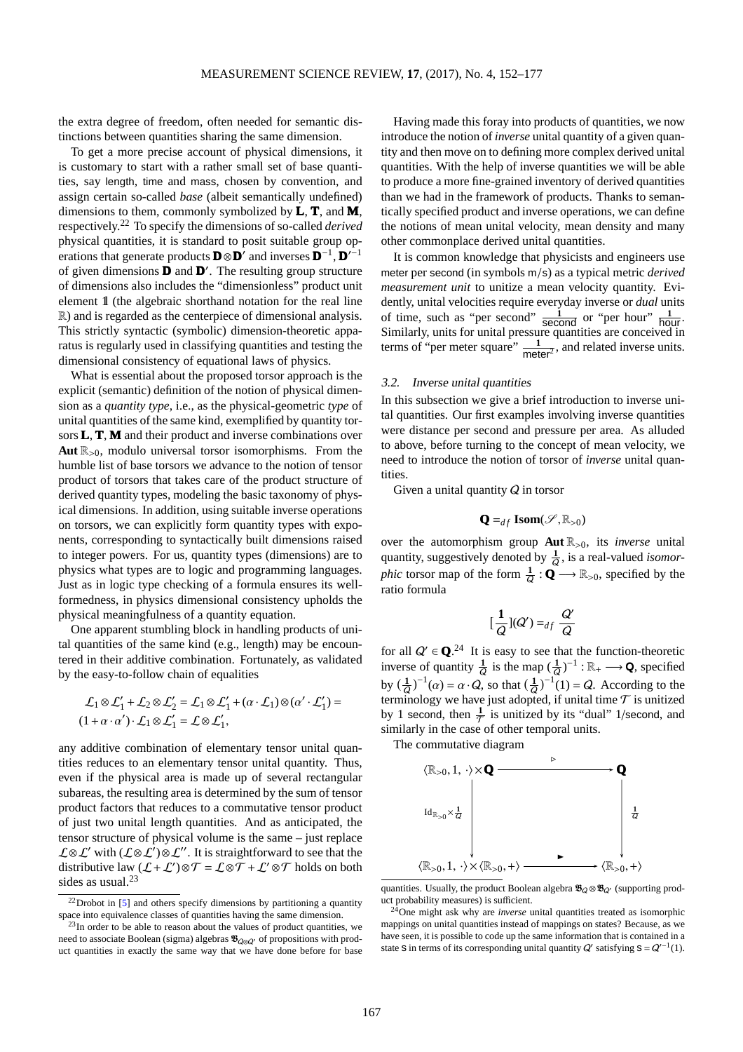the extra degree of freedom, often needed for semantic distinctions between quantities sharing the same dimension.

To get a more precise account of physical dimensions, it is customary to start with a rather small set of base quantities, say length, time and mass, chosen by convention, and assign certain so-called *base* (albeit semantically undefined) dimensions to them, commonly symbolized by **L**, **T**, and **M**, respectively.[22](#page-15-0) To specify the dimensions of so-called *derived* physical quantities, it is standard to posit suitable group operations that generate products  $\mathbf{D} \otimes \mathbf{D}'$  and inverses  $\mathbf{D}^{-1}$ ,  $\mathbf{D}'^{-1}$ of given dimensions **D** and **D** ′ . The resulting group structure of dimensions also includes the "dimensionless" product unit element 1l (the algebraic shorthand notation for the real line R) and is regarded as the centerpiece of dimensional analysis. This strictly syntactic (symbolic) dimension-theoretic apparatus is regularly used in classifying quantities and testing the dimensional consistency of equational laws of physics.

What is essential about the proposed torsor approach is the explicit (semantic) definition of the notion of physical dimension as a *quantity type*, i.e., as the physical-geometric *type* of unital quantities of the same kind, exemplified by quantity torsors **L**, **T**, **M** and their product and inverse combinations over **Aut**  $\mathbb{R}_{>0}$ , modulo universal torsor isomorphisms. From the humble list of base torsors we advance to the notion of tensor product of torsors that takes care of the product structure of derived quantity types, modeling the basic taxonomy of physical dimensions. In addition, using suitable inverse operations on torsors, we can explicitly form quantity types with exponents, corresponding to syntactically built dimensions raised to integer powers. For us, quantity types (dimensions) are to physics what types are to logic and programming languages. Just as in logic type checking of a formula ensures its wellformedness, in physics dimensional consistency upholds the physical meaningfulness of a quantity equation.

One apparent stumbling block in handling products of unital quantities of the same kind (e.g., length) may be encountered in their additive combination. Fortunately, as validated by the easy-to-follow chain of equalities

$$
\mathcal{L}_1 \otimes \mathcal{L}'_1 + \mathcal{L}_2 \otimes \mathcal{L}'_2 = \mathcal{L}_1 \otimes \mathcal{L}'_1 + (\alpha \cdot \mathcal{L}_1) \otimes (\alpha' \cdot \mathcal{L}'_1) =
$$
  

$$
(1 + \alpha \cdot \alpha') \cdot \mathcal{L}_1 \otimes \mathcal{L}'_1 = \mathcal{L} \otimes \mathcal{L}'_1,
$$

any additive combination of elementary tensor unital quantities reduces to an elementary tensor unital quantity. Thus, even if the physical area is made up of several rectangular subareas, the resulting area is determined by the sum of tensor product factors that reduces to a commutative tensor product of just two unital length quantities. And as anticipated, the tensor structure of physical volume is the same – just replace  $\mathcal{L} \otimes \mathcal{L}'$  with  $(\mathcal{L} \otimes \mathcal{L}') \otimes \mathcal{L}''$ . It is straightforward to see that the distributive law  $(L+\mathcal{L}')\otimes \mathcal{T} = \mathcal{L}\otimes \mathcal{T} + \mathcal{L}'\otimes \mathcal{T}$  holds on both sides as usual.<sup>[23](#page-15-1)</sup>

Having made this foray into products of quantities, we now introduce the notion of *inverse* unital quantity of a given quantity and then move on to defining more complex derived unital quantities. With the help of inverse quantities we will be able to produce a more fine-grained inventory of derived quantities than we had in the framework of products. Thanks to semantically specified product and inverse operations, we can define the notions of mean unital velocity, mean density and many other commonplace derived unital quantities.

It is common knowledge that physicists and engineers use meter per second (in symbols m/s) as a typical metric *derived measurement unit* to unitize a mean velocity quantity. Evidently, unital velocities require everyday inverse or *dual* units of time, such as "per second"  $\frac{1}{\text{second}}$  or "per hour"  $\frac{1}{\text{hour}}$ . Similarly, units for unital pressure quantities are conceived in terms of "per meter square"  $\frac{1}{\text{meter}^2}$ , and related inverse units.

#### 3.2. Inverse unital quantities

In this subsection we give a brief introduction to inverse unital quantities. Our first examples involving inverse quantities were distance per second and pressure per area. As alluded to above, before turning to the concept of mean velocity, we need to introduce the notion of torsor of *inverse* unital quantities.

Given a unital quantity  $Q$  in torsor

$$
\mathbf{Q} =_{df} \mathbf{Isom}(\mathcal{S}, \mathbb{R}_{>0})
$$

over the automorphism group  $\text{Aut } \mathbb{R}_{>0}$ , its *inverse* unital quantity, suggestively denoted by  $\frac{1}{0}$ , is a real-valued *isomor*phic torsor map of the form  $\frac{1}{Q}$  :  $\mathbf{Q} \longrightarrow \mathbb{R}_{>0}$ , specified by the ratio formula

$$
[\frac{1}{Q}](Q') =_{df} \frac{Q'}{Q}
$$

for all  $Q' \in \mathbf{Q}^{24}$  $Q' \in \mathbf{Q}^{24}$  $Q' \in \mathbf{Q}^{24}$  It is easy to see that the function-theoretic inverse of quantity  $\frac{1}{Q}$  is the map  $(\frac{1}{Q})^{-1} : \mathbb{R}_+ \longrightarrow \mathbf{Q}$ , specified by  $\left(\frac{1}{Q}\right)^{-1}(\alpha) = \alpha \cdot Q$ , so that  $\left(\frac{1}{Q}\right)^{-1}(1) = Q$ . According to the terminology we have just adopted, if unital time  $\mathcal T$  is unitized by 1 second, then  $\frac{1}{\tau}$  is unitized by its "dual" 1/second, and similarly in the case of other temporal units.

The commutative diagram



quantities. Usually, the product Boolean algebra  $\mathcal{B}_Q \otimes \mathcal{B}_{Q'}$  (supporting product probability measures) is sufficient.

<span id="page-15-0"></span> $22$ Drobot in [\[5\]](#page-24-0) and others specify dimensions by partitioning a quantity space into equivalence classes of quantities having the same dimension.

<span id="page-15-1"></span> $^{23}$ In order to be able to reason about the values of product quantities, we need to associate Boolean (sigma) algebras  $\mathcal{B}_{\alpha\alpha}$  of propositions with product quantities in exactly the same way that we have done before for base

<span id="page-15-2"></span><sup>&</sup>lt;sup>24</sup>One might ask why are *inverse* unital quantities treated as isomorphic mappings on unital quantities instead of mappings on states? Because, as we have seen, it is possible to code up the same information that is contained in a state S in terms of its corresponding unital quantity  $Q'$  satisfying  $S = Q'^{-1}(1)$ .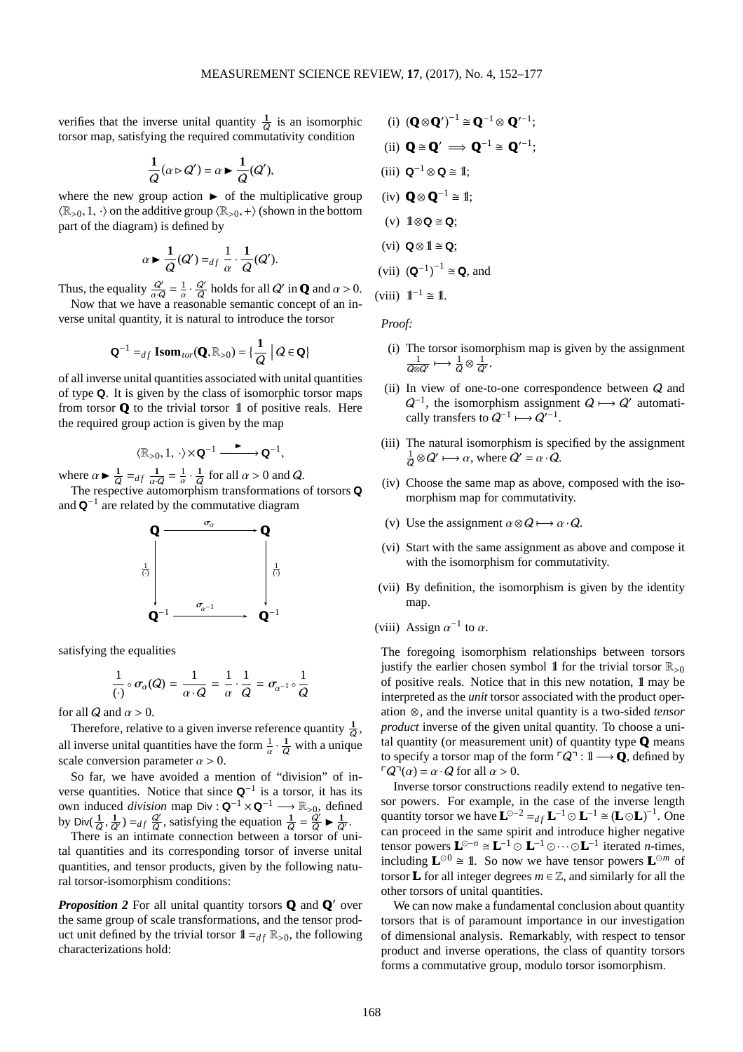verifies that the inverse unital quantity  $\frac{1}{\Omega}$  is an isomorphic Q torsor map, satisfying the required commutativity condition

$$
\frac{1}{Q}(\alpha \triangleright Q') = \alpha \blacktriangleright \frac{1}{Q}(Q'),
$$

where the new group action  $\triangleright$  of the multiplicative group  $\langle \mathbb{R}_{>0}, 1, \cdot \rangle$  on the additive group  $\langle \mathbb{R}_{>0}, + \rangle$  (shown in the bottom part of the diagram) is defined by

$$
\alpha \blacktriangleright \frac{1}{Q}(Q') =_{df} \frac{1}{\alpha} \cdot \frac{1}{Q}(Q').
$$

Thus, the equality  $\frac{Q'}{\alpha \cdot Q} = \frac{1}{\alpha} \cdot \frac{Q'}{Q}$  $\frac{Q'}{Q}$  holds for all Q' in **Q** and  $\alpha > 0$ . Now that we have a reasonable semantic concept of an in-

verse unital quantity, it is natural to introduce the torsor

$$
\mathbf{Q}^{-1} =_{df} \mathbf{Isom}_{tor}(\mathbf{Q}, \mathbb{R}_{>0}) = \{ \frac{1}{Q} \mid Q \in \mathbf{Q} \}
$$

of all inverse unital quantities associated with unital quantities of type Q. It is given by the class of isomorphic torsor maps from torsor  $Q$  to the trivial torsor  $\mathbb 1$  of positive reals. Here the required group action is given by the map

$$
\langle \mathbb{R}_{>0},1,\,\cdot \rangle \!\times\! \mathbf{Q}^{-1}\xrightarrow{\quad \blacktriangleright\quad \qquad } \mathbf{Q}^{-1},
$$

where  $\alpha \triangleright \frac{1}{6}$  $\frac{1}{Q} = df \frac{1}{\alpha \cdot Q} = \frac{1}{\alpha} \cdot \frac{1}{Q}$  $rac{1}{Q}$  for all  $\alpha > 0$  and Q.

The respective automorphism transformations of torsors Q and  $\mathbf{Q}^{-1}$  are related by the commutative diagram



satisfying the equalities

$$
\frac{1}{(\cdot)} \circ \sigma_{\alpha}(Q) = \frac{1}{\alpha \cdot Q} = \frac{1}{\alpha} \cdot \frac{1}{Q} = \sigma_{\alpha^{-1}} \circ \frac{1}{Q}
$$

for all Q and  $\alpha > 0$ .

Therefore, relative to a given inverse reference quantity  $\frac{1}{Q}$ , all inverse unital quantities have the form  $\frac{1}{\alpha} \cdot \frac{1}{Q}$  with a unique scale conversion parameter  $\alpha > 0$ .

So far, we have avoided a mention of "division" of inverse quantities. Notice that since  $\mathbf{Q}^{-1}$  is a torsor, it has its own induced *division* map Div :  $\mathbf{Q}^{-1} \times \mathbf{Q}^{-1} \longrightarrow \mathbb{R}_{>0}$ , defined by Div $(\frac{1}{\sqrt{2}})$  $\frac{1}{Q}, \frac{1}{Q'}$ ) = df  $\frac{Q'}{Q}$  $\frac{Q'}{Q}$ , satisfying the equation  $\frac{1}{Q} = \frac{Q'}{Q} \blacktriangleright \frac{1}{Q}$  $\frac{1}{Q'}$  .

There is an intimate connection between a torsor of unital quantities and its corresponding torsor of inverse unital quantities, and tensor products, given by the following natural torsor-isomorphism conditions:

*Proposition 2* For all unital quantity torsors **Q** and **Q**′ over the same group of scale transformations, and the tensor product unit defined by the trivial torsor  $1\!\!1_{=d}$   $\mathbb{R}_{>0}$ , the following characterizations hold:

(i) 
$$
(\mathbf{Q} \otimes \mathbf{Q}')^{-1} \cong \mathbf{Q}^{-1} \otimes \mathbf{Q}'^{-1}
$$
;  
\n(ii)  $\mathbf{Q} \cong \mathbf{Q}' \implies \mathbf{Q}^{-1} \cong \mathbf{Q}'^{-1}$ ;  
\n(iii)  $\mathbf{Q}^{-1} \otimes \mathbf{Q} \cong \mathbb{I}$ ;  
\n(iv)  $\mathbf{Q} \otimes \mathbf{Q}^{-1} \cong \mathbb{I}$ ;  
\n(v)  $\mathbb{I} \otimes \mathbf{Q} \cong \mathbf{Q}$ ;  
\n(vi)  $\mathbf{Q} \otimes \mathbb{I} \cong \mathbf{Q}$ ;  
\n(vii)  $(\mathbf{Q}^{-1})^{-1} \cong \mathbf{Q}$ , and  
\n(viii)  $\mathbb{I}^{-1} \cong \mathbb{I}$ .

*Proof:*

- (i) The torsor isomorphism map is given by the assignment 1  $\frac{1}{\sqrt{Q}\otimes Q'}\longmapsto \frac{1}{Q}\otimes \frac{1}{Q}$  $\frac{1}{Q'}$ .
- (ii) In view of one-to-one correspondence between  $Q$  and  $Q^{-1}$ , the isomorphism assignment  $Q \mapsto Q'$  automatically transfers to  $Q^{-1} \longmapsto Q'^{-1}$ .
- (iii) The natural isomorphism is specified by the assignment 1  $\frac{1}{Q} \otimes Q' \longmapsto \alpha$ , where  $Q' = \alpha \cdot Q$ .
- (iv) Choose the same map as above, composed with the isomorphism map for commutativity.
- (v) Use the assignment  $\alpha \otimes Q \longmapsto \alpha \cdot Q$ .
- (vi) Start with the same assignment as above and compose it with the isomorphism for commutativity.
- (vii) By definition, the isomorphism is given by the identity map.
- (viii) Assign  $\alpha^{-1}$  to  $\alpha$ .

The foregoing isomorphism relationships between torsors justify the earlier chosen symbol 1 for the trivial torsor  $\mathbb{R}_{>0}$ of positive reals. Notice that in this new notation, 1l may be interpreted as the *unit* torsor associated with the product operation ⊗, and the inverse unital quantity is a two-sided *tensor product* inverse of the given unital quantity. To choose a unital quantity (or measurement unit) of quantity type **Q** means to specify a torsor map of the form  $\ulcorner Q \urcorner : \mathbb{I} \longrightarrow \mathbb{Q}$ , defined by  $\lceil Q^{\dagger}(\alpha) = \alpha \cdot Q$  for all  $\alpha > 0$ .

Inverse torsor constructions readily extend to negative tensor powers. For example, in the case of the inverse length quantity torsor we have  $\mathbf{L}^{\odot -2} =_{df} \mathbf{L}^{-1} \odot \mathbf{L}^{-1} \cong (\mathbf{L} \odot \mathbf{L})^{-1}$ . One can proceed in the same spirit and introduce higher negative tensor powers  $\mathbf{L}^{\odot -n} \cong \mathbf{L}^{-1} \odot \mathbf{L}^{-1} \odot \cdots \odot \mathbf{L}^{-1}$  iterated *n*-times, including  $\mathbf{L}^{\odot 0} \cong \mathbf{1}$ . So now we have tensor powers  $\mathbf{L}^{\odot m}$  of torsor **L** for all integer degrees  $m \in \mathbb{Z}$ , and similarly for all the other torsors of unital quantities.

We can now make a fundamental conclusion about quantity torsors that is of paramount importance in our investigation of dimensional analysis. Remarkably, with respect to tensor product and inverse operations, the class of quantity torsors forms a commutative group, modulo torsor isomorphism.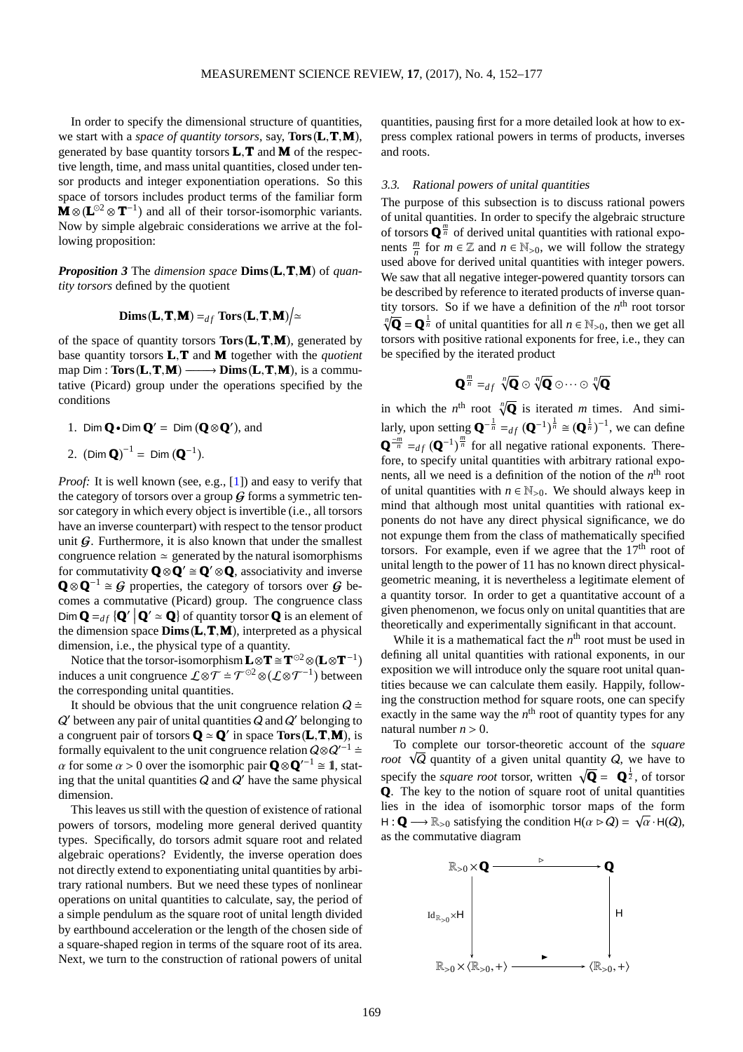In order to specify the dimensional structure of quantities, we start with a *space of quantity torsors*, say, **Tors**(**L**, **T**, **M**), generated by base quantity torsors **L**,**T** and **M** of the respective length, time, and mass unital quantities, closed under tensor products and integer exponentiation operations. So this space of torsors includes product terms of the familiar form **M** ⊗ ( $L^{©2}$  ⊗ **T**<sup>-1</sup>) and all of their torsor-isomorphic variants. Now by simple algebraic considerations we arrive at the following proposition:

*Proposition 3* The *dimension space* **Dims L**,**T**,**M** of *quantity torsors* defined by the quotient

$$
\mathbf{Dims}(\mathbf{L}, \mathbf{T}, \mathbf{M}) =_{df} \mathbf{Tors}(\mathbf{L}, \mathbf{T}, \mathbf{M}) \Big/ \simeq
$$

of the space of quantity torsors **Tors L**,**T**,**M** , generated by base quantity torsors **L**,**T** and **M** together with the *quotient* map Dim : **Tors**(**L**,**T**,**M**) →→ **Dims**(**L**,**T**,**M**), is a commutative (Picard) group under the operations specified by the conditions

1. Dim  $\mathbf{Q} \cdot \text{Dim } \mathbf{Q}' = \text{Dim } (\mathbf{Q} \otimes \mathbf{Q}')$ , and

2. 
$$
(\text{Dim } \mathbf{Q})^{-1} = \text{Dim } (\mathbf{Q}^{-1}).
$$

*Proof:* It is well known (see, e.g., [\[1\]](#page-24-6)) and easy to verify that the category of torsors over a group  $G$  forms a symmetric tensor category in which every object is invertible (i.e., all torsors have an inverse counterpart) with respect to the tensor product unit  $G$ . Furthermore, it is also known that under the smallest congruence relation  $\simeq$  generated by the natural isomorphisms for commutativity  $\mathbf{O} \otimes \mathbf{O}' \cong \mathbf{O}' \otimes \mathbf{O}$ , associativity and inverse  $\mathbf{Q} \otimes \mathbf{Q}^{-1} \cong \mathcal{G}$  properties, the category of torsors over  $\mathcal{G}$  becomes a commutative (Picard) group. The congruence class  $\text{Dim } \mathbf{Q} =_{df} \{ \mathbf{Q}' \mid \mathbf{Q}' \simeq \mathbf{Q} \}$  of quantity torsor **Q** is an element of the dimension space **Dims L**,**T**,**M** , interpreted as a physical dimension, i.e., the physical type of a quantity.

Notice that the torsor-isomorphism  $\mathbf{L} \otimes \mathbf{T} \cong \mathbf{T}^{\odot 2} \otimes (\mathbf{L} \otimes \mathbf{T}^{-1})$ induces a unit congruence  $\mathcal{L} \otimes \mathcal{T} = \mathcal{T}^{\odot 2} \otimes (\mathcal{L} \otimes \mathcal{T}^{-1})$  between the corresponding unital quantities.

It should be obvious that the unit congruence relation  $Q \doteq$  $Q'$  between any pair of unital quantities  $Q$  and  $Q'$  belonging to a congruent pair of torsors  $Q \approx Q'$  in space  $Tors(L, T, M)$ , is formally equivalent to the unit congruence relation  $Q \otimes Q'^{-1}$  ≐  $\alpha$  for some  $\alpha > 0$  over the isomorphic pair  $\mathbf{Q} \otimes \mathbf{Q}'^{-1} \cong \mathbf{I}$ , stating that the unital quantities  $Q$  and  $Q'$  have the same physical dimension.

This leaves us still with the question of existence of rational powers of torsors, modeling more general derived quantity types. Specifically, do torsors admit square root and related algebraic operations? Evidently, the inverse operation does not directly extend to exponentiating unital quantities by arbitrary rational numbers. But we need these types of nonlinear operations on unital quantities to calculate, say, the period of a simple pendulum as the square root of unital length divided by earthbound acceleration or the length of the chosen side of a square-shaped region in terms of the square root of its area. Next, we turn to the construction of rational powers of unital quantities, pausing first for a more detailed look at how to express complex rational powers in terms of products, inverses and roots.

#### 3.3. Rational powers of unital quantities

The purpose of this subsection is to discuss rational powers of unital quantities. In order to specify the algebraic structure of torsors  $\mathbf{Q}^{\frac{m}{n}}$  of derived unital quantities with rational exponents  $\frac{m}{n}$  for  $m \in \mathbb{Z}$  and  $n \in \mathbb{N}_{>0}$ , we will follow the strategy used above for derived unital quantities with integer powers. We saw that all negative integer-powered quantity torsors can be described by reference to iterated products of inverse quantity torsors. So if we have a definition of the  $n<sup>th</sup>$  root torsor  $\sqrt[n]{\mathbf{Q}} = \mathbf{Q}^{\frac{1}{n}}$  of unital quantities for all  $n \in \mathbb{N}_{>0}$ , then we get all torsors with positive rational exponents for free, i.e., they can be specified by the iterated product

$$
\mathbf{Q}^{\frac{m}{n}} =_{df} \sqrt[n]{\mathbf{Q}} \odot \sqrt[n]{\mathbf{Q}} \odot \cdots \odot \sqrt[n]{\mathbf{Q}}
$$

in which the  $n^{\text{th}}$  root  $\sqrt[n]{\mathbf{Q}}$  is iterated *m* times. And similarly, upon setting  $\mathbf{Q}^{-\frac{1}{n}} =_{df} (\mathbf{Q}^{-1})^{\frac{1}{n}} \cong (\mathbf{Q}^{\frac{1}{n}})^{-1}$ , we can define  $\mathbf{Q}^{-\frac{m}{n}} =_{df} (\mathbf{Q}^{-1})^{\frac{m}{n}}$  for all negative rational exponents. Therefore, to specify unital quantities with arbitrary rational exponents, all we need is a definition of the notion of the *n*<sup>th</sup> root of unital quantities with  $n \in \mathbb{N}_{>0}$ . We should always keep in mind that although most unital quantities with rational exponents do not have any direct physical significance, we do not expunge them from the class of mathematically specified torsors. For example, even if we agree that the  $17<sup>th</sup>$  root of unital length to the power of 11 has no known direct physicalgeometric meaning, it is nevertheless a legitimate element of a quantity torsor. In order to get a quantitative account of a given phenomenon, we focus only on unital quantities that are theoretically and experimentally significant in that account.

While it is a mathematical fact the  $n<sup>th</sup>$  root must be used in defining all unital quantities with rational exponents, in our exposition we will introduce only the square root unital quantities because we can calculate them easily. Happily, following the construction method for square roots, one can specify exactly in the same way the  $n<sup>th</sup>$  root of quantity types for any natural number  $n > 0$ .

To complete our torsor-theoretic account of the *square root*  $\sqrt{Q}$  quantity of a given unital quantity  $Q$ , we have to specify the *square root* torsor, written  $\sqrt{\mathbf{Q}} = \mathbf{Q}^{\frac{1}{2}}$ , of torsor **Q**. The key to the notion of square root of unital quantities lies in the idea of isomorphic torsor maps of the form  $H: \mathbf{Q} \longrightarrow \mathbb{R}_{>0}$  satisfying the condition  $H(\alpha \triangleright Q) = \sqrt{\alpha} \cdot H(Q)$ , as the commutative diagram

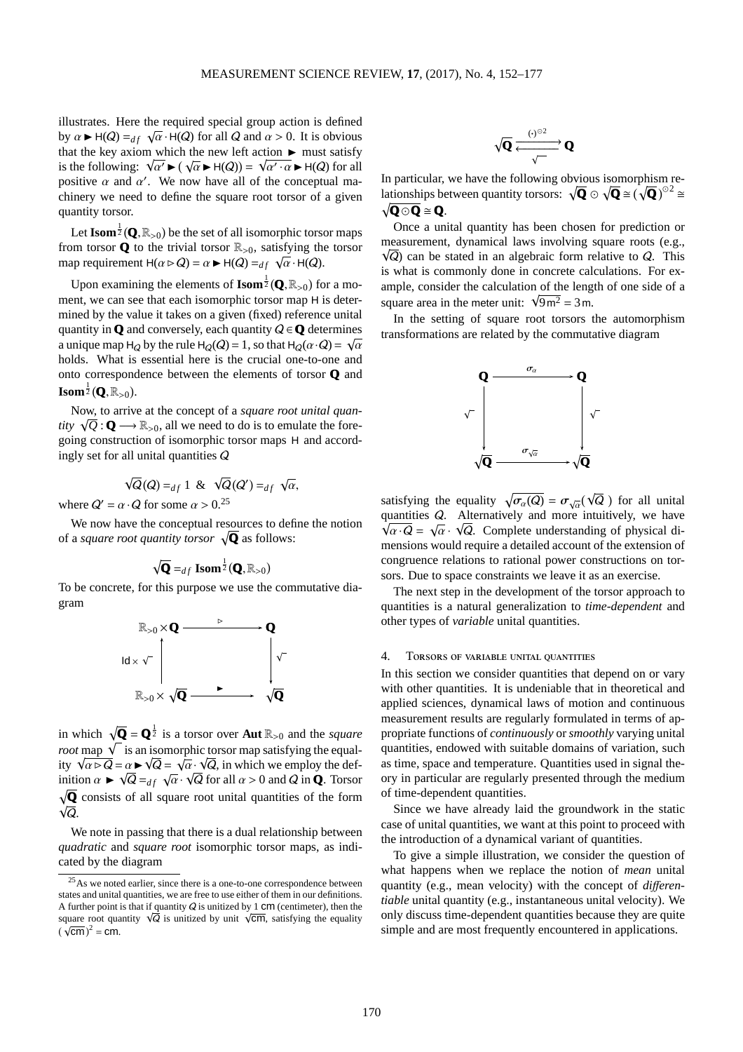illustrates. Here the required special group action is defined by  $\alpha \triangleright H(Q) =_{df} \sqrt{\alpha} \cdot H(Q)$  for all Q and  $\alpha > 0$ . It is obvious that the key axiom which the new left action  $\blacktriangleright$  must satisfy is the following:  $\sqrt{\alpha'} \blacktriangleright (\sqrt{\alpha} \blacktriangleright H(Q)) = \sqrt{\alpha' \cdot \alpha} \blacktriangleright H(Q)$  for all positive  $\alpha$  and  $\alpha'$ . We now have all of the conceptual machinery we need to define the square root torsor of a given quantity torsor.

Let  $\mathbf{Isom}\frac{1}{2}(\mathbf{Q},\mathbb{R}_{>0})$  be the set of all isomorphic torsor maps from torsor  $\bf{Q}$  to the trivial torsor  $\mathbb{R}_{>0}$ , satisfying the torsor map requirement  $H(\alpha \triangleright Q) = \alpha \blacktriangleright H(Q) =_{df} \sqrt{\alpha} \cdot H(Q)$ .

Upon examining the elements of  $\mathbf{Isom}^{\frac{1}{2}}(\mathbf{Q}, \mathbb{R}_{>0})$  for a moment, we can see that each isomorphic torsor map H is determined by the value it takes on a given (fixed) reference unital quantity in **Q** and conversely, each quantity  $Q \in \mathbf{Q}$  determines a unique map H<sub>Q</sub> by the rule H<sub>Q</sub>(Q) = 1, so that H<sub>Q</sub>( $\alpha \cdot Q$ ) =  $\sqrt{\alpha}$ holds. What is essential here is the crucial one-to-one and onto correspondence between the elements of torsor **Q** and  $\mathbf{Isom}^{\frac{1}{2}}(\mathbf{Q},\mathbb{R}_{>0}).$ 

Now, to arrive at the concept of a *square root unital quantity*  $\sqrt{Q} : \mathbf{Q} \longrightarrow \mathbb{R}_{>0}$ , all we need to do is to emulate the foregoing construction of isomorphic torsor maps H and accordingly set for all unital quantities Q

$$
\sqrt{Q}(Q) =_{df} 1 \& \sqrt{Q}(Q') =_{df} \sqrt{\alpha},
$$

where  $Q' = \alpha \cdot Q$  for some  $\alpha > 0.25$  $\alpha > 0.25$ 

We now have the conceptual resources to define the notion of a *square root quantity torsor*  $\sqrt{Q}$  as follows:

$$
\sqrt{\mathbf{Q}} =_{df} \mathbf{Isom}^{\frac{1}{2}}(\mathbf{Q}, \mathbb{R}_{>0})
$$

To be concrete, for this purpose we use the commutative diagram



in which  $\sqrt{Q} = Q^{\frac{1}{2}}$  is a torsor over **Aut**  $\mathbb{R}_{>0}$  and the *square root* map  $\sqrt{\ }$  is an isomorphic torsor map satisfying the equality  $\sqrt{\alpha} \triangleright \overline{\mathsf{Q}} = \alpha \triangleright \sqrt{\overline{\mathsf{Q}}} = \sqrt{\alpha} \cdot \sqrt{\overline{\mathsf{Q}}}$ , in which we employ the definition  $\alpha \triangleright \sqrt{Q} =_{df} \sqrt{\alpha} \cdot \sqrt{Q}$  for all  $\alpha > 0$  and Q in **Q**. Torsor  $\sqrt{Q}$  consists of all square root unital quantities of the form  $\sqrt{\overline{Q}}$ .

We note in passing that there is a dual relationship between *quadratic* and *square root* isomorphic torsor maps, as indicated by the diagram

$$
\sqrt{\mathbf{Q}}\xrightarrow[\sqrt{\mathbf{Q}}]{\mathbf{Q}}
$$

In particular, we have the following obvious isomorphism relationships between quantity torsors:  $\sqrt{Q} \odot \sqrt{Q} \cong (\sqrt{Q})^{\odot 2} \cong$  $\sqrt{Q \odot Q} \cong Q$ .

Once a unital quantity has been chosen for prediction or measurement, dynamical laws involving square roots (e.g.,  $\sqrt{Q}$ ) can be stated in an algebraic form relative to  $Q$ . This is what is commonly done in concrete calculations. For example, consider the calculation of the length of one side of a square area in the meter unit:  $\sqrt{9m^2} = 3$  m.

In the setting of square root torsors the automorphism transformations are related by the commutative diagram



satisfying the equality  $\sqrt{\sigma_{\alpha}(Q)} = \sigma_{\sqrt{\alpha}}(\sqrt{Q})$  for all unital quantities Q. Alternatively and more intuitively, we have  $\sqrt{\alpha \cdot Q} = \sqrt{\alpha} \cdot \sqrt{Q}$ . Complete understanding of physical dimensions would require a detailed account of the extension of congruence relations to rational power constructions on torsors. Due to space constraints we leave it as an exercise.

The next step in the development of the torsor approach to quantities is a natural generalization to *time-dependent* and other types of *variable* unital quantities.

## 4. Torsors of variable unital quantities

In this section we consider quantities that depend on or vary with other quantities. It is undeniable that in theoretical and applied sciences, dynamical laws of motion and continuous measurement results are regularly formulated in terms of appropriate functions of *continuously* or *smoothly* varying unital quantities, endowed with suitable domains of variation, such as time, space and temperature. Quantities used in signal theory in particular are regularly presented through the medium of time-dependent quantities.

Since we have already laid the groundwork in the static case of unital quantities, we want at this point to proceed with the introduction of a dynamical variant of quantities.

To give a simple illustration, we consider the question of what happens when we replace the notion of *mean* unital quantity (e.g., mean velocity) with the concept of *di*ff*erentiable* unital quantity (e.g., instantaneous unital velocity). We only discuss time-dependent quantities because they are quite simple and are most frequently encountered in applications.

<span id="page-18-0"></span> $25\text{As}$  we noted earlier, since there is a one-to-one correspondence between states and unital quantities, we are free to use either of them in our definitions. A further point is that if quantity  $Q$  is unitized by 1 cm (centimeter), then the square root quantity  $\sqrt{Q}$  is unitized by unit  $\sqrt{cm}$ , satisfying the equality  $(\overrightarrow{\sqrt{cm}})^2 = \overrightarrow{\text{cm}}$ .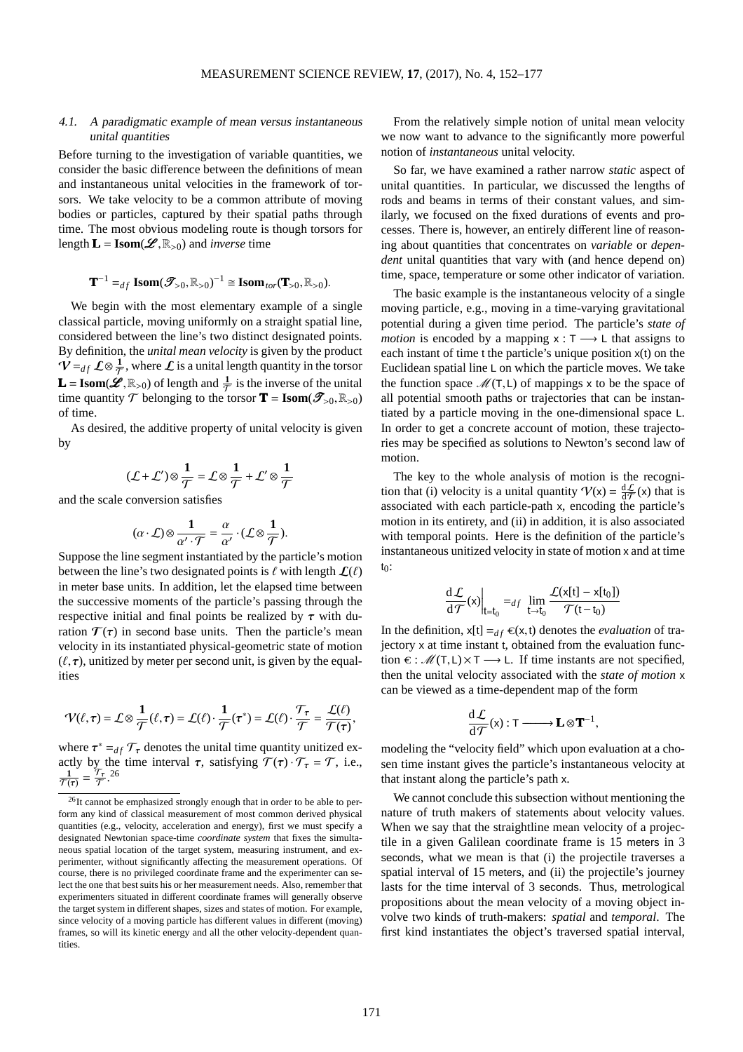## 4.1. <sup>A</sup> paradigmatic example of mean versus instantaneous unital quantities

Before turning to the investigation of variable quantities, we consider the basic difference between the definitions of mean and instantaneous unital velocities in the framework of torsors. We take velocity to be a common attribute of moving bodies or particles, captured by their spatial paths through time. The most obvious modeling route is though torsors for length  $\mathbf{L} = \text{Isom}(\mathcal{L}, \mathbb{R}_{>0})$  and *inverse* time

$$
\mathbf{T}^{-1} =_{df} \mathbf{Isom}(\mathcal{T}_{>0}, \mathbb{R}_{>0})^{-1} \cong \mathbf{Isom}_{tor}(\mathbf{T}_{>0}, \mathbb{R}_{>0}).
$$

We begin with the most elementary example of a single classical particle, moving uniformly on a straight spatial line, considered between the line's two distinct designated points. By definition, the *unital mean velocity* is given by the product  $\mathbf{\hat{V}} =_{df} \mathcal{L} \otimes \frac{1}{\mathcal{T}}$ , where  $\mathcal{L}$  is a unital length quantity in the torsor **L** = **Isom**( $\mathcal{L}, \mathbb{R}_{>0}$ ) of length and  $\frac{1}{T}$  is the inverse of the unital time quantity  $T$  belonging to the torsor **T** = **Isom**( $\mathscr{T}_{>0}, \mathbb{R}_{>0}$ ) of time.

As desired, the additive property of unital velocity is given by

$$
(\mathcal{L} + \mathcal{L}') \otimes \frac{1}{\mathcal{T}} = \mathcal{L} \otimes \frac{1}{\mathcal{T}} + \mathcal{L}' \otimes \frac{1}{\mathcal{T}}
$$

and the scale conversion satisfies

$$
(\alpha \cdot \mathcal{L}) \otimes \frac{1}{\alpha' \cdot \mathcal{T}} = \frac{\alpha}{\alpha'} \cdot (\mathcal{L} \otimes \frac{1}{\mathcal{T}}).
$$

Suppose the line segment instantiated by the particle's motion between the line's two designated points is  $\ell$  with length  $\mathcal{L}(\ell)$ in meter base units. In addition, let the elapsed time between the successive moments of the particle's passing through the respective initial and final points be realized by  $\tau$  with duration  $\mathcal{T}(\tau)$  in second base units. Then the particle's mean velocity in its instantiated physical-geometric state of motion  $(\ell, \tau)$ , unitized by meter per second unit, is given by the equalities

$$
\mathcal{V}(\ell,\tau) = \mathcal{L} \otimes \frac{1}{\mathcal{T}}(\ell,\tau) = \mathcal{L}(\ell) \cdot \frac{1}{\mathcal{T}}(\tau^*) = \mathcal{L}(\ell) \cdot \frac{\mathcal{T}_{\tau}}{\mathcal{T}} = \frac{\mathcal{L}(\ell)}{\mathcal{T}(\tau)},
$$

where  $\tau^* =_{df} \mathcal{T}_{\tau}$  denotes the unital time quantity unitized exactly by the time interval  $\tau$ , satisfying  $\mathcal{T}(\tau) \cdot \mathcal{T}_{\tau} = \mathcal{T}$ , i.e.,  $\frac{1}{\mathcal{T}(\tau)} = \frac{\mathcal{T}_{\tau}}{\mathcal{T}}$  $\frac{\overline{r}_{\tau}}{\overline{T}}$ . [26](#page-19-0)

From the relatively simple notion of unital mean velocity we now want to advance to the significantly more powerful notion of *instantaneous* unital velocity.

So far, we have examined a rather narrow *static* aspect of unital quantities. In particular, we discussed the lengths of rods and beams in terms of their constant values, and similarly, we focused on the fixed durations of events and processes. There is, however, an entirely different line of reasoning about quantities that concentrates on *variable* or *dependent* unital quantities that vary with (and hence depend on) time, space, temperature or some other indicator of variation.

The basic example is the instantaneous velocity of a single moving particle, e.g., moving in a time-varying gravitational potential during a given time period. The particle's *state of motion* is encoded by a mapping  $x : T \longrightarrow L$  that assigns to each instant of time t the particle's unique position x(t) on the Euclidean spatial line L on which the particle moves. We take the function space  $\mathcal{M}(T,L)$  of mappings x to be the space of all potential smooth paths or trajectories that can be instantiated by a particle moving in the one-dimensional space L. In order to get a concrete account of motion, these trajectories may be specified as solutions to Newton's second law of motion.

The key to the whole analysis of motion is the recognition that (i) velocity is a unital quantity  $V(x) = \frac{dL}{d\tau}(x)$  that is associated with each particle-path x, encoding the particle's motion in its entirety, and (ii) in addition, it is also associated with temporal points. Here is the definition of the particle's instantaneous unitized velocity in state of motion x and at time  $t_0$ :

$$
\frac{\mathrm{d}\mathcal{L}}{\mathrm{d}\mathcal{T}}(x)\Big|_{t=t_0} =_{df} \lim_{t \to t_0} \frac{\mathcal{L}(x[t] - x[t_0])}{\mathcal{T}(t - t_0)}
$$

In the definition,  $x[t] =_{df} \epsilon(x,t)$  denotes the *evaluation* of trajectory x at time instant t, obtained from the evaluation function  $\epsilon$  :  $\mathcal{M}(T,L)\times T \longrightarrow L$ . If time instants are not specified, then the unital velocity associated with the *state of motion* x can be viewed as a time-dependent map of the form

$$
\frac{d\mathcal{L}}{d\mathcal{T}}(x):T\longrightarrow \mathbf{L}\otimes \mathbf{T}^{-1},
$$

modeling the "velocity field" which upon evaluation at a chosen time instant gives the particle's instantaneous velocity at that instant along the particle's path x.

We cannot conclude this subsection without mentioning the nature of truth makers of statements about velocity values. When we say that the straightline mean velocity of a projectile in a given Galilean coordinate frame is 15 meters in 3 seconds, what we mean is that (i) the projectile traverses a spatial interval of 15 meters, and (ii) the projectile's journey lasts for the time interval of 3 seconds. Thus, metrological propositions about the mean velocity of a moving object involve two kinds of truth-makers: *spatial* and *temporal*. The first kind instantiates the object's traversed spatial interval,

<span id="page-19-0"></span><sup>26</sup>It cannot be emphasized strongly enough that in order to be able to perform any kind of classical measurement of most common derived physical quantities (e.g., velocity, acceleration and energy), first we must specify a designated Newtonian space-time *coordinate system* that fixes the simultaneous spatial location of the target system, measuring instrument, and experimenter, without significantly affecting the measurement operations. Of course, there is no privileged coordinate frame and the experimenter can select the one that best suits his or her measurement needs. Also, remember that experimenters situated in different coordinate frames will generally observe the target system in different shapes, sizes and states of motion. For example, since velocity of a moving particle has different values in different (moving) frames, so will its kinetic energy and all the other velocity-dependent quantities.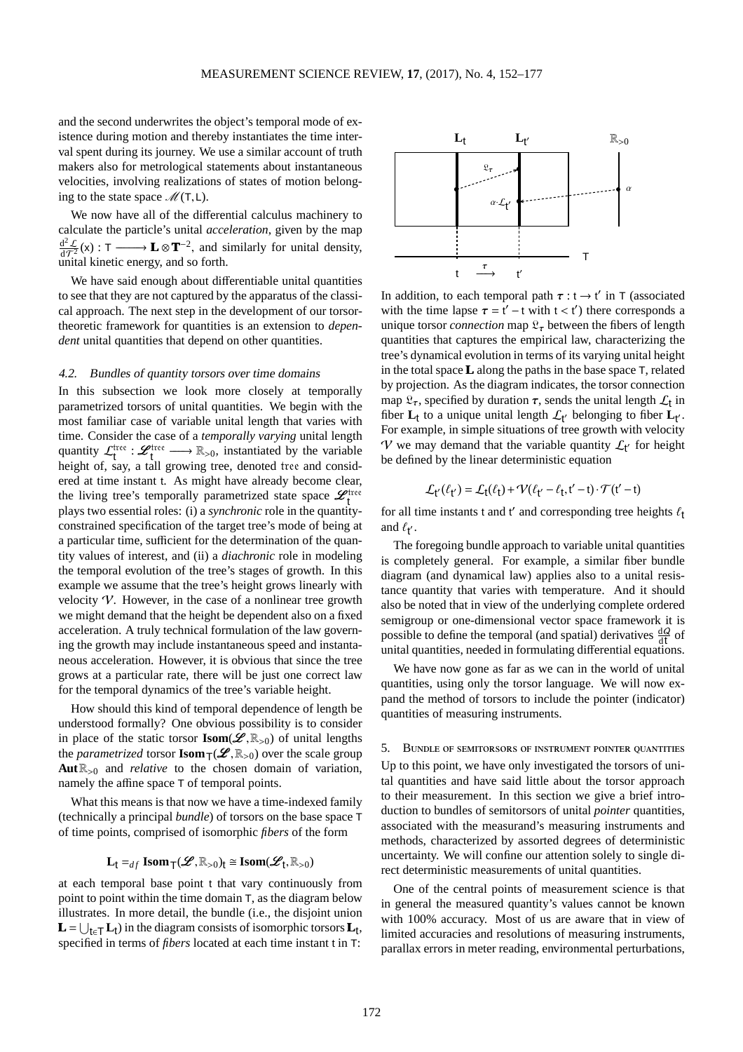and the second underwrites the object's temporal mode of existence during motion and thereby instantiates the time interval spent during its journey. We use a similar account of truth makers also for metrological statements about instantaneous velocities, involving realizations of states of motion belonging to the state space  $\mathcal{M}(T,L)$ .

We now have all of the differential calculus machinery to calculate the particle's unital *acceleration*, given by the map  $\frac{d^2\mathcal{L}}{dt^2}$  $\frac{d^2 \mathcal{L}}{d\mathcal{T}^2}$ (x) : T –——→ **L**  $\otimes \mathbf{T}^{-2}$ , and similarly for unital density, unital kinetic energy, and so forth.

We have said enough about differentiable unital quantities to see that they are not captured by the apparatus of the classical approach. The next step in the development of our torsortheoretic framework for quantities is an extension to *dependent* unital quantities that depend on other quantities.

#### 4.2. Bundles of quantity torsors over time domains

In this subsection we look more closely at temporally parametrized torsors of unital quantities. We begin with the most familiar case of variable unital length that varies with time. Consider the case of a *temporally varying* unital length quantity  $\mathcal{L}_{t}^{\text{tree}}$  :  $\mathcal{L}_{t}^{\text{tree}}$   $\longrightarrow \mathbb{R}_{>0}$ , instantiated by the variable height of, say, a tall growing tree, denoted tree and considered at time instant t. As might have already become clear, the living tree's temporally parametrized state space  $\mathcal{L}_{t}^{\text{tree}}$ plays two essential roles: (i) a *synchronic* role in the quantityconstrained specification of the target tree's mode of being at a particular time, sufficient for the determination of the quantity values of interest, and (ii) a *diachronic* role in modeling the temporal evolution of the tree's stages of growth. In this example we assume that the tree's height grows linearly with velocity  $V$ . However, in the case of a nonlinear tree growth we might demand that the height be dependent also on a fixed acceleration. A truly technical formulation of the law governing the growth may include instantaneous speed and instantaneous acceleration. However, it is obvious that since the tree grows at a particular rate, there will be just one correct law for the temporal dynamics of the tree's variable height.

How should this kind of temporal dependence of length be understood formally? One obvious possibility is to consider in place of the static torsor **Isom**( $\mathscr{L}, \mathbb{R}_{>0}$ ) of unital lengths the *parametrized* torsor **Isom** $\tau(\mathcal{L}, \mathbb{R}_{>0})$  over the scale group  $Aut \mathbb{R}_{>0}$  and *relative* to the chosen domain of variation, namely the affine space T of temporal points.

What this means is that now we have a time-indexed family (technically a principal *bundle*) of torsors on the base space T of time points, comprised of isomorphic *fibers* of the form

$$
L_t =_{df} \text{Isom}_{\textsf{T}}(\mathcal{L}, \mathbb{R}_{>0})_t \cong \text{Isom}(\mathcal{L}_t, \mathbb{R}_{>0})
$$

at each temporal base point t that vary continuously from point to point within the time domain T, as the diagram below illustrates. In more detail, the bundle (i.e., the disjoint union  $\mathbf{L} = \bigcup_{\mathbf{t} \in \mathsf{T}} \mathbf{L}_{\mathbf{t}}$  in the diagram consists of isomorphic torsors  $\mathbf{L}_{\mathbf{t}}$ , specified in terms of *fibers* located at each time instant t in T:



In addition, to each temporal path  $\tau : t \rightarrow t'$  in T (associated with the time lapse  $\tau = t' - t$  with  $t < t'$ ) there corresponds a unique torsor *connection* map  $\mathfrak{L}_{\tau}$  between the fibers of length quantities that captures the empirical law, characterizing the tree's dynamical evolution in terms of its varying unital height in the total space**L** along the paths in the base space T, related by projection. As the diagram indicates, the torsor connection map  $\mathfrak{L}_{\tau}$ , specified by duration  $\tau$ , sends the unital length  $\mathcal{L}_{t}$  in fiber  $\mathbf{L}_t$  to a unique unital length  $\mathcal{L}_{t'}$  belonging to fiber  $\mathbf{L}_{t'}$ . For example, in simple situations of tree growth with velocity V we may demand that the variable quantity  $\mathcal{L}_{t'}$  for height be defined by the linear deterministic equation

$$
\mathcal{L}_{t'}(\ell_{t'}) = \mathcal{L}_{t}(\ell_{t}) + \mathcal{V}(\ell_{t'} - \ell_{t}, t' - t) \cdot \mathcal{T}(t' - t)
$$

for all time instants t and t' and corresponding tree heights  $\ell_t$ and  $\ell_{t'}$ .

The foregoing bundle approach to variable unital quantities is completely general. For example, a similar fiber bundle diagram (and dynamical law) applies also to a unital resistance quantity that varies with temperature. And it should also be noted that in view of the underlying complete ordered semigroup or one-dimensional vector space framework it is possible to define the temporal (and spatial) derivatives  $\frac{dQ}{dt}$  of unital quantities, needed in formulating differential equations.

We have now gone as far as we can in the world of unital quantities, using only the torsor language. We will now expand the method of torsors to include the pointer (indicator) quantities of measuring instruments.

5. Bundle of semitorsors of instrument pointer quantities Up to this point, we have only investigated the torsors of unital quantities and have said little about the torsor approach to their measurement. In this section we give a brief introduction to bundles of semitorsors of unital *pointer* quantities, associated with the measurand's measuring instruments and methods, characterized by assorted degrees of deterministic uncertainty. We will confine our attention solely to single direct deterministic measurements of unital quantities.

One of the central points of measurement science is that in general the measured quantity's values cannot be known with 100% accuracy. Most of us are aware that in view of limited accuracies and resolutions of measuring instruments, parallax errors in meter reading, environmental perturbations,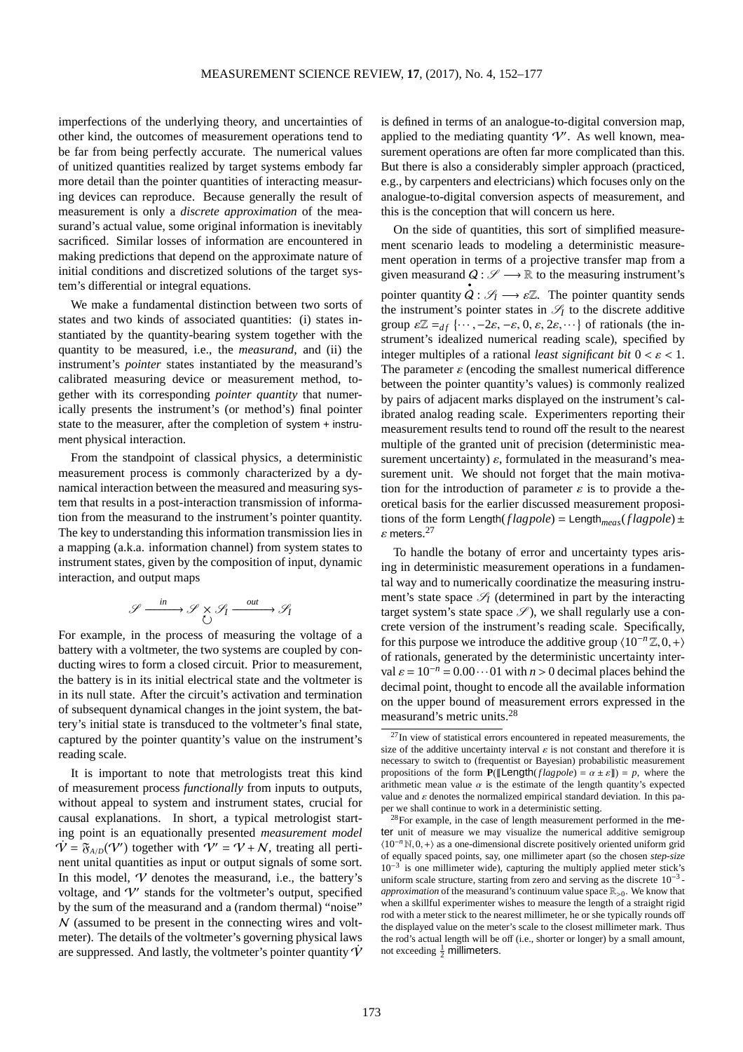imperfections of the underlying theory, and uncertainties of other kind, the outcomes of measurement operations tend to be far from being perfectly accurate. The numerical values of unitized quantities realized by target systems embody far more detail than the pointer quantities of interacting measuring devices can reproduce. Because generally the result of measurement is only a *discrete approximation* of the measurand's actual value, some original information is inevitably sacrificed. Similar losses of information are encountered in making predictions that depend on the approximate nature of initial conditions and discretized solutions of the target system's differential or integral equations.

We make a fundamental distinction between two sorts of states and two kinds of associated quantities: (i) states instantiated by the quantity-bearing system together with the quantity to be measured, i.e., the *measurand*, and (ii) the instrument's *pointer* states instantiated by the measurand's calibrated measuring device or measurement method, together with its corresponding *pointer quantity* that numerically presents the instrument's (or method's) final pointer state to the measurer, after the completion of system + instrument physical interaction.

From the standpoint of classical physics, a deterministic measurement process is commonly characterized by a dynamical interaction between the measured and measuring system that results in a post-interaction transmission of information from the measurand to the instrument's pointer quantity. The key to understanding this information transmission lies in a mapping (a.k.a. information channel) from system states to instrument states, given by the composition of input, dynamic interaction, and output maps

$$
\mathcal{S} \xrightarrow{\text{in}} \mathcal{S} \times \mathcal{S}_I \xrightarrow{\text{out}} \mathcal{S}_I
$$

For example, in the process of measuring the voltage of a battery with a voltmeter, the two systems are coupled by conducting wires to form a closed circuit. Prior to measurement, the battery is in its initial electrical state and the voltmeter is in its null state. After the circuit's activation and termination of subsequent dynamical changes in the joint system, the battery's initial state is transduced to the voltmeter's final state, captured by the pointer quantity's value on the instrument's reading scale.

It is important to note that metrologists treat this kind of measurement process *functionally* from inputs to outputs, without appeal to system and instrument states, crucial for causal explanations. In short, a typical metrologist starting point is an equationally presented *measurement model*  $\dot{\mathcal{V}} = \tilde{\mathfrak{F}}_{A/D}(\mathcal{V}')$  together with  $\mathcal{V}' = \mathcal{V} + \mathcal{N}$ , treating all pertinent unital quantities as input or output signals of some sort. In this model,  $V$  denotes the measurand, i.e., the battery's voltage, and V′ stands for the voltmeter's output, specified by the sum of the measurand and a (random thermal) "noise"  $N$  (assumed to be present in the connecting wires and voltmeter). The details of the voltmeter's governing physical laws are suppressed. And lastly, the voltmeter's pointer quantity  $\dot{V}$  is defined in terms of an analogue-to-digital conversion map, applied to the mediating quantity  $\mathcal{V}'$ . As well known, measurement operations are often far more complicated than this. But there is also a considerably simpler approach (practiced, e.g., by carpenters and electricians) which focuses only on the analogue-to-digital conversion aspects of measurement, and this is the conception that will concern us here.

On the side of quantities, this sort of simplified measurement scenario leads to modeling a deterministic measurement operation in terms of a projective transfer map from a given measurand  $Q: \mathscr{S} \longrightarrow \mathbb{R}$  to the measuring instrument's pointer quantity  $\dot{Q}: \mathscr{S}_I \longrightarrow \varepsilon \mathbb{Z}$ . The pointer quantity sends the instrument's pointer states in  $\mathcal{S}_I$  to the discrete additive group  $\varepsilon \mathbb{Z} =_{df} {\cdots, -2\varepsilon, -\varepsilon, 0, \varepsilon, 2\varepsilon, \cdots}$  of rationals (the instrument's idealized numerical reading scale), specified by integer multiples of a rational *least significant bit*  $0 < \varepsilon < 1$ . The parameter  $\varepsilon$  (encoding the smallest numerical difference between the pointer quantity's values) is commonly realized by pairs of adjacent marks displayed on the instrument's calibrated analog reading scale. Experimenters reporting their measurement results tend to round off the result to the nearest multiple of the granted unit of precision (deterministic measurement uncertainty)  $\varepsilon$ , formulated in the measurand's measurement unit. We should not forget that the main motivation for the introduction of parameter  $\varepsilon$  is to provide a theoretical basis for the earlier discussed measurement propositions of the form Length( $flagpole$ ) = Length<sub>meas</sub>( $flagpole$ ) ±  $\varepsilon$  meters.<sup>[27](#page-21-0)</sup>

To handle the botany of error and uncertainty types arising in deterministic measurement operations in a fundamental way and to numerically coordinatize the measuring instrument's state space  $\mathscr{S}_I$  (determined in part by the interacting target system's state space  $\mathscr{S}$ ), we shall regularly use a concrete version of the instrument's reading scale. Specifically, for this purpose we introduce the additive group  $\langle 10^{-n} \mathbb{Z}, 0, + \rangle$ of rationals, generated by the deterministic uncertainty interval  $\varepsilon = 10^{-n} = 0.00 \cdots 01$  with  $n > 0$  decimal places behind the decimal point, thought to encode all the available information on the upper bound of measurement errors expressed in the measurand's metric units.[28](#page-21-1)

<span id="page-21-0"></span> $27$ In view of statistical errors encountered in repeated measurements, the size of the additive uncertainty interval  $\varepsilon$  is not constant and therefore it is necessary to switch to (frequentist or Bayesian) probabilistic measurement propositions of the form  $P(\mathbb{L} \text{length}(flagpole) = \alpha \pm \varepsilon \mathbb{I}) = p$ , where the arithmetic mean value  $\alpha$  is the estimate of the length quantity's expected value and  $\varepsilon$  denotes the normalized empirical standard deviation. In this paper we shall continue to work in a deterministic setting.

<span id="page-21-1"></span><sup>&</sup>lt;sup>28</sup>For example, in the case of length measurement performed in the meter unit of measure we may visualize the numerical additive semigroup  $(10<sup>-n</sup> N, 0, +)$  as a one-dimensional discrete positively oriented uniform grid of equally spaced points, say, one millimeter apart (so the chosen *step-size* 10−<sup>3</sup> is one millimeter wide), capturing the multiply applied meter stick's uniform scale structure, starting from zero and serving as the discrete  $10^{-3}$ *approximation* of the measurand's continuum value space  $\mathbb{R}_{>0}$ . We know that when a skillful experimenter wishes to measure the length of a straight rigid rod with a meter stick to the nearest millimeter, he or she typically rounds off the displayed value on the meter's scale to the closest millimeter mark. Thus the rod's actual length will be off (i.e., shorter or longer) by a small amount, not exceeding  $\frac{1}{2}$  millimeters.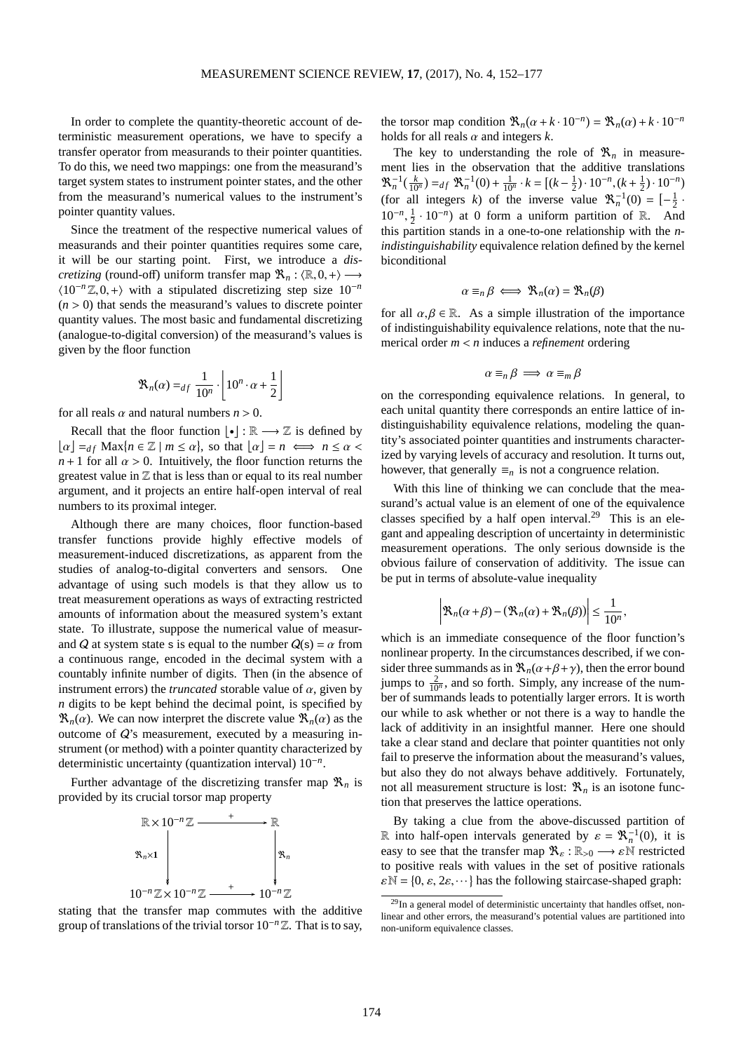In order to complete the quantity-theoretic account of deterministic measurement operations, we have to specify a transfer operator from measurands to their pointer quantities. To do this, we need two mappings: one from the measurand's target system states to instrument pointer states, and the other from the measurand's numerical values to the instrument's pointer quantity values.

Since the treatment of the respective numerical values of measurands and their pointer quantities requires some care, it will be our starting point. First, we introduce a *discretizing* (round-off) uniform transfer map  $\mathcal{R}_n : \langle \mathbb{R}, 0, + \rangle \longrightarrow$  $\langle 10^{-n}\mathbb{Z}, 0, + \rangle$  with a stipulated discretizing step size  $10^{-n}$  $(n > 0)$  that sends the measurand's values to discrete pointer quantity values. The most basic and fundamental discretizing (analogue-to-digital conversion) of the measurand's values is given by the floor function

$$
\mathfrak{R}_n(\alpha) =_{df} \frac{1}{10^n} \cdot \left[ 10^n \cdot \alpha + \frac{1}{2} \right]
$$

for all reals  $\alpha$  and natural numbers  $n > 0$ .

Recall that the floor function  $\lfloor \cdot \rfloor : \mathbb{R} \longrightarrow \mathbb{Z}$  is defined by  $\lfloor \alpha \rfloor =_{df} \text{Max} \{ n \in \mathbb{Z} \mid m \leq \alpha \}, \text{ so that } \lfloor \alpha \rfloor = n \iff n \leq \alpha$  $n+1$  for all  $\alpha > 0$ . Intuitively, the floor function returns the greatest value in  $Z$  that is less than or equal to its real number argument, and it projects an entire half-open interval of real numbers to its proximal integer.

Although there are many choices, floor function-based transfer functions provide highly effective models of measurement-induced discretizations, as apparent from the studies of analog-to-digital converters and sensors. One advantage of using such models is that they allow us to treat measurement operations as ways of extracting restricted amounts of information about the measured system's extant state. To illustrate, suppose the numerical value of measurand Q at system state s is equal to the number  $Q(s) = \alpha$  from a continuous range, encoded in the decimal system with a countably infinite number of digits. Then (in the absence of instrument errors) the *truncated* storable value of  $\alpha$ , given by *n* digits to be kept behind the decimal point, is specified by  $\mathfrak{R}_n(\alpha)$ . We can now interpret the discrete value  $\mathfrak{R}_n(\alpha)$  as the outcome of Q's measurement, executed by a measuring instrument (or method) with a pointer quantity characterized by deterministic uncertainty (quantization interval) 10−*<sup>n</sup>* .

Further advantage of the discretizing transfer map  $\mathcal{R}_n$  is provided by its crucial torsor map property



stating that the transfer map commutes with the additive group of translations of the trivial torsor 10−*<sup>n</sup>* Z. That is to say,

the torsor map condition  $\Re_n(\alpha + k \cdot 10^{-n}) = \Re_n(\alpha) + k \cdot 10^{-n}$ holds for all reals  $\alpha$  and integers  $k$ .

The key to understanding the role of  $\mathfrak{R}_n$  in measurement lies in the observation that the additive translations  $\mathcal{R}_n^{-1}(\frac{k}{10^n}) =_{df} \mathcal{R}_n^{-1}(0) + \frac{1}{10^n} \cdot k = \left[ (k - \frac{1}{2}) \cdot 10^{-n}, (k + \frac{1}{2}) \cdot 10^{-n} \right]$ (for all integers *k*) of the inverse value  $\mathbb{R}_n^{-1}(0) = \left[-\frac{1}{2}\right]$ .  $10^{-n}, \frac{1}{2} \cdot 10^{-n}$  at 0 form a uniform partition of R. And this partition stands in a one-to-one relationship with the *nindistinguishability* equivalence relation defined by the kernel biconditional

$$
\alpha \equiv_n \beta \iff \mathfrak{R}_n(\alpha) = \mathfrak{R}_n(\beta)
$$

for all  $\alpha, \beta \in \mathbb{R}$ . As a simple illustration of the importance of indistinguishability equivalence relations, note that the numerical order *m* < *n* induces a *refinement* ordering

$$
\alpha \equiv_n \beta \implies \alpha \equiv_m \beta
$$

on the corresponding equivalence relations. In general, to each unital quantity there corresponds an entire lattice of indistinguishability equivalence relations, modeling the quantity's associated pointer quantities and instruments characterized by varying levels of accuracy and resolution. It turns out, however, that generally  $\equiv_n$  is not a congruence relation.

With this line of thinking we can conclude that the measurand's actual value is an element of one of the equivalence classes specified by a half open interval.<sup>[29](#page-22-0)</sup> This is an elegant and appealing description of uncertainty in deterministic measurement operations. The only serious downside is the obvious failure of conservation of additivity. The issue can be put in terms of absolute-value inequality

$$
\left|\mathfrak{R}_n(\alpha+\beta)-(\mathfrak{R}_n(\alpha)+\mathfrak{R}_n(\beta))\right|\leq \frac{1}{10^n},
$$

which is an immediate consequence of the floor function's nonlinear property. In the circumstances described, if we consider three summands as in  $\mathcal{R}_n(\alpha+\beta+\gamma)$ , then the error bound jumps to  $\frac{2}{10^n}$ , and so forth. Simply, any increase of the number of summands leads to potentially larger errors. It is worth our while to ask whether or not there is a way to handle the lack of additivity in an insightful manner. Here one should take a clear stand and declare that pointer quantities not only fail to preserve the information about the measurand's values, but also they do not always behave additively. Fortunately, not all measurement structure is lost:  $\mathcal{R}_n$  is an isotone function that preserves the lattice operations.

By taking a clue from the above-discussed partition of R into half-open intervals generated by  $\varepsilon = \mathbb{R}_n^{-1}(0)$ , it is easy to see that the transfer map  $\mathfrak{R}_{\varepsilon} : \mathbb{R}_{>0} \longrightarrow \varepsilon \mathbb{N}$  restricted to positive reals with values in the set of positive rationals  $\varepsilon \mathbb{N} = \{0, \varepsilon, 2\varepsilon, \dots\}$  has the following staircase-shaped graph:

<span id="page-22-0"></span> $^{29}$ In a general model of deterministic uncertainty that handles offset, nonlinear and other errors, the measurand's potential values are partitioned into non-uniform equivalence classes.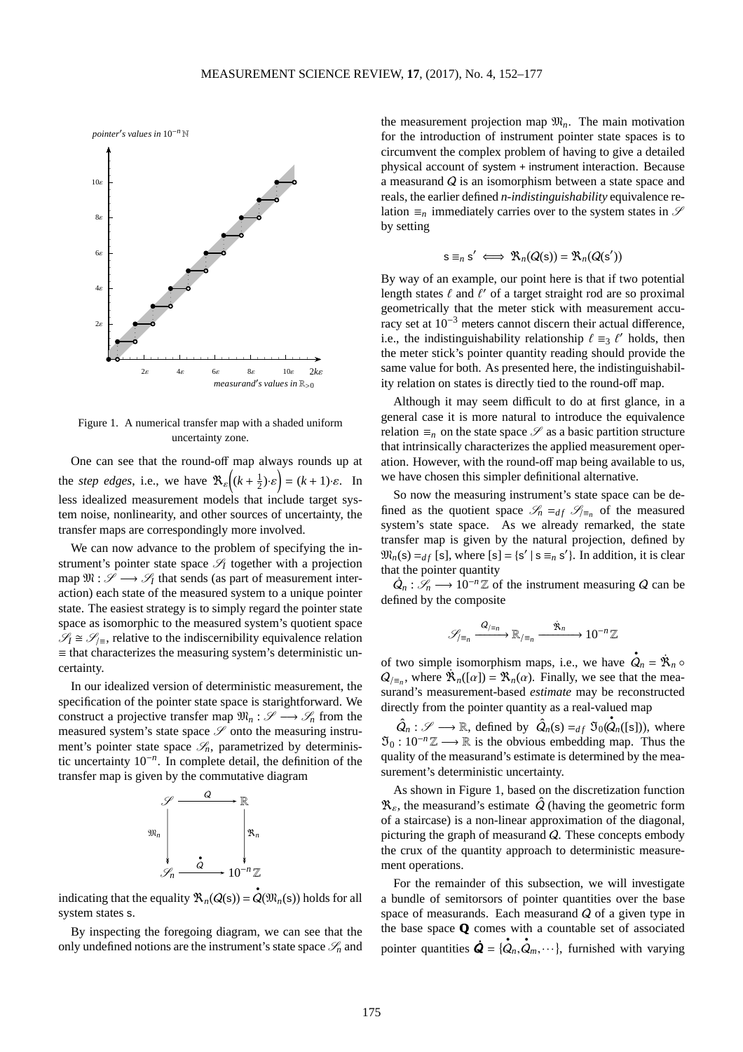*pointer*′ *s values in* 10−*<sup>n</sup>* N



Figure 1. A numerical transfer map with a shaded uniform uncertainty zone.

One can see that the round-off map always rounds up at the *step edges*, i.e., we have  $\Re_{\varepsilon} \left( (k + \frac{1}{2}) \cdot \varepsilon \right) = (k + 1) \cdot \varepsilon$ . In less idealized measurement models that include target system noise, nonlinearity, and other sources of uncertainty, the transfer maps are correspondingly more involved.

We can now advance to the problem of specifying the instrument's pointer state space  $\mathcal{S}_I$  together with a projection map  $\mathfrak{M} : \mathcal{S} \longrightarrow \mathcal{S}_I$  that sends (as part of measurement interaction) each state of the measured system to a unique pointer state. The easiest strategy is to simply regard the pointer state space as isomorphic to the measured system's quotient space  $\mathscr{S}_I \cong \mathscr{S}_{I}$  relative to the indiscernibility equivalence relation  $\equiv$  that characterizes the measuring system's deterministic uncertainty.

In our idealized version of deterministic measurement, the specification of the pointer state space is starightforward. We construct a projective transfer map  $\mathfrak{M}_n : \mathscr{S} \longrightarrow \mathscr{S}_n$  from the measured system's state space  $\mathscr S$  onto the measuring instrument's pointer state space  $\mathscr{S}_n$ , parametrized by deterministic uncertainty 10−*<sup>n</sup>* . In complete detail, the definition of the transfer map is given by the commutative diagram



indicating that the equality  $\mathfrak{R}_n(Q(s)) = \mathcal{Q}(\mathfrak{M}_n(s))$  holds for all system states s.

By inspecting the foregoing diagram, we can see that the only undefined notions are the instrument's state space  $\mathcal{S}_n$  and

the measurement projection map  $\mathfrak{M}_n$ . The main motivation for the introduction of instrument pointer state spaces is to circumvent the complex problem of having to give a detailed physical account of system + instrument interaction. Because a measurand Q is an isomorphism between a state space and reals, the earlier defined *n*-*indistinguishability* equivalence relation  $\equiv_n$  immediately carries over to the system states in  $\mathscr S$ by setting

$$
s \equiv_n s' \iff \mathfrak{R}_n(Q(s)) = \mathfrak{R}_n(Q(s'))
$$

By way of an example, our point here is that if two potential length states  $\ell$  and  $\ell'$  of a target straight rod are so proximal geometrically that the meter stick with measurement accuracy set at 10−<sup>3</sup> meters cannot discern their actual difference, i.e., the indistinguishability relationship  $\ell \equiv_3 \ell'$  holds, then the meter stick's pointer quantity reading should provide the same value for both. As presented here, the indistinguishability relation on states is directly tied to the round-off map.

Although it may seem difficult to do at first glance, in a general case it is more natural to introduce the equivalence relation  $\equiv_n$  on the state space  $\mathscr S$  as a basic partition structure that intrinsically characterizes the applied measurement operation. However, with the round-off map being available to us, we have chosen this simpler definitional alternative.

So now the measuring instrument's state space can be defined as the quotient space  $\mathscr{S}_n =_{df} \mathscr{S}_{\equiv_n}$  of the measured system's state space. As we already remarked, the state transfer map is given by the natural projection, defined by  $\mathfrak{M}_n(\mathbf{s}) =_{df} [\mathbf{s}]$ , where  $[\mathbf{s}] = {\mathbf{s}' | \mathbf{s} \equiv_n \mathbf{s}' }$ . In addition, it is clear that the pointer quantity

 $Q_n: \mathscr{S}_n \longrightarrow 10^{-n}\mathbb{Z}$  of the instrument measuring Q can be defined by the composite

$$
\mathscr{S}_{\mathbb{F}_n} \xrightarrow{Q_{\mathbb{F}_n}} \mathbb{R}_{\mathbb{F}_n} \xrightarrow{\hat{\mathbf{X}}_n} 10^{-n}\mathbb{Z}
$$

of two simple isomorphism maps, i.e., we have  $\mathbf{\dot{Q}}_n = \mathbf{\dot{R}}_n \circ$  $Q_{\ell=n}$ , where  $\mathbb{R}_n([\alpha]) = \mathbb{R}_n(\alpha)$ . Finally, we see that the measurand's measurement-based *estimate* may be reconstructed directly from the pointer quantity as a real-valued map

 $\hat{Q}_n : \mathscr{S} \longrightarrow \mathbb{R}$ , defined by  $\hat{Q}_n(\mathbf{s}) =_{df} \tilde{\mathfrak{I}}_0(\hat{Q}_n([\mathbf{s}]))$ , where  $\mathfrak{I}_0$  :  $10^{-n}\mathbb{Z} \longrightarrow \mathbb{R}$  is the obvious embedding map. Thus the quality of the measurand's estimate is determined by the measurement's deterministic uncertainty.

As shown in Figure 1, based on the discretization function  $\mathcal{R}_{\varepsilon}$ , the measurand's estimate  $\hat{Q}$  (having the geometric form of a staircase) is a non-linear approximation of the diagonal, picturing the graph of measurand  $Q$ . These concepts embody the crux of the quantity approach to deterministic measurement operations.

For the remainder of this subsection, we will investigate a bundle of semitorsors of pointer quantities over the base space of measurands. Each measurand  $Q$  of a given type in the base space **Q** comes with a countable set of associated pointer quantities  $\dot{Q} = {\dot{Q}_n, \dot{Q}_m, \dots}$ , furnished with varying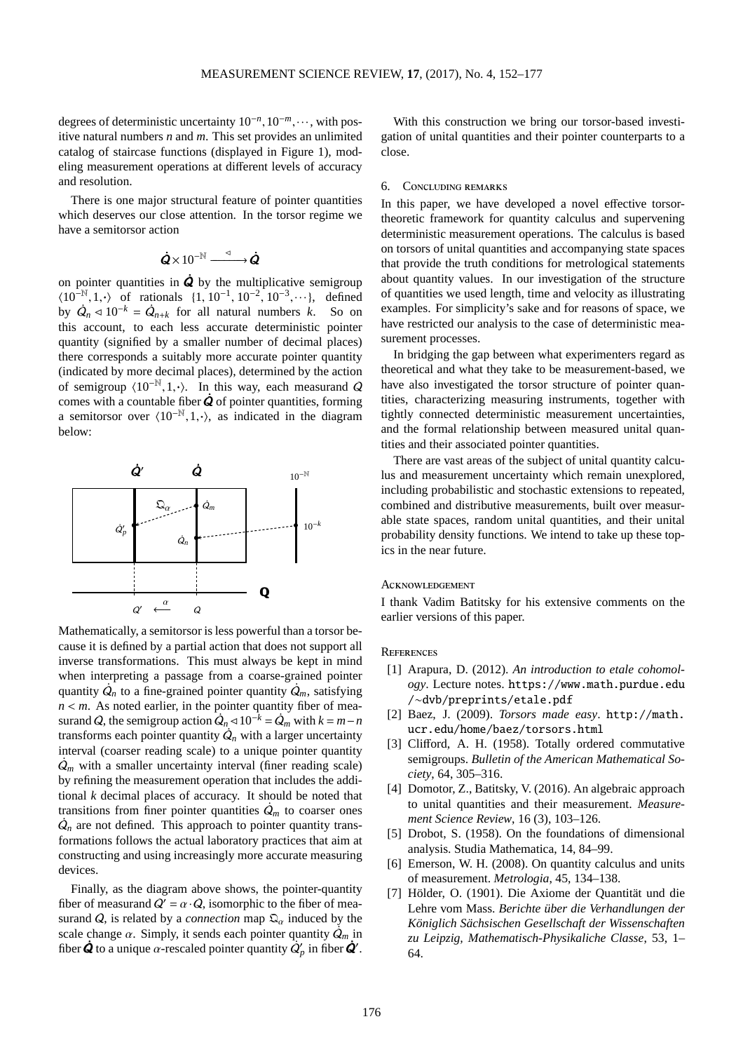degrees of deterministic uncertainty  $10^{-n}$ ,  $10^{-m}$ , ···, with positive natural numbers *n* and *m*. This set provides an unlimited catalog of staircase functions (displayed in Figure 1), modeling measurement operations at different levels of accuracy and resolution.

There is one major structural feature of pointer quantities which deserves our close attention. In the torsor regime we have a semitorsor action

$$
\dot{\mathbf{Q}} \times 10^{-\mathbb{N}} \xrightarrow{\vartriangleleft} \dot{\mathbf{Q}}
$$

on pointer quantities in  $\dot{Q}$  by the multiplicative semigroup  $\langle 10^{-\mathbb{N}}, 1, \cdot \rangle$  of rationals  $\{1, 10^{-1}, 10^{-2}, 10^{-3}, \cdots \}$ , defined by  $\dot{Q}_n \le 10^{-k} = \dot{Q}_{n+k}$  for all natural numbers *k*. So on this account, to each less accurate deterministic pointer quantity (signified by a smaller number of decimal places) there corresponds a suitably more accurate pointer quantity (indicated by more decimal places), determined by the action of semigroup  $\langle 10^{-N},1,\cdot\rangle$ . In this way, each measurand Q comes with a countable fiber  $\dot{Q}$  of pointer quantities, forming a semitorsor over  $(10^{-N},1,\cdot)$ , as indicated in the diagram below:



Mathematically, a semitorsor is less powerful than a torsor because it is defined by a partial action that does not support all inverse transformations. This must always be kept in mind when interpreting a passage from a coarse-grained pointer quantity  $\dot{Q}_n$  to a fine-grained pointer quantity  $\dot{Q}_m$ , satisfying  $n < m$ . As noted earlier, in the pointer quantity fiber of measurand *Q*, the semigroup action  $\hat{Q}_n \le 10^{-k} = \hat{Q}_m$  with  $k = m - n$ transforms each pointer quantity  $Q_n$  with a larger uncertainty interval (coarser reading scale) to a unique pointer quantity  $Q_m$  with a smaller uncertainty interval (finer reading scale) by refining the measurement operation that includes the additional *k* decimal places of accuracy. It should be noted that transitions from finer pointer quantities  $\dot{Q}_m$  to coarser ones  $\dot{Q}_n$  are not defined. This approach to pointer quantity transformations follows the actual laboratory practices that aim at constructing and using increasingly more accurate measuring devices.

Finally, as the diagram above shows, the pointer-quantity fiber of measurand  $Q' = \alpha \cdot Q$ , isomorphic to the fiber of measurand Q, is related by a *connection* map  $\mathfrak{Q}_{\alpha}$  induced by the scale change  $\alpha$ . Simply, it sends each pointer quantity  $\dot{Q}_m$  in fiber  $\dot{Q}$  to a unique  $\alpha$ -rescaled pointer quantity  $\dot{Q}'_p$  in fiber  $\dot{Q}'$ .

With this construction we bring our torsor-based investigation of unital quantities and their pointer counterparts to a close.

## 6. Concluding remarks

In this paper, we have developed a novel effective torsortheoretic framework for quantity calculus and supervening deterministic measurement operations. The calculus is based on torsors of unital quantities and accompanying state spaces that provide the truth conditions for metrological statements about quantity values. In our investigation of the structure of quantities we used length, time and velocity as illustrating examples. For simplicity's sake and for reasons of space, we have restricted our analysis to the case of deterministic measurement processes.

In bridging the gap between what experimenters regard as theoretical and what they take to be measurement-based, we have also investigated the torsor structure of pointer quantities, characterizing measuring instruments, together with tightly connected deterministic measurement uncertainties, and the formal relationship between measured unital quantities and their associated pointer quantities.

There are vast areas of the subject of unital quantity calculus and measurement uncertainty which remain unexplored, including probabilistic and stochastic extensions to repeated, combined and distributive measurements, built over measurable state spaces, random unital quantities, and their unital probability density functions. We intend to take up these topics in the near future.

#### **ACKNOWLEDGEMENT**

I thank Vadim Batitsky for his extensive comments on the earlier versions of this paper.

#### <span id="page-24-6"></span>**REFERENCES**

- [1] Arapura, D. (2012). *An introduction to etale cohomology*. Lecture notes. https://www.math.purdue.edu /∼dvb/preprints/etale.pdf
- <span id="page-24-4"></span><span id="page-24-3"></span>[2] Baez, J. (2009). *Torsors made easy*. http://math. ucr.edu/home/baez/torsors.html
- [3] Clifford, A. H. (1958). Totally ordered commutative semigroups. *Bulletin of the American Mathematical Society*, 64, 305–316.
- <span id="page-24-5"></span>[4] Domotor, Z., Batitsky, V. (2016). An algebraic approach to unital quantities and their measurement. *Measurement Science Review*, 16 (3), 103–126.
- <span id="page-24-0"></span>[5] Drobot, S. (1958). On the foundations of dimensional analysis. Studia Mathematica, 14, 84–99.
- <span id="page-24-1"></span>[6] Emerson, W. H. (2008). On quantity calculus and units of measurement. *Metrologia*, 45, 134–138.
- <span id="page-24-2"></span>[7] Hölder, O. (1901). Die Axiome der Quantität und die Lehre vom Mass. *Berichte über die Verhandlungen der Königlich Sächsischen Gesellschaft der Wissenschaften zu Leipzig, Mathematisch-Physikaliche Classe*, 53, 1– 64.